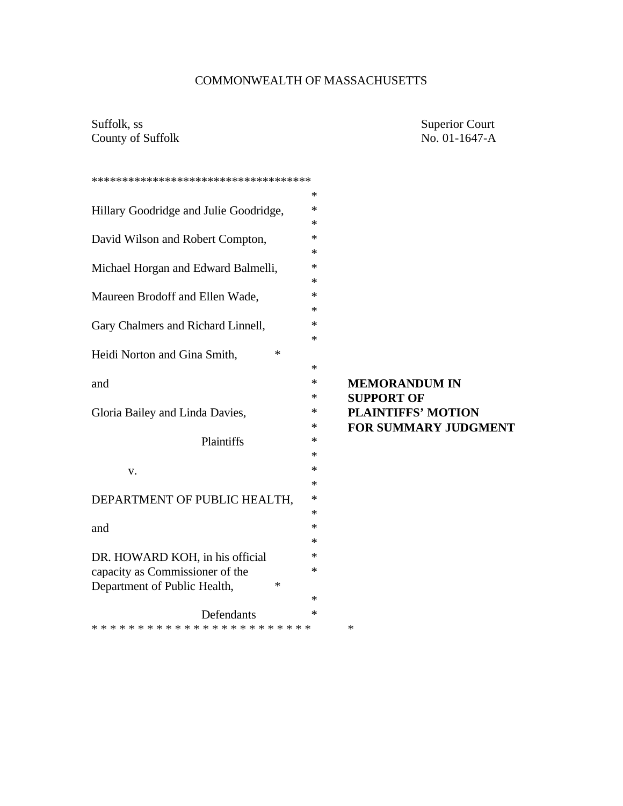# COMMONWEALTH OF MASSACHUSETTS

Suffolk, ss Superior Court<br>
County of Suffolk No. 01-1647-A County of Suffolk

| *************************************  |                                  |
|----------------------------------------|----------------------------------|
|                                        | $\ast$                           |
| Hillary Goodridge and Julie Goodridge, | *                                |
|                                        | $\ast$                           |
| David Wilson and Robert Compton,       | *                                |
|                                        | *                                |
| Michael Horgan and Edward Balmelli,    | ∗                                |
|                                        | *                                |
| Maureen Brodoff and Ellen Wade,        | *                                |
|                                        | $\ast$                           |
| Gary Chalmers and Richard Linnell,     | ∗                                |
|                                        | *                                |
| *<br>Heidi Norton and Gina Smith,      |                                  |
|                                        | *                                |
| and                                    | ∗<br><b>MEMORANDUM IN</b>        |
|                                        | ∗<br><b>SUPPORT OF</b>           |
| Gloria Bailey and Linda Davies,        | <b>PLAINTIFFS' MOTION</b><br>*   |
|                                        | <b>FOR SUMMARY JUDGMENT</b><br>* |
| Plaintiffs                             | $\ast$                           |
|                                        | *                                |
| V.                                     | $\ast$                           |
|                                        | $\ast$                           |
| DEPARTMENT OF PUBLIC HEALTH,           | ∗                                |
|                                        | ∗                                |
| and                                    | $\ast$                           |
|                                        | ∗                                |
| DR. HOWARD KOH, in his official        | ∗                                |
| capacity as Commissioner of the        | ∗                                |
| Department of Public Health,<br>∗      |                                  |
|                                        | ∗                                |
| Defendants                             | ∗                                |
| $\ast$                                 |                                  |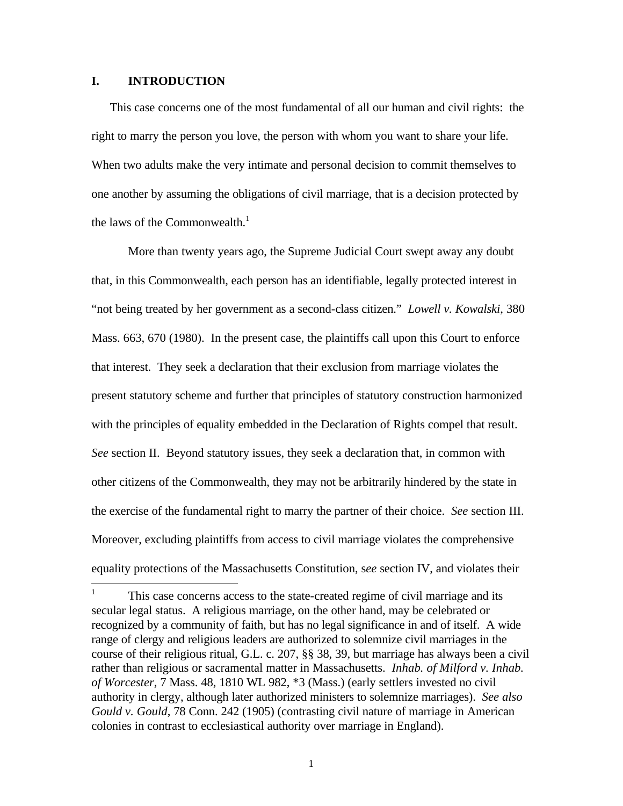#### **I. INTRODUCTION**

This case concerns one of the most fundamental of all our human and civil rights: the right to marry the person you love, the person with whom you want to share your life. When two adults make the very intimate and personal decision to commit themselves to one another by assuming the obligations of civil marriage, that is a decision protected by the laws of the Commonwealth. $<sup>1</sup>$ </sup>

More than twenty years ago, the Supreme Judicial Court swept away any doubt that, in this Commonwealth, each person has an identifiable, legally protected interest in "not being treated by her government as a second-class citizen." *Lowell v. Kowalski*, 380 Mass. 663, 670 (1980). In the present case, the plaintiffs call upon this Court to enforce that interest. They seek a declaration that their exclusion from marriage violates the present statutory scheme and further that principles of statutory construction harmonized with the principles of equality embedded in the Declaration of Rights compel that result. *See* section II. Beyond statutory issues, they seek a declaration that, in common with other citizens of the Commonwealth, they may not be arbitrarily hindered by the state in the exercise of the fundamental right to marry the partner of their choice. *See* section III. Moreover, excluding plaintiffs from access to civil marriage violates the comprehensive equality protections of the Massachusetts Constitution, s*ee* section IV, and violates their

 $\frac{1}{1}$ This case concerns access to the state-created regime of civil marriage and its secular legal status. A religious marriage, on the other hand, may be celebrated or recognized by a community of faith, but has no legal significance in and of itself. A wide range of clergy and religious leaders are authorized to solemnize civil marriages in the course of their religious ritual, G.L. c. 207, §§ 38, 39, but marriage has always been a civil rather than religious or sacramental matter in Massachusetts. *Inhab. of Milford v. Inhab. of Worcester*, 7 Mass. 48, 1810 WL 982, \*3 (Mass.) (early settlers invested no civil authority in clergy, although later authorized ministers to solemnize marriages). *See also Gould v. Gould*, 78 Conn. 242 (1905) (contrasting civil nature of marriage in American colonies in contrast to ecclesiastical authority over marriage in England).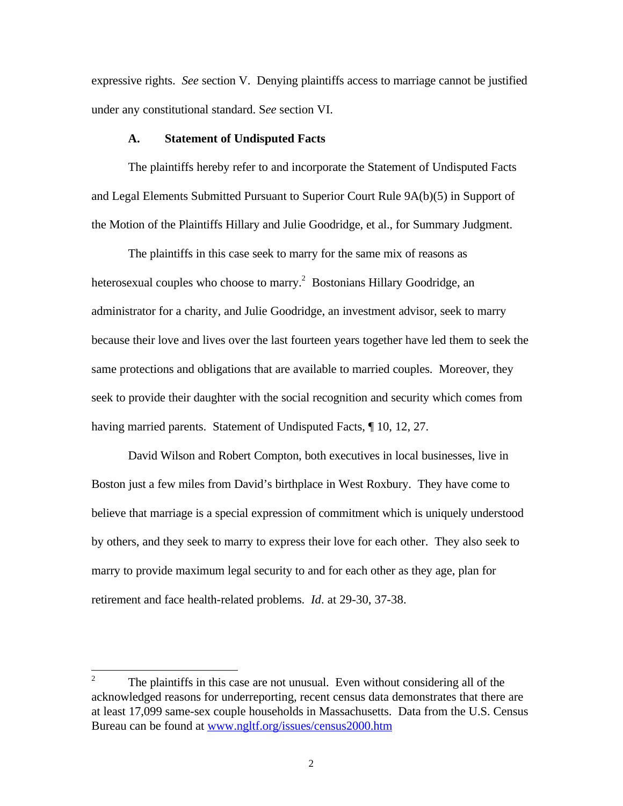expressive rights. *See* section V. Denying plaintiffs access to marriage cannot be justified under any constitutional standard. S*ee* section VI.

#### **A. Statement of Undisputed Facts**

The plaintiffs hereby refer to and incorporate the Statement of Undisputed Facts and Legal Elements Submitted Pursuant to Superior Court Rule 9A(b)(5) in Support of the Motion of the Plaintiffs Hillary and Julie Goodridge, et al., for Summary Judgment.

The plaintiffs in this case seek to marry for the same mix of reasons as heterosexual couples who choose to marry.<sup>2</sup> Bostonians Hillary Goodridge, an administrator for a charity, and Julie Goodridge, an investment advisor, seek to marry because their love and lives over the last fourteen years together have led them to seek the same protections and obligations that are available to married couples. Moreover, they seek to provide their daughter with the social recognition and security which comes from having married parents. Statement of Undisputed Facts, ¶ 10, 12, 27.

David Wilson and Robert Compton, both executives in local businesses, live in Boston just a few miles from David's birthplace in West Roxbury. They have come to believe that marriage is a special expression of commitment which is uniquely understood by others, and they seek to marry to express their love for each other. They also seek to marry to provide maximum legal security to and for each other as they age, plan for retirement and face health-related problems. *Id*. at 29-30, 37-38.

 $\frac{1}{2}$ The plaintiffs in this case are not unusual. Even without considering all of the acknowledged reasons for underreporting, recent census data demonstrates that there are at least 17,099 same-sex couple households in Massachusetts. Data from the U.S. Census Bureau can be found at www.ngltf.org/issues/census2000.htm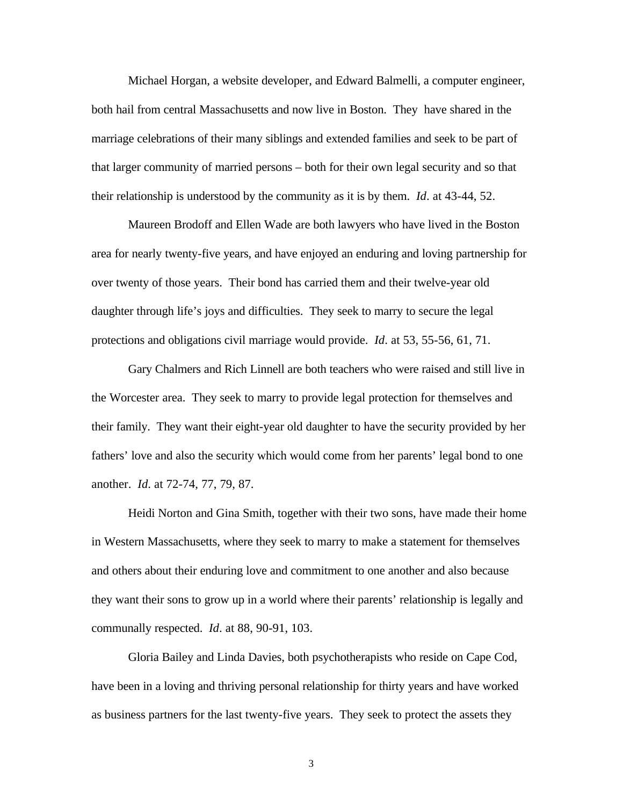Michael Horgan, a website developer, and Edward Balmelli, a computer engineer, both hail from central Massachusetts and now live in Boston. They have shared in the marriage celebrations of their many siblings and extended families and seek to be part of that larger community of married persons – both for their own legal security and so that their relationship is understood by the community as it is by them. *Id*. at 43-44, 52.

Maureen Brodoff and Ellen Wade are both lawyers who have lived in the Boston area for nearly twenty-five years, and have enjoyed an enduring and loving partnership for over twenty of those years. Their bond has carried them and their twelve-year old daughter through life's joys and difficulties. They seek to marry to secure the legal protections and obligations civil marriage would provide. *Id*. at 53, 55-56, 61, 71.

Gary Chalmers and Rich Linnell are both teachers who were raised and still live in the Worcester area. They seek to marry to provide legal protection for themselves and their family. They want their eight-year old daughter to have the security provided by her fathers' love and also the security which would come from her parents' legal bond to one another. *Id*. at 72-74, 77, 79, 87.

Heidi Norton and Gina Smith, together with their two sons, have made their home in Western Massachusetts, where they seek to marry to make a statement for themselves and others about their enduring love and commitment to one another and also because they want their sons to grow up in a world where their parents' relationship is legally and communally respected. *Id*. at 88, 90-91, 103.

Gloria Bailey and Linda Davies, both psychotherapists who reside on Cape Cod, have been in a loving and thriving personal relationship for thirty years and have worked as business partners for the last twenty-five years. They seek to protect the assets they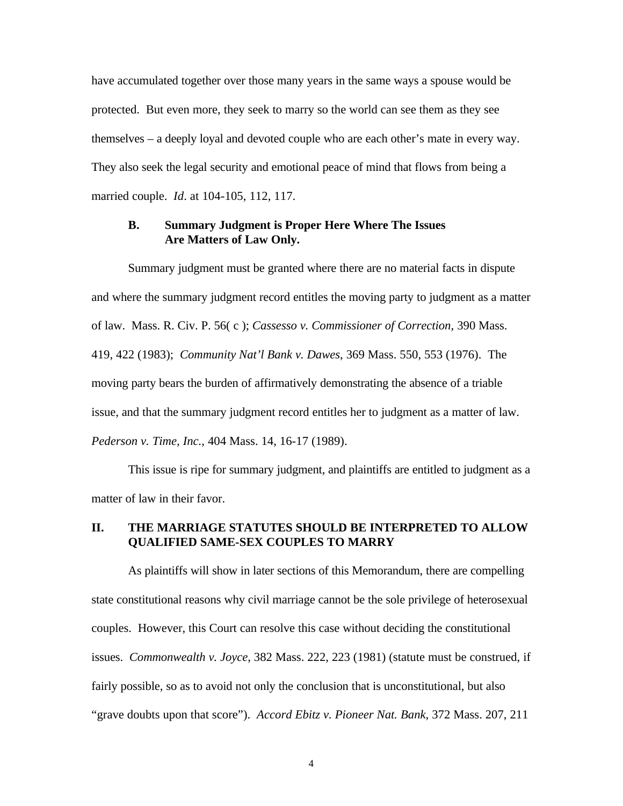have accumulated together over those many years in the same ways a spouse would be protected. But even more, they seek to marry so the world can see them as they see themselves – a deeply loyal and devoted couple who are each other's mate in every way. They also seek the legal security and emotional peace of mind that flows from being a married couple. *Id*. at 104-105, 112, 117.

#### **B. Summary Judgment is Proper Here Where The Issues Are Matters of Law Only.**

Summary judgment must be granted where there are no material facts in dispute and where the summary judgment record entitles the moving party to judgment as a matter of law. Mass. R. Civ. P. 56( c ); *Cassesso v. Commissioner of Correction*, 390 Mass. 419, 422 (1983); *Community Nat'l Bank v. Dawes*, 369 Mass. 550, 553 (1976). The moving party bears the burden of affirmatively demonstrating the absence of a triable issue, and that the summary judgment record entitles her to judgment as a matter of law. *Pederson v. Time, Inc.*, 404 Mass. 14, 16-17 (1989).

This issue is ripe for summary judgment, and plaintiffs are entitled to judgment as a matter of law in their favor.

### **II. THE MARRIAGE STATUTES SHOULD BE INTERPRETED TO ALLOW QUALIFIED SAME-SEX COUPLES TO MARRY**

As plaintiffs will show in later sections of this Memorandum, there are compelling state constitutional reasons why civil marriage cannot be the sole privilege of heterosexual couples. However, this Court can resolve this case without deciding the constitutional issues. *Commonwealth v. Joyce*, 382 Mass. 222, 223 (1981) (statute must be construed, if fairly possible, so as to avoid not only the conclusion that is unconstitutional, but also "grave doubts upon that score"). *Accord Ebitz v. Pioneer Nat. Bank*, 372 Mass. 207, 211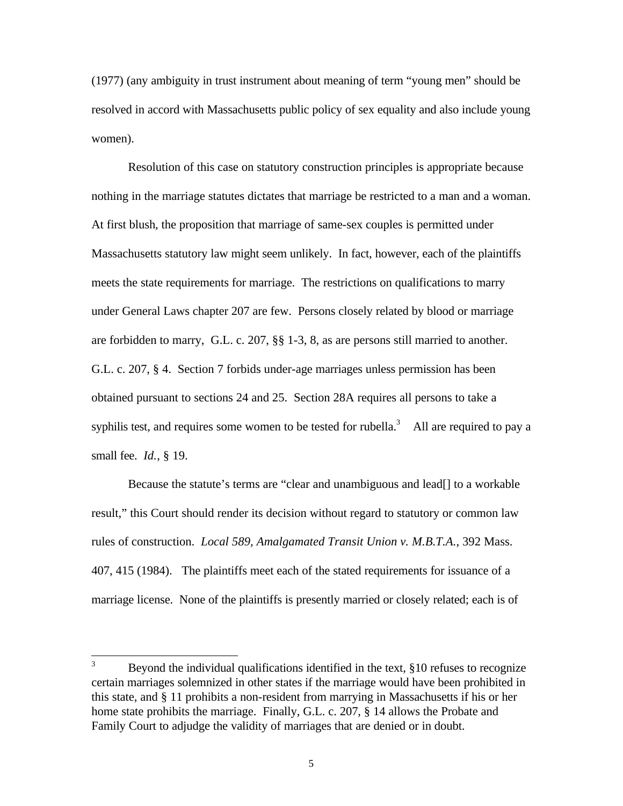(1977) (any ambiguity in trust instrument about meaning of term "young men" should be resolved in accord with Massachusetts public policy of sex equality and also include young women).

Resolution of this case on statutory construction principles is appropriate because nothing in the marriage statutes dictates that marriage be restricted to a man and a woman. At first blush, the proposition that marriage of same-sex couples is permitted under Massachusetts statutory law might seem unlikely. In fact, however, each of the plaintiffs meets the state requirements for marriage. The restrictions on qualifications to marry under General Laws chapter 207 are few. Persons closely related by blood or marriage are forbidden to marry, G.L. c. 207, §§ 1-3, 8, as are persons still married to another. G.L. c. 207, § 4. Section 7 forbids under-age marriages unless permission has been obtained pursuant to sections 24 and 25. Section 28A requires all persons to take a syphilis test, and requires some women to be tested for rubella.<sup>3</sup> All are required to pay a small fee. *Id.*, § 19.

Because the statute's terms are "clear and unambiguous and lead[] to a workable result," this Court should render its decision without regard to statutory or common law rules of construction. *Local 589, Amalgamated Transit Union v. M.B.T.A.*, 392 Mass. 407, 415 (1984). The plaintiffs meet each of the stated requirements for issuance of a marriage license. None of the plaintiffs is presently married or closely related; each is of

 $\overline{3}$ Beyond the individual qualifications identified in the text, §10 refuses to recognize certain marriages solemnized in other states if the marriage would have been prohibited in this state, and § 11 prohibits a non-resident from marrying in Massachusetts if his or her home state prohibits the marriage. Finally, G.L. c. 207, § 14 allows the Probate and Family Court to adjudge the validity of marriages that are denied or in doubt.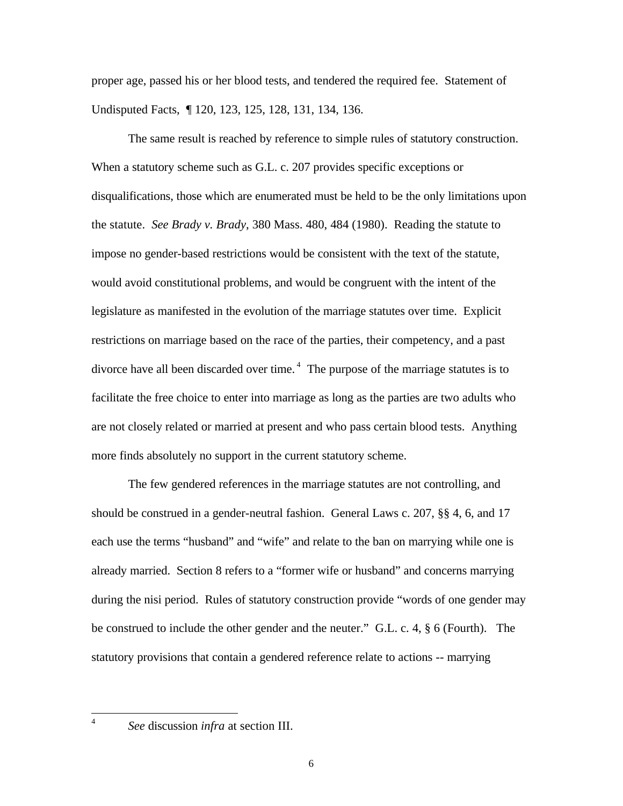proper age, passed his or her blood tests, and tendered the required fee. Statement of Undisputed Facts, ¶ 120, 123, 125, 128, 131, 134, 136.

The same result is reached by reference to simple rules of statutory construction. When a statutory scheme such as G.L. c. 207 provides specific exceptions or disqualifications, those which are enumerated must be held to be the only limitations upon the statute. *See Brady v. Brady*, 380 Mass. 480, 484 (1980). Reading the statute to impose no gender-based restrictions would be consistent with the text of the statute, would avoid constitutional problems, and would be congruent with the intent of the legislature as manifested in the evolution of the marriage statutes over time. Explicit restrictions on marriage based on the race of the parties, their competency, and a past divorce have all been discarded over time.<sup> $4$ </sup> The purpose of the marriage statutes is to facilitate the free choice to enter into marriage as long as the parties are two adults who are not closely related or married at present and who pass certain blood tests. Anything more finds absolutely no support in the current statutory scheme.

The few gendered references in the marriage statutes are not controlling, and should be construed in a gender-neutral fashion. General Laws c. 207, §§ 4, 6, and 17 each use the terms "husband" and "wife" and relate to the ban on marrying while one is already married. Section 8 refers to a "former wife or husband" and concerns marrying during the nisi period. Rules of statutory construction provide "words of one gender may be construed to include the other gender and the neuter." G.L. c. 4, § 6 (Fourth). The statutory provisions that contain a gendered reference relate to actions -- marrying

 $\frac{1}{4}$ 

*See* discussion *infra* at section III.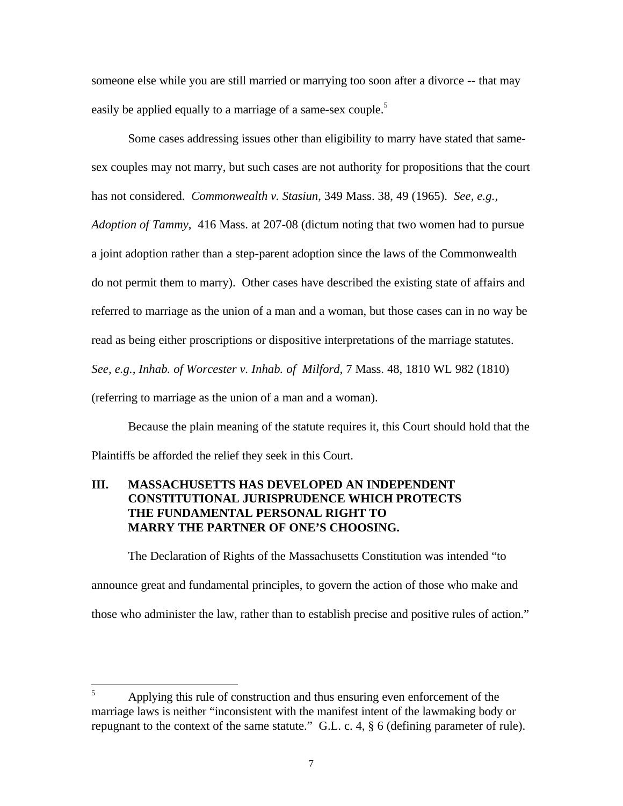someone else while you are still married or marrying too soon after a divorce -- that may easily be applied equally to a marriage of a same-sex couple.<sup>5</sup>

Some cases addressing issues other than eligibility to marry have stated that samesex couples may not marry, but such cases are not authority for propositions that the court has not considered. *Commonwealth v. Stasiun*, 349 Mass. 38, 49 (1965). *See, e.g.,*

*Adoption of Tammy*, 416 Mass. at 207-08 (dictum noting that two women had to pursue a joint adoption rather than a step-parent adoption since the laws of the Commonwealth do not permit them to marry). Other cases have described the existing state of affairs and referred to marriage as the union of a man and a woman, but those cases can in no way be read as being either proscriptions or dispositive interpretations of the marriage statutes. *See, e.g., Inhab. of Worcester v. Inhab. of Milford*, 7 Mass. 48, 1810 WL 982 (1810) (referring to marriage as the union of a man and a woman).

Because the plain meaning of the statute requires it, this Court should hold that the Plaintiffs be afforded the relief they seek in this Court.

## **III. MASSACHUSETTS HAS DEVELOPED AN INDEPENDENT CONSTITUTIONAL JURISPRUDENCE WHICH PROTECTS THE FUNDAMENTAL PERSONAL RIGHT TO MARRY THE PARTNER OF ONE'S CHOOSING.**

The Declaration of Rights of the Massachusetts Constitution was intended "to announce great and fundamental principles, to govern the action of those who make and those who administer the law, rather than to establish precise and positive rules of action."

<sup>5</sup> <sup>5</sup> Applying this rule of construction and thus ensuring even enforcement of the marriage laws is neither "inconsistent with the manifest intent of the lawmaking body or repugnant to the context of the same statute." G.L. c. 4, § 6 (defining parameter of rule).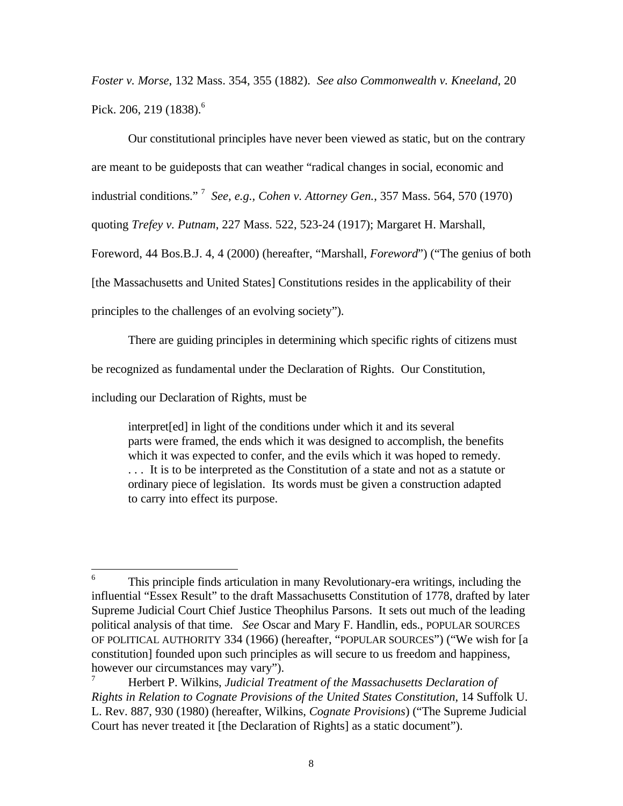*Foster v. Morse*, 132 Mass. 354, 355 (1882). *See also Commonwealth v. Kneeland*, 20 Pick. 206, 219 (1838).<sup>6</sup>

Our constitutional principles have never been viewed as static, but on the contrary are meant to be guideposts that can weather "radical changes in social, economic and industrial conditions." <sup>7</sup> *See, e.g., Cohen v. Attorney Gen.*, 357 Mass. 564, 570 (1970) quoting *Trefey v. Putnam*, 227 Mass. 522, 523-24 (1917); Margaret H. Marshall, Foreword, 44 Bos.B.J. 4, 4 (2000) (hereafter, "Marshall, *Foreword*") ("The genius of both [the Massachusetts and United States] Constitutions resides in the applicability of their principles to the challenges of an evolving society").

There are guiding principles in determining which specific rights of citizens must

be recognized as fundamental under the Declaration of Rights. Our Constitution,

including our Declaration of Rights, must be

interpret[ed] in light of the conditions under which it and its several parts were framed, the ends which it was designed to accomplish, the benefits which it was expected to confer, and the evils which it was hoped to remedy. . . . It is to be interpreted as the Constitution of a state and not as a statute or ordinary piece of legislation. Its words must be given a construction adapted to carry into effect its purpose.

 6 This principle finds articulation in many Revolutionary-era writings, including the influential "Essex Result" to the draft Massachusetts Constitution of 1778, drafted by later Supreme Judicial Court Chief Justice Theophilus Parsons. It sets out much of the leading political analysis of that time. *See* Oscar and Mary F. Handlin, eds., POPULAR SOURCES OF POLITICAL AUTHORITY 334 (1966) (hereafter, "POPULAR SOURCES") ("We wish for [a constitution] founded upon such principles as will secure to us freedom and happiness, however our circumstances may vary").

<sup>7</sup> Herbert P. Wilkins, *Judicial Treatment of the Massachusetts Declaration of Rights in Relation to Cognate Provisions of the United States Constitution*, 14 Suffolk U. L. Rev. 887, 930 (1980) (hereafter, Wilkins, *Cognate Provisions*) ("The Supreme Judicial Court has never treated it [the Declaration of Rights] as a static document").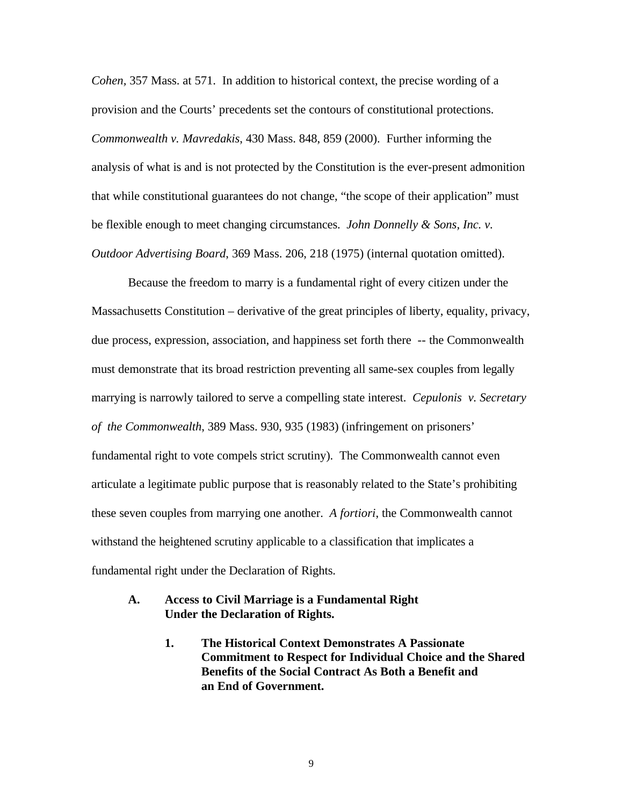*Cohen,* 357 Mass. at 571. In addition to historical context, the precise wording of a provision and the Courts' precedents set the contours of constitutional protections. *Commonwealth v. Mavredakis*, 430 Mass. 848, 859 (2000). Further informing the analysis of what is and is not protected by the Constitution is the ever-present admonition that while constitutional guarantees do not change, "the scope of their application" must be flexible enough to meet changing circumstances. *John Donnelly & Sons, Inc. v. Outdoor Advertising Board*, 369 Mass. 206, 218 (1975) (internal quotation omitted).

Because the freedom to marry is a fundamental right of every citizen under the Massachusetts Constitution – derivative of the great principles of liberty, equality, privacy, due process, expression, association, and happiness set forth there -- the Commonwealth must demonstrate that its broad restriction preventing all same-sex couples from legally marrying is narrowly tailored to serve a compelling state interest. *Cepulonis v. Secretary of the Commonwealth*, 389 Mass. 930, 935 (1983) (infringement on prisoners' fundamental right to vote compels strict scrutiny). The Commonwealth cannot even articulate a legitimate public purpose that is reasonably related to the State's prohibiting these seven couples from marrying one another. *A fortiori*, the Commonwealth cannot withstand the heightened scrutiny applicable to a classification that implicates a fundamental right under the Declaration of Rights.

### **A. Access to Civil Marriage is a Fundamental Right Under the Declaration of Rights.**

**1. The Historical Context Demonstrates A Passionate Commitment to Respect for Individual Choice and the Shared Benefits of the Social Contract As Both a Benefit and an End of Government.**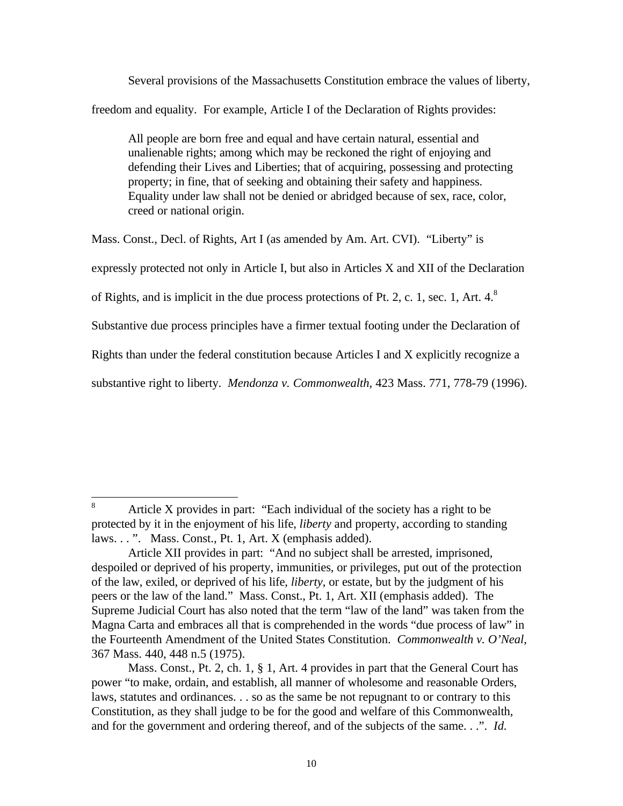Several provisions of the Massachusetts Constitution embrace the values of liberty, freedom and equality. For example, Article I of the Declaration of Rights provides:

All people are born free and equal and have certain natural, essential and unalienable rights; among which may be reckoned the right of enjoying and defending their Lives and Liberties; that of acquiring, possessing and protecting property; in fine, that of seeking and obtaining their safety and happiness. Equality under law shall not be denied or abridged because of sex, race, color, creed or national origin.

Mass. Const., Decl. of Rights, Art I (as amended by Am. Art. CVI). "Liberty" is

expressly protected not only in Article I, but also in Articles X and XII of the Declaration

of Rights, and is implicit in the due process protections of Pt. 2, c. 1, sec. 1, Art.  $4<sup>8</sup>$ 

Substantive due process principles have a firmer textual footing under the Declaration of

Rights than under the federal constitution because Articles I and X explicitly recognize a

substantive right to liberty. *Mendonza v. Commonwealth*, 423 Mass. 771, 778-79 (1996).

<sup>8</sup> <sup>8</sup> Article X provides in part: "Each individual of the society has a right to be protected by it in the enjoyment of his life, *liberty* and property, according to standing laws. . . ". Mass. Const., Pt. 1, Art. X (emphasis added).

Article XII provides in part: "And no subject shall be arrested, imprisoned, despoiled or deprived of his property, immunities, or privileges, put out of the protection of the law, exiled, or deprived of his life, *liberty*, or estate, but by the judgment of his peers or the law of the land." Mass. Const., Pt. 1, Art. XII (emphasis added). The Supreme Judicial Court has also noted that the term "law of the land" was taken from the Magna Carta and embraces all that is comprehended in the words "due process of law" in the Fourteenth Amendment of the United States Constitution. *Commonwealth v. O'Neal*, 367 Mass. 440, 448 n.5 (1975).

Mass. Const., Pt. 2, ch. 1, § 1, Art. 4 provides in part that the General Court has power "to make, ordain, and establish, all manner of wholesome and reasonable Orders, laws, statutes and ordinances. . . so as the same be not repugnant to or contrary to this Constitution, as they shall judge to be for the good and welfare of this Commonwealth, and for the government and ordering thereof, and of the subjects of the same. . .". *Id.*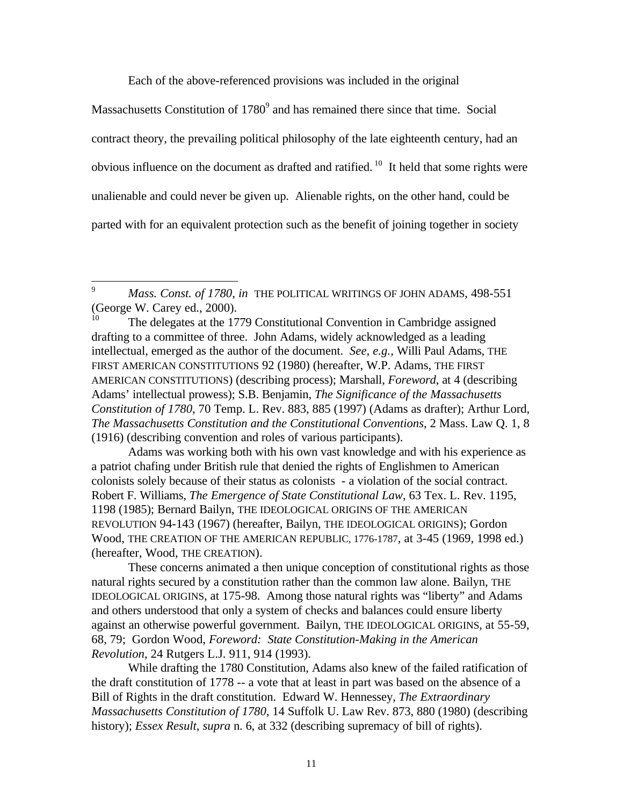Each of the above-referenced provisions was included in the original

Massachusetts Constitution of  $1780^9$  and has remained there since that time. Social contract theory, the prevailing political philosophy of the late eighteenth century, had an obvious influence on the document as drafted and ratified. <sup>10</sup> It held that some rights were unalienable and could never be given up. Alienable rights, on the other hand, could be parted with for an equivalent protection such as the benefit of joining together in society

9 <sup>9</sup> *Mass. Const. of 1780*, *in* THE POLITICAL WRITINGS OF JOHN ADAMS, 498-551 (George W. Carey ed., 2000).

The delegates at the 1779 Constitutional Convention in Cambridge assigned drafting to a committee of three. John Adams, widely acknowledged as a leading intellectual, emerged as the author of the document. *See, e.g.,* Willi Paul Adams, THE FIRST AMERICAN CONSTITUTIONS 92 (1980) (hereafter, W.P. Adams, THE FIRST AMERICAN CONSTITUTIONS) (describing process); Marshall, *Foreword*, at 4 (describing Adams' intellectual prowess); S.B. Benjamin, *The Significance of the Massachusetts Constitution of 1780*, 70 Temp. L. Rev. 883, 885 (1997) (Adams as drafter); Arthur Lord, *The Massachusetts Constitution and the Constitutional Conventions*, 2 Mass. Law Q. 1, 8 (1916) (describing convention and roles of various participants).

Adams was working both with his own vast knowledge and with his experience as a patriot chafing under British rule that denied the rights of Englishmen to American colonists solely because of their status as colonists - a violation of the social contract. Robert F. Williams, *The Emergence of State Constitutional Law*, 63 Tex. L. Rev. 1195, 1198 (1985); Bernard Bailyn, THE IDEOLOGICAL ORIGINS OF THE AMERICAN REVOLUTION 94-143 (1967) (hereafter, Bailyn, THE IDEOLOGICAL ORIGINS); Gordon Wood, THE CREATION OF THE AMERICAN REPUBLIC, 1776-1787, at 3-45 (1969, 1998 ed.) (hereafter, Wood, THE CREATION).

These concerns animated a then unique conception of constitutional rights as those natural rights secured by a constitution rather than the common law alone. Bailyn, THE IDEOLOGICAL ORIGINS, at 175-98. Among those natural rights was "liberty" and Adams and others understood that only a system of checks and balances could ensure liberty against an otherwise powerful government. Bailyn, THE IDEOLOGICAL ORIGINS, at 55-59, 68, 79; Gordon Wood, *Foreword: State Constitution-Making in the American Revolution*, 24 Rutgers L.J. 911, 914 (1993).

While drafting the 1780 Constitution, Adams also knew of the failed ratification of the draft constitution of 1778 -- a vote that at least in part was based on the absence of a Bill of Rights in the draft constitution. Edward W. Hennessey, *The Extraordinary Massachusetts Constitution of 1780*, 14 Suffolk U. Law Rev. 873, 880 (1980) (describing history); *Essex Result*, *supra* n. 6, at 332 (describing supremacy of bill of rights).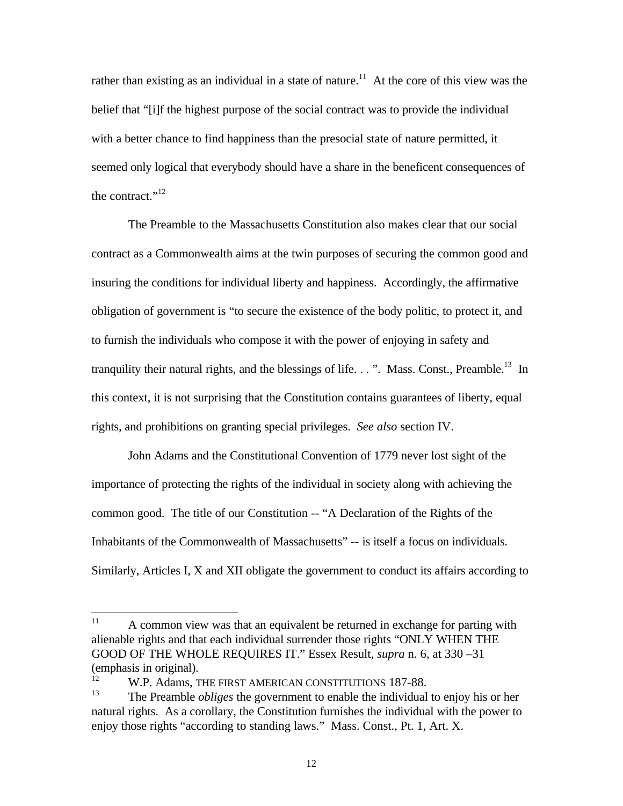rather than existing as an individual in a state of nature.<sup>11</sup> At the core of this view was the belief that "[i]f the highest purpose of the social contract was to provide the individual with a better chance to find happiness than the presocial state of nature permitted, it seemed only logical that everybody should have a share in the beneficent consequences of the contract." $12$ 

The Preamble to the Massachusetts Constitution also makes clear that our social contract as a Commonwealth aims at the twin purposes of securing the common good and insuring the conditions for individual liberty and happiness. Accordingly, the affirmative obligation of government is "to secure the existence of the body politic, to protect it, and to furnish the individuals who compose it with the power of enjoying in safety and tranquility their natural rights, and the blessings of life. . . ". Mass. Const., Preamble.<sup>13</sup> In this context, it is not surprising that the Constitution contains guarantees of liberty, equal rights, and prohibitions on granting special privileges. *See also* section IV.

John Adams and the Constitutional Convention of 1779 never lost sight of the importance of protecting the rights of the individual in society along with achieving the common good. The title of our Constitution -- "A Declaration of the Rights of the Inhabitants of the Commonwealth of Massachusetts" -- is itself a focus on individuals. Similarly, Articles I, X and XII obligate the government to conduct its affairs according to

 $11$ A common view was that an equivalent be returned in exchange for parting with alienable rights and that each individual surrender those rights "ONLY WHEN THE GOOD OF THE WHOLE REQUIRES IT." Essex Result, *supra* n. 6, at 330 –31 (emphasis in original).

<sup>&</sup>lt;sup>12</sup> W.P. Adams, THE FIRST AMERICAN CONSTITUTIONS 187-88.

<sup>13</sup> The Preamble *obliges* the government to enable the individual to enjoy his or her natural rights. As a corollary, the Constitution furnishes the individual with the power to enjoy those rights "according to standing laws." Mass. Const., Pt. 1, Art. X.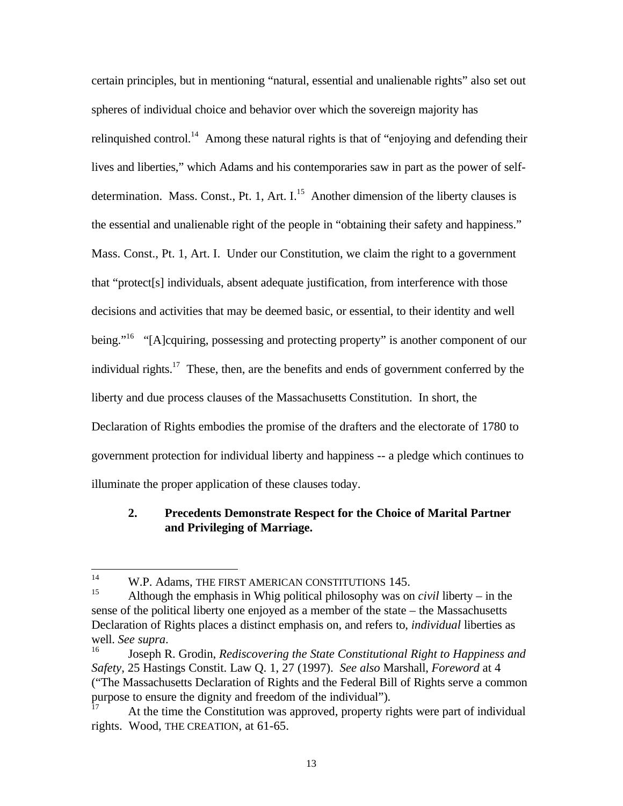certain principles, but in mentioning "natural, essential and unalienable rights" also set out spheres of individual choice and behavior over which the sovereign majority has relinquished control.<sup>14</sup> Among these natural rights is that of "enjoying and defending their lives and liberties," which Adams and his contemporaries saw in part as the power of selfdetermination. Mass. Const., Pt. 1, Art.  $I<sup>15</sup>$  Another dimension of the liberty clauses is the essential and unalienable right of the people in "obtaining their safety and happiness." Mass. Const., Pt. 1, Art. I. Under our Constitution, we claim the right to a government that "protect[s] individuals, absent adequate justification, from interference with those decisions and activities that may be deemed basic, or essential, to their identity and well being."<sup>16</sup> "[A]cquiring, possessing and protecting property" is another component of our individual rights.<sup>17</sup> These, then, are the benefits and ends of government conferred by the liberty and due process clauses of the Massachusetts Constitution. In short, the Declaration of Rights embodies the promise of the drafters and the electorate of 1780 to government protection for individual liberty and happiness -- a pledge which continues to illuminate the proper application of these clauses today.

#### **2. Precedents Demonstrate Respect for the Choice of Marital Partner and Privileging of Marriage.**

 $14$ <sup>14</sup> W.P. Adams, THE FIRST AMERICAN CONSTITUTIONS 145.

Although the emphasis in Whig political philosophy was on *civil* liberty – in the sense of the political liberty one enjoyed as a member of the state – the Massachusetts Declaration of Rights places a distinct emphasis on, and refers to, *individual* liberties as well. *See supra*.

<sup>16</sup> Joseph R. Grodin, *Rediscovering the State Constitutional Right to Happiness and Safety*, 25 Hastings Constit. Law Q. 1, 27 (1997). *See also* Marshall, *Foreword* at 4 ("The Massachusetts Declaration of Rights and the Federal Bill of Rights serve a common purpose to ensure the dignity and freedom of the individual").

At the time the Constitution was approved, property rights were part of individual rights. Wood, THE CREATION, at 61-65.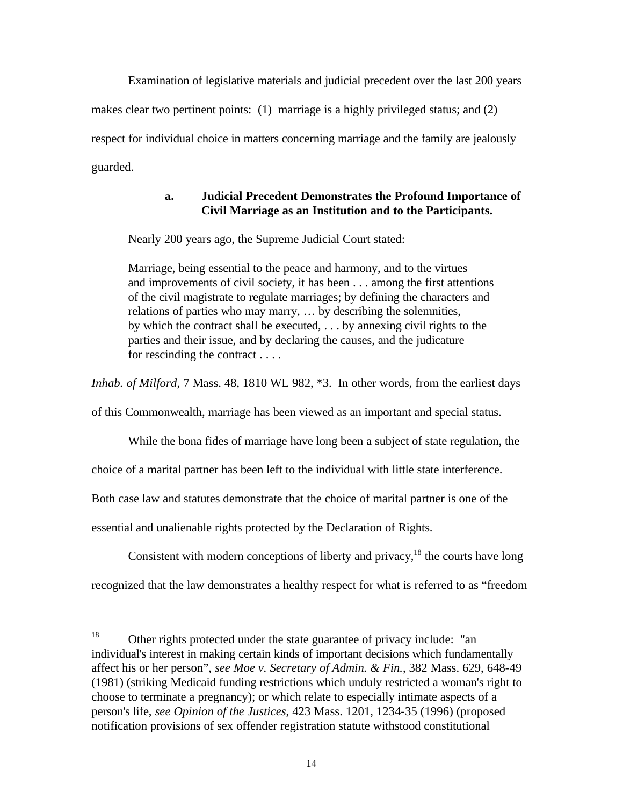Examination of legislative materials and judicial precedent over the last 200 years

makes clear two pertinent points: (1) marriage is a highly privileged status; and (2)

respect for individual choice in matters concerning marriage and the family are jealously guarded.

### **a. Judicial Precedent Demonstrates the Profound Importance of Civil Marriage as an Institution and to the Participants.**

Nearly 200 years ago, the Supreme Judicial Court stated:

Marriage, being essential to the peace and harmony, and to the virtues and improvements of civil society, it has been . . . among the first attentions of the civil magistrate to regulate marriages; by defining the characters and relations of parties who may marry, … by describing the solemnities, by which the contract shall be executed, . . . by annexing civil rights to the parties and their issue, and by declaring the causes, and the judicature for rescinding the contract . . . .

*Inhab. of Milford*, 7 Mass. 48, 1810 WL 982, \*3. In other words, from the earliest days of this Commonwealth, marriage has been viewed as an important and special status.

While the bona fides of marriage have long been a subject of state regulation, the

choice of a marital partner has been left to the individual with little state interference.

Both case law and statutes demonstrate that the choice of marital partner is one of the

essential and unalienable rights protected by the Declaration of Rights.

Consistent with modern conceptions of liberty and privacy, $18$  the courts have long

recognized that the law demonstrates a healthy respect for what is referred to as "freedom

<sup>18</sup> Other rights protected under the state guarantee of privacy include: "an individual's interest in making certain kinds of important decisions which fundamentally affect his or her person", *see Moe v. Secretary of Admin. & Fin.*, 382 Mass. 629, 648-49 (1981) (striking Medicaid funding restrictions which unduly restricted a woman's right to choose to terminate a pregnancy); or which relate to especially intimate aspects of a person's life, *see Opinion of the Justices*, 423 Mass. 1201, 1234-35 (1996) (proposed notification provisions of sex offender registration statute withstood constitutional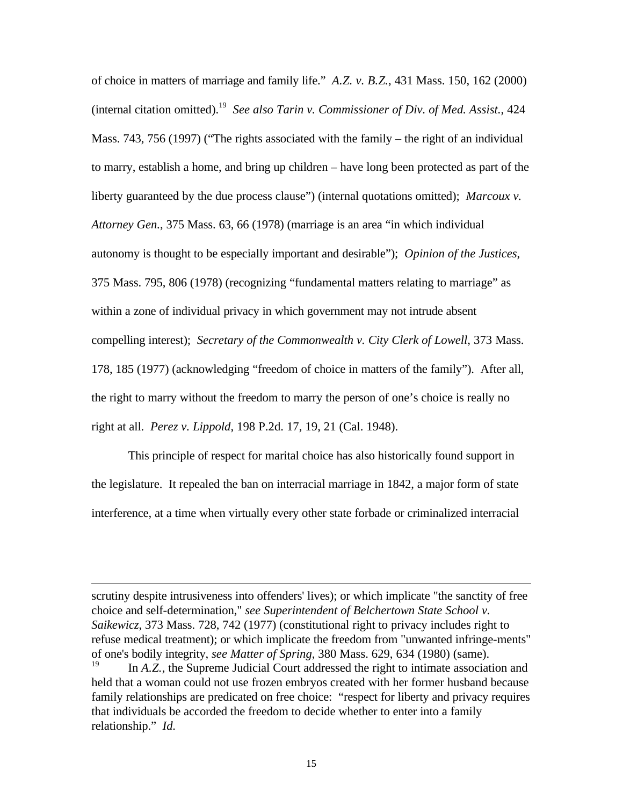of choice in matters of marriage and family life." *A.Z. v. B.Z.*, 431 Mass. 150, 162 (2000) (internal citation omitted).<sup>19</sup> *See also Tarin v. Commissioner of Div. of Med. Assist.*, 424 Mass. 743, 756 (1997) ("The rights associated with the family – the right of an individual to marry, establish a home, and bring up children – have long been protected as part of the liberty guaranteed by the due process clause") (internal quotations omitted); *Marcoux v. Attorney Gen.*, 375 Mass. 63, 66 (1978) (marriage is an area "in which individual autonomy is thought to be especially important and desirable"); *Opinion of the Justices*, 375 Mass. 795, 806 (1978) (recognizing "fundamental matters relating to marriage" as within a zone of individual privacy in which government may not intrude absent compelling interest); *Secretary of the Commonwealth v. City Clerk of Lowell*, 373 Mass. 178, 185 (1977) (acknowledging "freedom of choice in matters of the family"). After all, the right to marry without the freedom to marry the person of one's choice is really no right at all. *Perez v. Lippold*, 198 P.2d. 17, 19, 21 (Cal. 1948).

This principle of respect for marital choice has also historically found support in the legislature. It repealed the ban on interracial marriage in 1842, a major form of state interference, at a time when virtually every other state forbade or criminalized interracial

scrutiny despite intrusiveness into offenders' lives); or which implicate "the sanctity of free choice and self-determination," *see Superintendent of Belchertown State School v. Saikewicz*, 373 Mass. 728, 742 (1977) (constitutional right to privacy includes right to refuse medical treatment); or which implicate the freedom from "unwanted infringe-ments" of one's bodily integrity, *see Matter of Spring*, 380 Mass. 629, 634 (1980) (same).

In *A.Z.*, the Supreme Judicial Court addressed the right to intimate association and held that a woman could not use frozen embryos created with her former husband because family relationships are predicated on free choice: "respect for liberty and privacy requires that individuals be accorded the freedom to decide whether to enter into a family relationship." *Id.*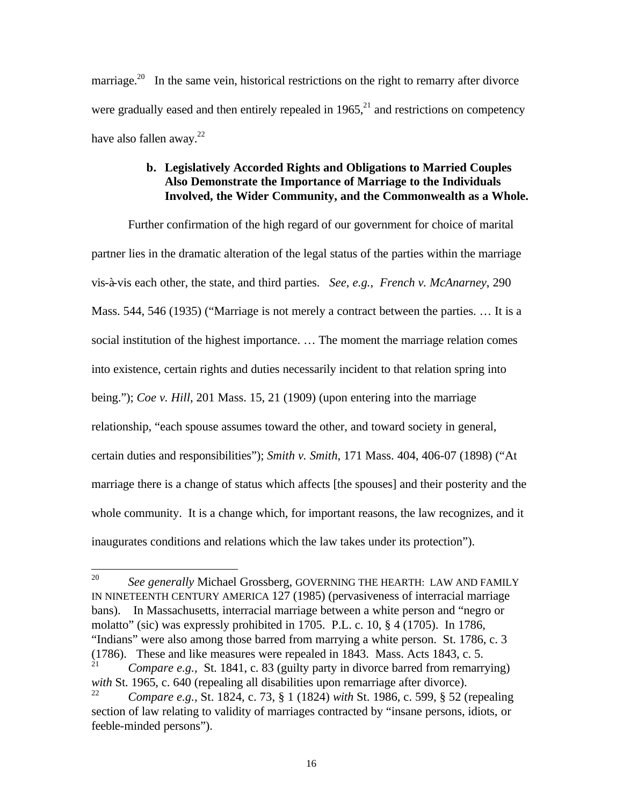marriage.<sup>20</sup> In the same vein, historical restrictions on the right to remarry after divorce were gradually eased and then entirely repealed in  $1965$ <sup>21</sup> and restrictions on competency have also fallen away. $22$ 

### **b. Legislatively Accorded Rights and Obligations to Married Couples Also Demonstrate the Importance of Marriage to the Individuals Involved, the Wider Community, and the Commonwealth as a Whole.**

Further confirmation of the high regard of our government for choice of marital partner lies in the dramatic alteration of the legal status of the parties within the marriage vis-à-vis each other, the state, and third parties. *See, e.g., French v. McAnarney*, 290 Mass. 544, 546 (1935) ("Marriage is not merely a contract between the parties. … It is a social institution of the highest importance. … The moment the marriage relation comes into existence, certain rights and duties necessarily incident to that relation spring into being."); *Coe v. Hill*, 201 Mass. 15, 21 (1909) (upon entering into the marriage relationship, "each spouse assumes toward the other, and toward society in general, certain duties and responsibilities"); *Smith v. Smith*, 171 Mass. 404, 406-07 (1898) ("At marriage there is a change of status which affects [the spouses] and their posterity and the whole community. It is a change which, for important reasons, the law recognizes, and it inaugurates conditions and relations which the law takes under its protection").

<sup>20</sup> <sup>20</sup> *See generally* Michael Grossberg, GOVERNING THE HEARTH: LAW AND FAMILY IN NINETEENTH CENTURY AMERICA 127 (1985) (pervasiveness of interracial marriage bans). In Massachusetts, interracial marriage between a white person and "negro or molatto" (sic) was expressly prohibited in 1705. P.L. c. 10, § 4 (1705). In 1786, "Indians" were also among those barred from marrying a white person. St. 1786, c. 3 (1786). These and like measures were repealed in 1843. Mass. Acts 1843, c. 5.

*Compare e.g.,* St. 1841, c. 83 (guilty party in divorce barred from remarrying) *with* St. 1965, c. 640 (repealing all disabilities upon remarriage after divorce).

<sup>22</sup> *Compare e.g.,* St. 1824, c. 73, § 1 (1824) *with* St. 1986, c. 599, § 52 (repealing section of law relating to validity of marriages contracted by "insane persons, idiots, or feeble-minded persons").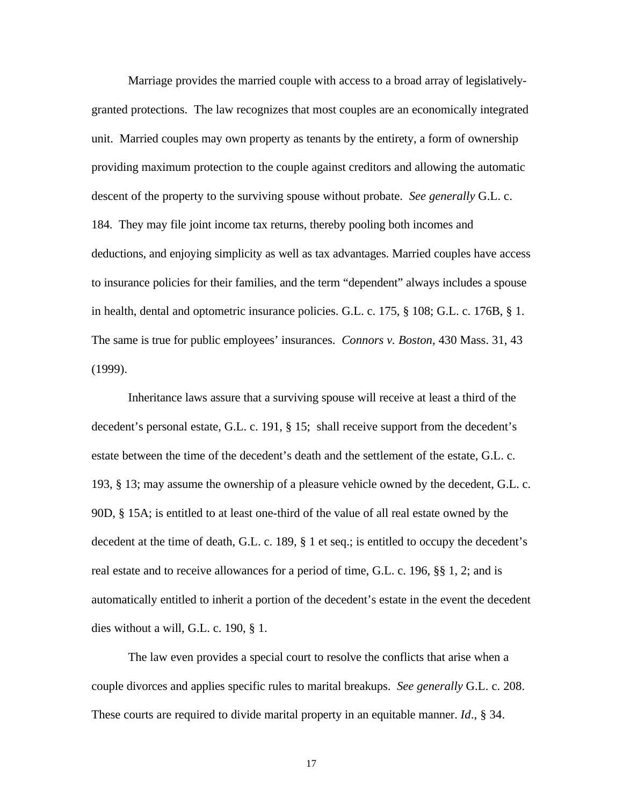Marriage provides the married couple with access to a broad array of legislativelygranted protections. The law recognizes that most couples are an economically integrated unit. Married couples may own property as tenants by the entirety, a form of ownership providing maximum protection to the couple against creditors and allowing the automatic descent of the property to the surviving spouse without probate. *See generally* G.L. c. 184. They may file joint income tax returns, thereby pooling both incomes and deductions, and enjoying simplicity as well as tax advantages. Married couples have access to insurance policies for their families, and the term "dependent" always includes a spouse in health, dental and optometric insurance policies. G.L. c. 175, § 108; G.L. c. 176B, § 1. The same is true for public employees' insurances. *Connors v. Boston*, 430 Mass. 31, 43 (1999).

Inheritance laws assure that a surviving spouse will receive at least a third of the decedent's personal estate, G.L. c. 191, § 15; shall receive support from the decedent's estate between the time of the decedent's death and the settlement of the estate, G.L. c. 193, § 13; may assume the ownership of a pleasure vehicle owned by the decedent, G.L. c. 90D, § 15A; is entitled to at least one-third of the value of all real estate owned by the decedent at the time of death, G.L. c. 189, § 1 et seq.; is entitled to occupy the decedent's real estate and to receive allowances for a period of time, G.L. c. 196, §§ 1, 2; and is automatically entitled to inherit a portion of the decedent's estate in the event the decedent dies without a will, G.L. c. 190, § 1.

The law even provides a special court to resolve the conflicts that arise when a couple divorces and applies specific rules to marital breakups. *See generally* G.L. c. 208. These courts are required to divide marital property in an equitable manner. *Id*., § 34.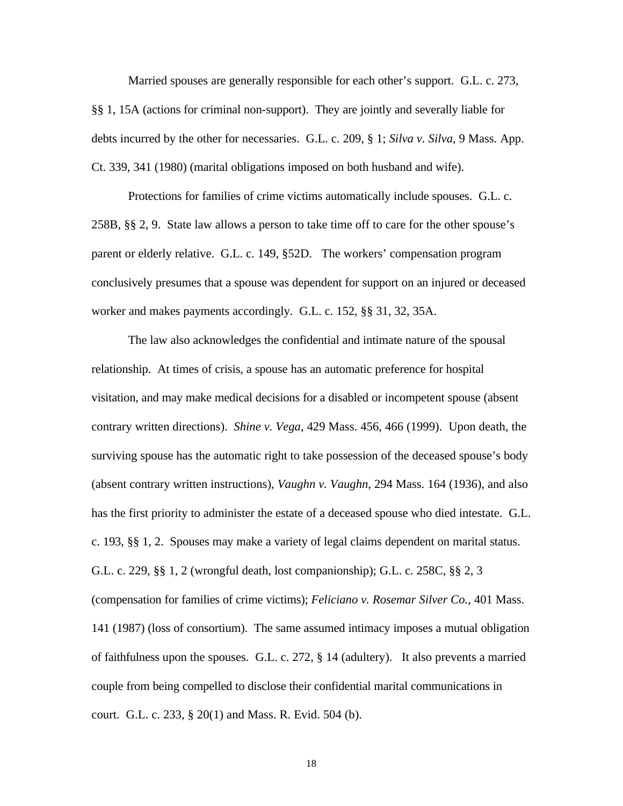Married spouses are generally responsible for each other's support. G.L. c. 273, §§ 1, 15A (actions for criminal non-support). They are jointly and severally liable for debts incurred by the other for necessaries. G.L. c. 209, § 1; *Silva v. Silva*, 9 Mass. App. Ct. 339, 341 (1980) (marital obligations imposed on both husband and wife).

Protections for families of crime victims automatically include spouses. G.L. c. 258B, §§ 2, 9. State law allows a person to take time off to care for the other spouse's parent or elderly relative. G.L. c. 149, §52D. The workers' compensation program conclusively presumes that a spouse was dependent for support on an injured or deceased worker and makes payments accordingly. G.L. c. 152, §§ 31, 32, 35A.

The law also acknowledges the confidential and intimate nature of the spousal relationship. At times of crisis, a spouse has an automatic preference for hospital visitation, and may make medical decisions for a disabled or incompetent spouse (absent contrary written directions). *Shine v. Vega*, 429 Mass. 456, 466 (1999). Upon death, the surviving spouse has the automatic right to take possession of the deceased spouse's body (absent contrary written instructions), *Vaughn v. Vaughn*, 294 Mass. 164 (1936), and also has the first priority to administer the estate of a deceased spouse who died intestate. G.L. c. 193, §§ 1, 2. Spouses may make a variety of legal claims dependent on marital status. G.L. c. 229, §§ 1, 2 (wrongful death, lost companionship); G.L. c. 258C, §§ 2, 3 (compensation for families of crime victims); *Feliciano v. Rosemar Silver Co.*, 401 Mass. 141 (1987) (loss of consortium). The same assumed intimacy imposes a mutual obligation of faithfulness upon the spouses. G.L. c. 272, § 14 (adultery). It also prevents a married couple from being compelled to disclose their confidential marital communications in court. G.L. c. 233, § 20(1) and Mass. R. Evid. 504 (b).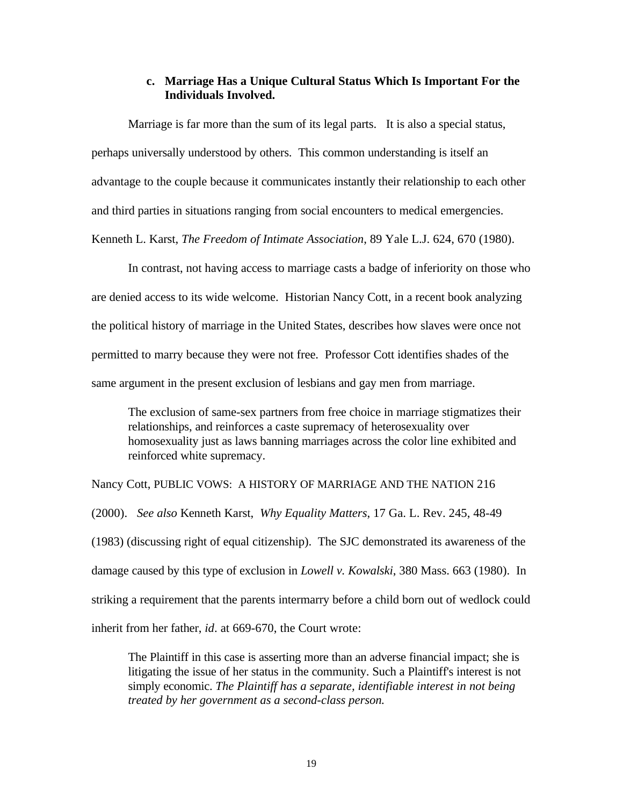### **c. Marriage Has a Unique Cultural Status Which Is Important For the Individuals Involved.**

Marriage is far more than the sum of its legal parts. It is also a special status, perhaps universally understood by others. This common understanding is itself an advantage to the couple because it communicates instantly their relationship to each other and third parties in situations ranging from social encounters to medical emergencies. Kenneth L. Karst, *The Freedom of Intimate Association*, 89 Yale L.J. 624, 670 (1980).

In contrast, not having access to marriage casts a badge of inferiority on those who are denied access to its wide welcome. Historian Nancy Cott, in a recent book analyzing the political history of marriage in the United States, describes how slaves were once not permitted to marry because they were not free. Professor Cott identifies shades of the same argument in the present exclusion of lesbians and gay men from marriage.

The exclusion of same-sex partners from free choice in marriage stigmatizes their relationships, and reinforces a caste supremacy of heterosexuality over homosexuality just as laws banning marriages across the color line exhibited and reinforced white supremacy.

Nancy Cott, PUBLIC VOWS: A HISTORY OF MARRIAGE AND THE NATION 216 (2000). *See also* Kenneth Karst, *Why Equality Matters*, 17 Ga. L. Rev. 245, 48-49 (1983) (discussing right of equal citizenship). The SJC demonstrated its awareness of the damage caused by this type of exclusion in *Lowell v. Kowalski*, 380 Mass. 663 (1980). In striking a requirement that the parents intermarry before a child born out of wedlock could inherit from her father, *id*. at 669-670, the Court wrote:

The Plaintiff in this case is asserting more than an adverse financial impact; she is litigating the issue of her status in the community. Such a Plaintiff's interest is not simply economic. *The Plaintiff has a separate, identifiable interest in not being treated by her government as a second-class person.*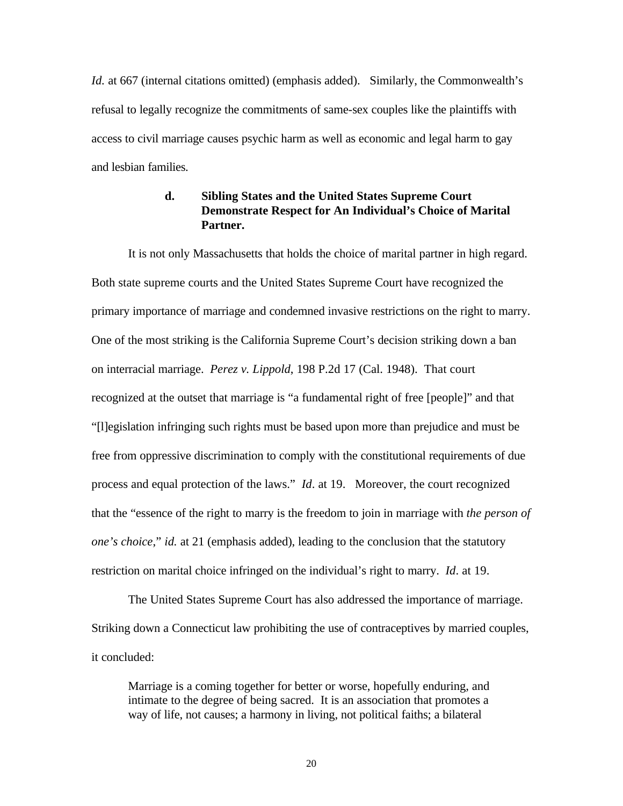*Id.* at 667 (internal citations omitted) (emphasis added). Similarly, the Commonwealth's refusal to legally recognize the commitments of same-sex couples like the plaintiffs with access to civil marriage causes psychic harm as well as economic and legal harm to gay and lesbian families.

## **d. Sibling States and the United States Supreme Court Demonstrate Respect for An Individual's Choice of Marital Partner.**

It is not only Massachusetts that holds the choice of marital partner in high regard. Both state supreme courts and the United States Supreme Court have recognized the primary importance of marriage and condemned invasive restrictions on the right to marry. One of the most striking is the California Supreme Court's decision striking down a ban on interracial marriage. *Perez v. Lippold*, 198 P.2d 17 (Cal. 1948). That court recognized at the outset that marriage is "a fundamental right of free [people]" and that "[l]egislation infringing such rights must be based upon more than prejudice and must be free from oppressive discrimination to comply with the constitutional requirements of due process and equal protection of the laws." *Id*. at 19. Moreover, the court recognized that the "essence of the right to marry is the freedom to join in marriage with *the person of one's choice*," *id.* at 21 (emphasis added), leading to the conclusion that the statutory restriction on marital choice infringed on the individual's right to marry. *Id*. at 19.

The United States Supreme Court has also addressed the importance of marriage. Striking down a Connecticut law prohibiting the use of contraceptives by married couples, it concluded:

Marriage is a coming together for better or worse, hopefully enduring, and intimate to the degree of being sacred. It is an association that promotes a way of life, not causes; a harmony in living, not political faiths; a bilateral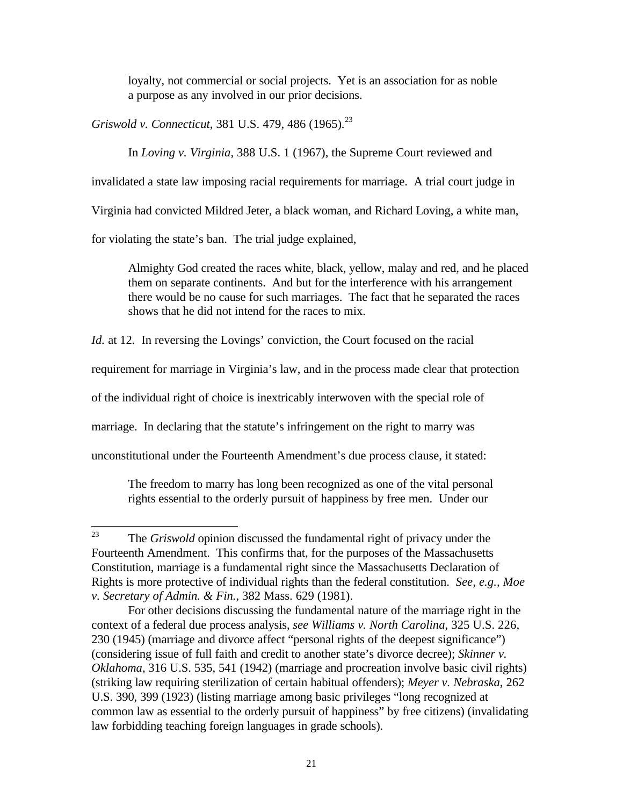loyalty, not commercial or social projects. Yet is an association for as noble a purpose as any involved in our prior decisions.

*Griswold v. Connecticut*, 381 U.S. 479, 486 (1965)*.* 23 

In *Loving v. Virginia*, 388 U.S. 1 (1967), the Supreme Court reviewed and

invalidated a state law imposing racial requirements for marriage. A trial court judge in

Virginia had convicted Mildred Jeter, a black woman, and Richard Loving, a white man,

for violating the state's ban. The trial judge explained,

Almighty God created the races white, black, yellow, malay and red, and he placed them on separate continents. And but for the interference with his arrangement there would be no cause for such marriages. The fact that he separated the races shows that he did not intend for the races to mix.

*Id.* at 12. In reversing the Lovings' conviction, the Court focused on the racial

requirement for marriage in Virginia's law, and in the process made clear that protection

of the individual right of choice is inextricably interwoven with the special role of

marriage. In declaring that the statute's infringement on the right to marry was

unconstitutional under the Fourteenth Amendment's due process clause, it stated:

The freedom to marry has long been recognized as one of the vital personal rights essential to the orderly pursuit of happiness by free men. Under our

 $23$ The *Griswold* opinion discussed the fundamental right of privacy under the Fourteenth Amendment. This confirms that, for the purposes of the Massachusetts Constitution, marriage is a fundamental right since the Massachusetts Declaration of Rights is more protective of individual rights than the federal constitution. *See, e.g., Moe v. Secretary of Admin. & Fin.*, 382 Mass. 629 (1981).

For other decisions discussing the fundamental nature of the marriage right in the context of a federal due process analysis, *see Williams v. North Carolina*, 325 U.S. 226, 230 (1945) (marriage and divorce affect "personal rights of the deepest significance") (considering issue of full faith and credit to another state's divorce decree); *Skinner v. Oklahoma*, 316 U.S. 535, 541 (1942) (marriage and procreation involve basic civil rights) (striking law requiring sterilization of certain habitual offenders); *Meyer v. Nebraska*, 262 U.S. 390, 399 (1923) (listing marriage among basic privileges "long recognized at common law as essential to the orderly pursuit of happiness" by free citizens) (invalidating law forbidding teaching foreign languages in grade schools).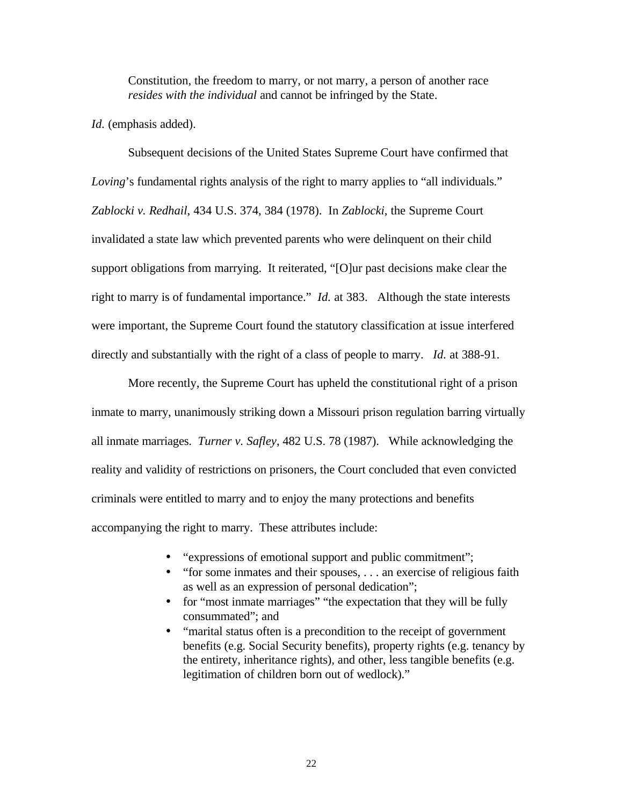Constitution, the freedom to marry, or not marry, a person of another race *resides with the individual* and cannot be infringed by the State.

*Id.* (emphasis added).

Subsequent decisions of the United States Supreme Court have confirmed that *Loving*'s fundamental rights analysis of the right to marry applies to "all individuals." *Zablocki v. Redhail*, 434 U.S. 374, 384 (1978). In *Zablocki*, the Supreme Court invalidated a state law which prevented parents who were delinquent on their child support obligations from marrying. It reiterated, "[O]ur past decisions make clear the right to marry is of fundamental importance." *Id.* at 383. Although the state interests were important, the Supreme Court found the statutory classification at issue interfered directly and substantially with the right of a class of people to marry. *Id.* at 388-91.

More recently, the Supreme Court has upheld the constitutional right of a prison inmate to marry, unanimously striking down a Missouri prison regulation barring virtually all inmate marriages. *Turner v. Safley*, 482 U.S. 78 (1987). While acknowledging the reality and validity of restrictions on prisoners, the Court concluded that even convicted criminals were entitled to marry and to enjoy the many protections and benefits accompanying the right to marry. These attributes include:

- "expressions of emotional support and public commitment";
- "for some inmates and their spouses, ... an exercise of religious faith as well as an expression of personal dedication";
- for "most inmate marriages" "the expectation that they will be fully consummated"; and
- "marital status often is a precondition to the receipt of government benefits (e.g. Social Security benefits), property rights (e.g. tenancy by the entirety, inheritance rights), and other, less tangible benefits (e.g. legitimation of children born out of wedlock)."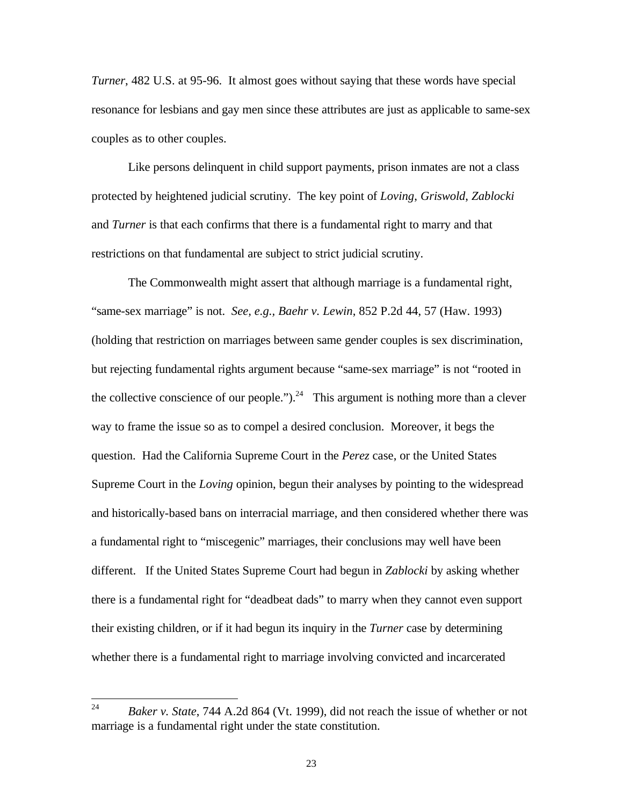*Turner*, 482 U.S. at 95-96. It almost goes without saying that these words have special resonance for lesbians and gay men since these attributes are just as applicable to same-sex couples as to other couples.

Like persons delinquent in child support payments, prison inmates are not a class protected by heightened judicial scrutiny. The key point of *Loving*, *Griswold*, *Zablocki* and *Turner* is that each confirms that there is a fundamental right to marry and that restrictions on that fundamental are subject to strict judicial scrutiny.

The Commonwealth might assert that although marriage is a fundamental right, "same-sex marriage" is not. *See, e.g., Baehr v. Lewin*, 852 P.2d 44, 57 (Haw. 1993) (holding that restriction on marriages between same gender couples is sex discrimination, but rejecting fundamental rights argument because "same-sex marriage" is not "rooted in the collective conscience of our people.").<sup>24</sup> This argument is nothing more than a clever way to frame the issue so as to compel a desired conclusion. Moreover, it begs the question. Had the California Supreme Court in the *Perez* case, or the United States Supreme Court in the *Loving* opinion, begun their analyses by pointing to the widespread and historically-based bans on interracial marriage, and then considered whether there was a fundamental right to "miscegenic" marriages, their conclusions may well have been different. If the United States Supreme Court had begun in *Zablocki* by asking whether there is a fundamental right for "deadbeat dads" to marry when they cannot even support their existing children, or if it had begun its inquiry in the *Turner* case by determining whether there is a fundamental right to marriage involving convicted and incarcerated

<sup>24</sup> <sup>24</sup> *Baker v. State*, 744 A.2d 864 (Vt. 1999), did not reach the issue of whether or not marriage is a fundamental right under the state constitution.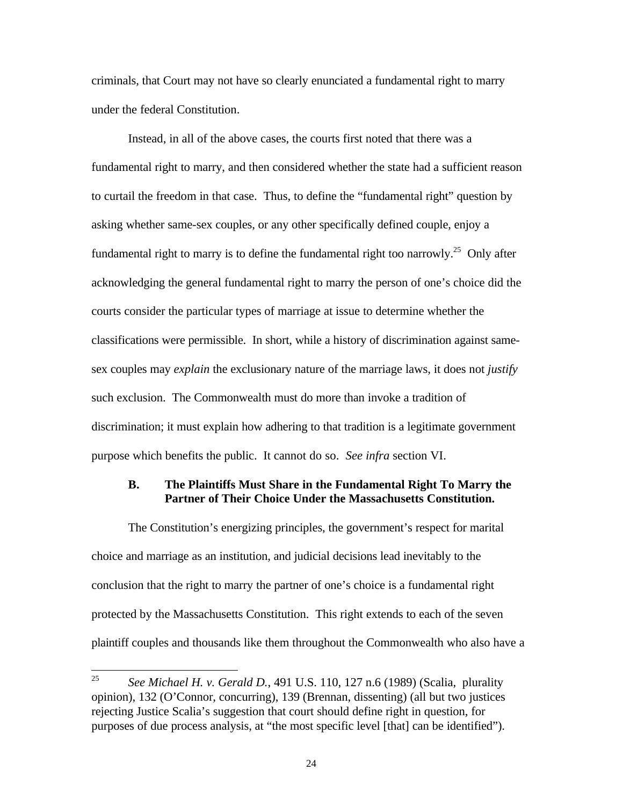criminals, that Court may not have so clearly enunciated a fundamental right to marry under the federal Constitution.

Instead, in all of the above cases, the courts first noted that there was a fundamental right to marry, and then considered whether the state had a sufficient reason to curtail the freedom in that case. Thus, to define the "fundamental right" question by asking whether same-sex couples, or any other specifically defined couple, enjoy a fundamental right to marry is to define the fundamental right too narrowly.<sup>25</sup> Only after acknowledging the general fundamental right to marry the person of one's choice did the courts consider the particular types of marriage at issue to determine whether the classifications were permissible. In short, while a history of discrimination against samesex couples may *explain* the exclusionary nature of the marriage laws, it does not *justify* such exclusion. The Commonwealth must do more than invoke a tradition of discrimination; it must explain how adhering to that tradition is a legitimate government purpose which benefits the public. It cannot do so. *See infra* section VI.

#### **B. The Plaintiffs Must Share in the Fundamental Right To Marry the Partner of Their Choice Under the Massachusetts Constitution.**

The Constitution's energizing principles, the government's respect for marital choice and marriage as an institution, and judicial decisions lead inevitably to the conclusion that the right to marry the partner of one's choice is a fundamental right protected by the Massachusetts Constitution. This right extends to each of the seven plaintiff couples and thousands like them throughout the Commonwealth who also have a

<sup>25</sup> <sup>25</sup> *See Michael H. v. Gerald D.*, 491 U.S. 110, 127 n.6 (1989) (Scalia, plurality opinion), 132 (O'Connor, concurring), 139 (Brennan, dissenting) (all but two justices rejecting Justice Scalia's suggestion that court should define right in question, for purposes of due process analysis, at "the most specific level [that] can be identified").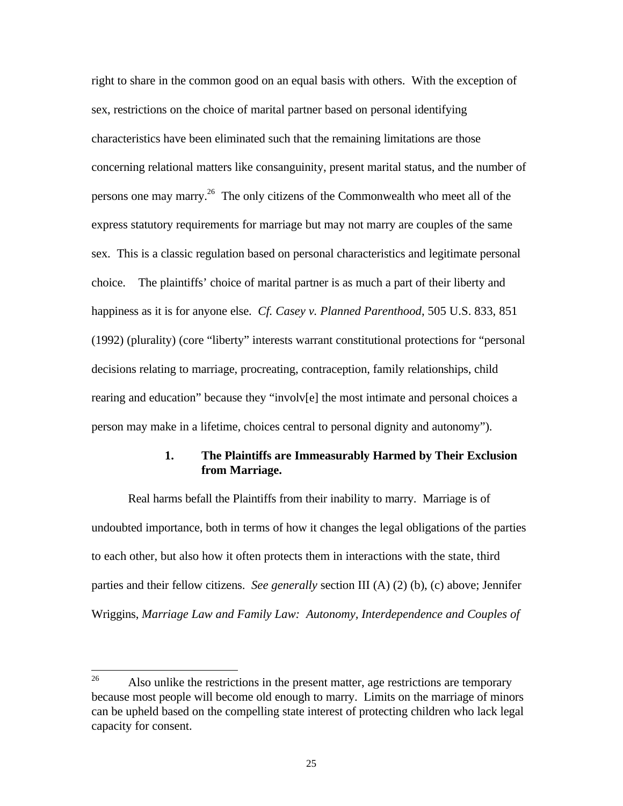right to share in the common good on an equal basis with others. With the exception of sex, restrictions on the choice of marital partner based on personal identifying characteristics have been eliminated such that the remaining limitations are those concerning relational matters like consanguinity, present marital status, and the number of persons one may marry.<sup>26</sup> The only citizens of the Commonwealth who meet all of the express statutory requirements for marriage but may not marry are couples of the same sex. This is a classic regulation based on personal characteristics and legitimate personal choice. The plaintiffs' choice of marital partner is as much a part of their liberty and happiness as it is for anyone else. *Cf. Casey v. Planned Parenthood*, 505 U.S. 833, 851 (1992) (plurality) (core "liberty" interests warrant constitutional protections for "personal decisions relating to marriage, procreating, contraception, family relationships, child rearing and education" because they "involv[e] the most intimate and personal choices a person may make in a lifetime, choices central to personal dignity and autonomy").

### **1. The Plaintiffs are Immeasurably Harmed by Their Exclusion from Marriage.**

Real harms befall the Plaintiffs from their inability to marry. Marriage is of undoubted importance, both in terms of how it changes the legal obligations of the parties to each other, but also how it often protects them in interactions with the state, third parties and their fellow citizens. *See generally* section III (A) (2) (b), (c) above; Jennifer Wriggins, *Marriage Law and Family Law: Autonomy, Interdependence and Couples of* 

<sup>26</sup> Also unlike the restrictions in the present matter, age restrictions are temporary because most people will become old enough to marry. Limits on the marriage of minors can be upheld based on the compelling state interest of protecting children who lack legal capacity for consent.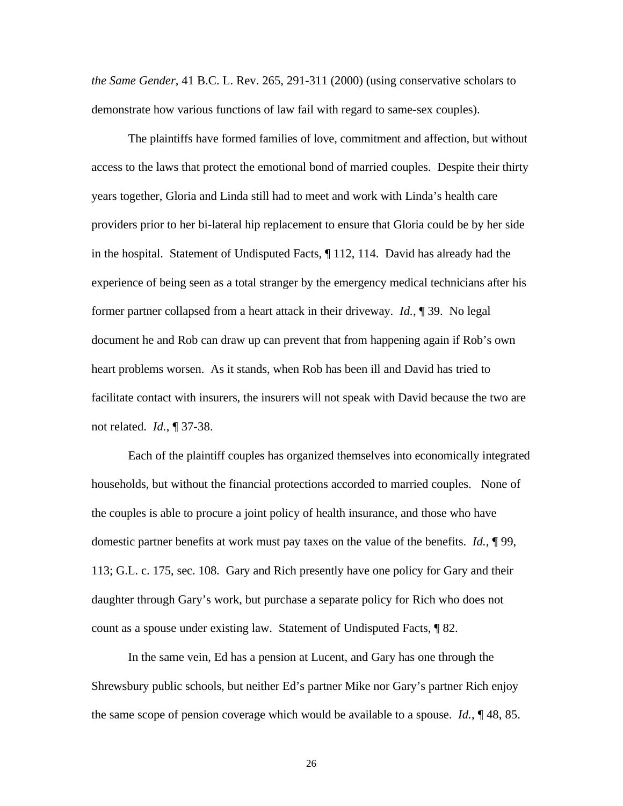*the Same Gender*, 41 B.C. L. Rev. 265, 291-311 (2000) (using conservative scholars to demonstrate how various functions of law fail with regard to same-sex couples).

The plaintiffs have formed families of love, commitment and affection, but without access to the laws that protect the emotional bond of married couples. Despite their thirty years together, Gloria and Linda still had to meet and work with Linda's health care providers prior to her bi-lateral hip replacement to ensure that Gloria could be by her side in the hospital. Statement of Undisputed Facts, ¶ 112, 114. David has already had the experience of being seen as a total stranger by the emergency medical technicians after his former partner collapsed from a heart attack in their driveway. *Id.*, ¶ 39. No legal document he and Rob can draw up can prevent that from happening again if Rob's own heart problems worsen. As it stands, when Rob has been ill and David has tried to facilitate contact with insurers, the insurers will not speak with David because the two are not related. *Id.*, ¶ 37-38.

Each of the plaintiff couples has organized themselves into economically integrated households, but without the financial protections accorded to married couples. None of the couples is able to procure a joint policy of health insurance, and those who have domestic partner benefits at work must pay taxes on the value of the benefits. *Id.*, ¶ 99, 113; G.L. c. 175, sec. 108. Gary and Rich presently have one policy for Gary and their daughter through Gary's work, but purchase a separate policy for Rich who does not count as a spouse under existing law. Statement of Undisputed Facts, ¶ 82.

In the same vein, Ed has a pension at Lucent, and Gary has one through the Shrewsbury public schools, but neither Ed's partner Mike nor Gary's partner Rich enjoy the same scope of pension coverage which would be available to a spouse. *Id.*, ¶ 48, 85.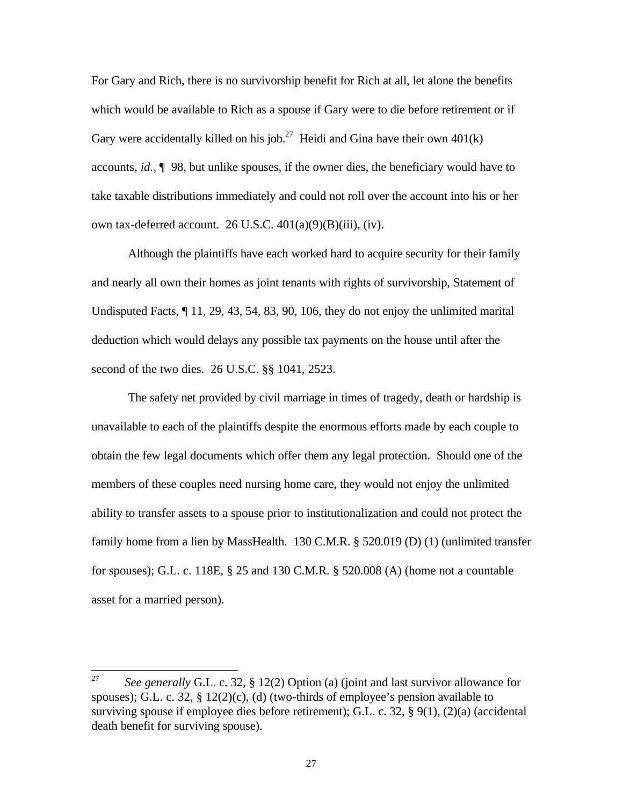For Gary and Rich, there is no survivorship benefit for Rich at all, let alone the benefits which would be available to Rich as a spouse if Gary were to die before retirement or if Gary were accidentally killed on his job.<sup>27</sup> Heidi and Gina have their own  $401(k)$ accounts, *id.*, ¶ 98, but unlike spouses, if the owner dies, the beneficiary would have to take taxable distributions immediately and could not roll over the account into his or her own tax-deferred account. 26 U.S.C.  $401(a)(9)(B)(iii)$ , (iv).

Although the plaintiffs have each worked hard to acquire security for their family and nearly all own their homes as joint tenants with rights of survivorship, Statement of Undisputed Facts, ¶ 11, 29, 43, 54, 83, 90, 106, they do not enjoy the unlimited marital deduction which would delays any possible tax payments on the house until after the second of the two dies. 26 U.S.C. §§ 1041, 2523.

The safety net provided by civil marriage in times of tragedy, death or hardship is unavailable to each of the plaintiffs despite the enormous efforts made by each couple to obtain the few legal documents which offer them any legal protection. Should one of the members of these couples need nursing home care, they would not enjoy the unlimited ability to transfer assets to a spouse prior to institutionalization and could not protect the family home from a lien by MassHealth. 130 C.M.R. § 520.019 (D) (1) (unlimited transfer for spouses); G.L. c. 118E, § 25 and 130 C.M.R. § 520.008 (A) (home not a countable asset for a married person).

<sup>27</sup> <sup>27</sup> *See generally* G.L. c. 32, § 12(2) Option (a) (joint and last survivor allowance for spouses); G.L. c. 32,  $\S$  12(2)(c), (d) (two-thirds of employee's pension available to surviving spouse if employee dies before retirement); G.L. c. 32, § 9(1), (2)(a) (accidental death benefit for surviving spouse).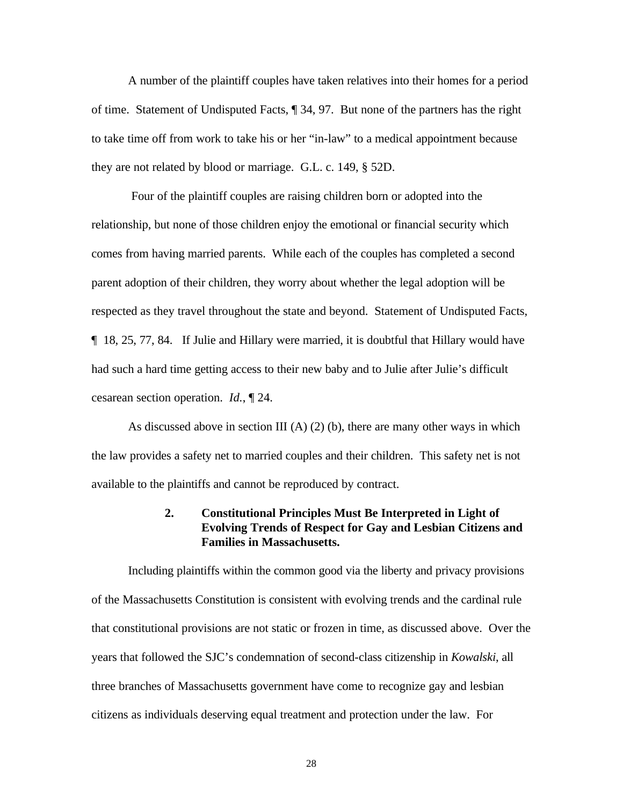A number of the plaintiff couples have taken relatives into their homes for a period of time. Statement of Undisputed Facts, ¶ 34, 97. But none of the partners has the right to take time off from work to take his or her "in-law" to a medical appointment because they are not related by blood or marriage. G.L. c. 149, § 52D.

 Four of the plaintiff couples are raising children born or adopted into the relationship, but none of those children enjoy the emotional or financial security which comes from having married parents. While each of the couples has completed a second parent adoption of their children, they worry about whether the legal adoption will be respected as they travel throughout the state and beyond. Statement of Undisputed Facts, ¶ 18, 25, 77, 84. If Julie and Hillary were married, it is doubtful that Hillary would have had such a hard time getting access to their new baby and to Julie after Julie's difficult cesarean section operation. *Id.*, ¶ 24.

As discussed above in section III (A) (2) (b), there are many other ways in which the law provides a safety net to married couples and their children. This safety net is not available to the plaintiffs and cannot be reproduced by contract.

#### **2. Constitutional Principles Must Be Interpreted in Light of Evolving Trends of Respect for Gay and Lesbian Citizens and Families in Massachusetts.**

Including plaintiffs within the common good via the liberty and privacy provisions of the Massachusetts Constitution is consistent with evolving trends and the cardinal rule that constitutional provisions are not static or frozen in time, as discussed above. Over the years that followed the SJC's condemnation of second-class citizenship in *Kowalski*, all three branches of Massachusetts government have come to recognize gay and lesbian citizens as individuals deserving equal treatment and protection under the law. For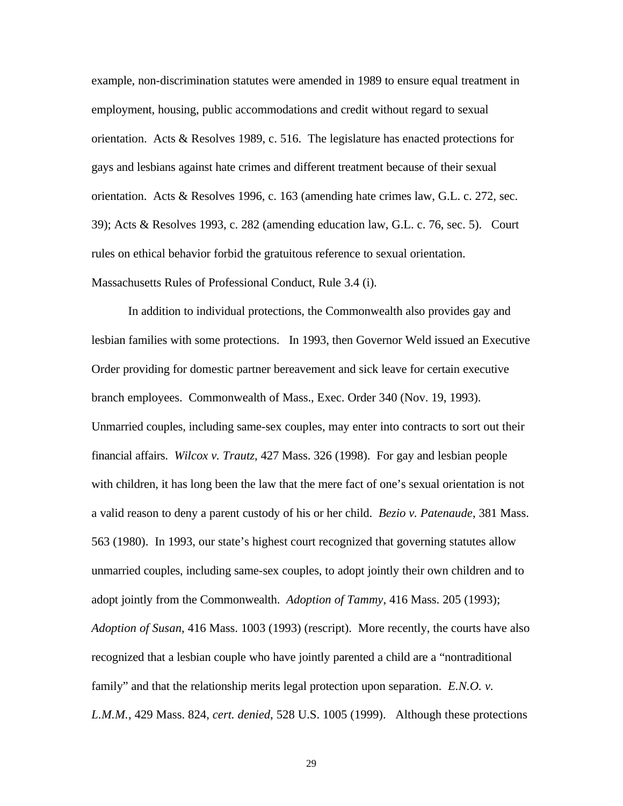example, non-discrimination statutes were amended in 1989 to ensure equal treatment in employment, housing, public accommodations and credit without regard to sexual orientation. Acts & Resolves 1989, c. 516. The legislature has enacted protections for gays and lesbians against hate crimes and different treatment because of their sexual orientation. Acts & Resolves 1996, c. 163 (amending hate crimes law, G.L. c. 272, sec. 39); Acts & Resolves 1993, c. 282 (amending education law, G.L. c. 76, sec. 5). Court rules on ethical behavior forbid the gratuitous reference to sexual orientation. Massachusetts Rules of Professional Conduct, Rule 3.4 (i).

In addition to individual protections, the Commonwealth also provides gay and lesbian families with some protections. In 1993, then Governor Weld issued an Executive Order providing for domestic partner bereavement and sick leave for certain executive branch employees. Commonwealth of Mass., Exec. Order 340 (Nov. 19, 1993). Unmarried couples, including same-sex couples, may enter into contracts to sort out their financial affairs. *Wilcox v. Trautz*, 427 Mass. 326 (1998). For gay and lesbian people with children, it has long been the law that the mere fact of one's sexual orientation is not a valid reason to deny a parent custody of his or her child. *Bezio v. Patenaude*, 381 Mass. 563 (1980). In 1993, our state's highest court recognized that governing statutes allow unmarried couples, including same-sex couples, to adopt jointly their own children and to adopt jointly from the Commonwealth. *Adoption of Tammy*, 416 Mass. 205 (1993); *Adoption of Susan*, 416 Mass. 1003 (1993) (rescript). More recently, the courts have also recognized that a lesbian couple who have jointly parented a child are a "nontraditional family" and that the relationship merits legal protection upon separation. *E.N.O. v. L.M.M.*, 429 Mass. 824, *cert. denied*, 528 U.S. 1005 (1999). Although these protections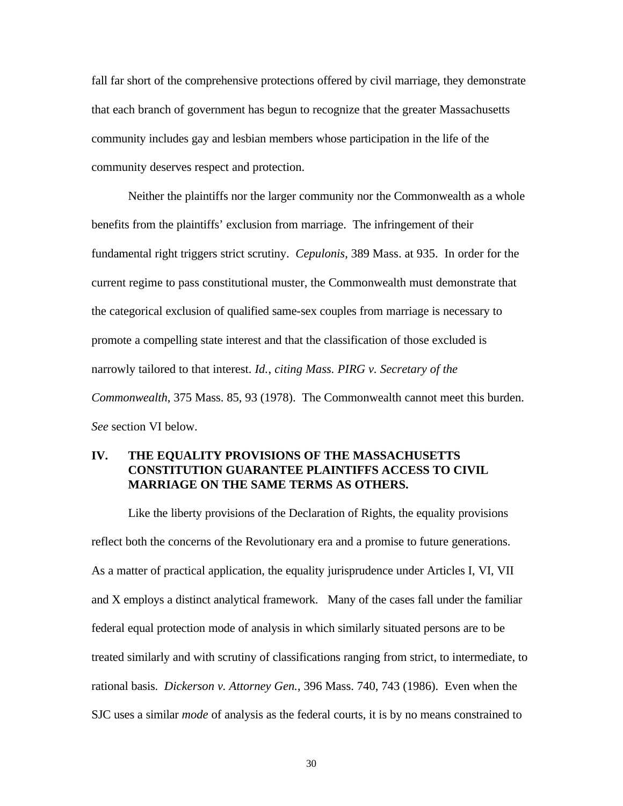fall far short of the comprehensive protections offered by civil marriage, they demonstrate that each branch of government has begun to recognize that the greater Massachusetts community includes gay and lesbian members whose participation in the life of the community deserves respect and protection.

Neither the plaintiffs nor the larger community nor the Commonwealth as a whole benefits from the plaintiffs' exclusion from marriage. The infringement of their fundamental right triggers strict scrutiny. *Cepulonis*, 389 Mass. at 935. In order for the current regime to pass constitutional muster, the Commonwealth must demonstrate that the categorical exclusion of qualified same-sex couples from marriage is necessary to promote a compelling state interest and that the classification of those excluded is narrowly tailored to that interest. *Id.*, *citing Mass. PIRG v. Secretary of the Commonwealth*, 375 Mass. 85, 93 (1978). The Commonwealth cannot meet this burden. *See* section VI below.

### **IV. THE EQUALITY PROVISIONS OF THE MASSACHUSETTS CONSTITUTION GUARANTEE PLAINTIFFS ACCESS TO CIVIL MARRIAGE ON THE SAME TERMS AS OTHERS.**

Like the liberty provisions of the Declaration of Rights, the equality provisions reflect both the concerns of the Revolutionary era and a promise to future generations. As a matter of practical application, the equality jurisprudence under Articles I, VI, VII and X employs a distinct analytical framework. Many of the cases fall under the familiar federal equal protection mode of analysis in which similarly situated persons are to be treated similarly and with scrutiny of classifications ranging from strict, to intermediate, to rational basis. *Dickerson v. Attorney Gen.*, 396 Mass. 740, 743 (1986). Even when the SJC uses a similar *mode* of analysis as the federal courts, it is by no means constrained to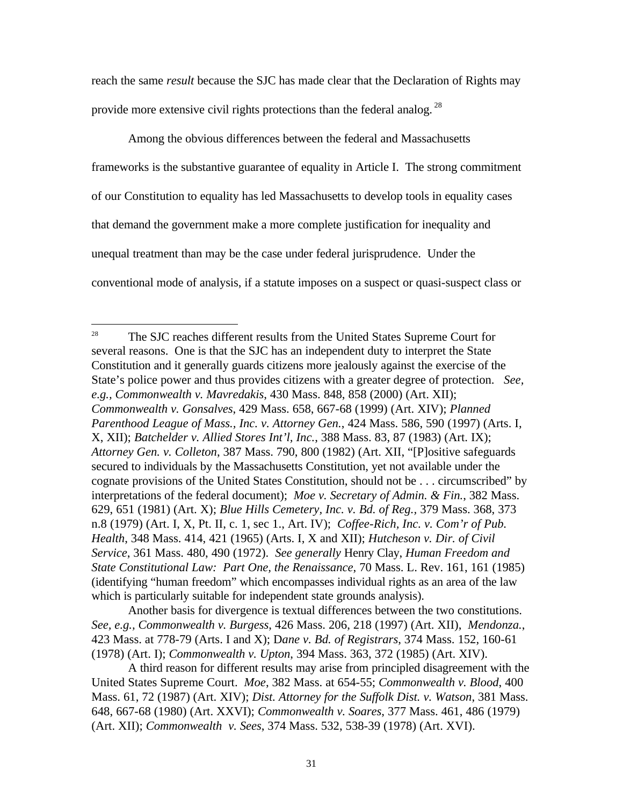reach the same *result* because the SJC has made clear that the Declaration of Rights may provide more extensive civil rights protections than the federal analog.<sup>28</sup>

Among the obvious differences between the federal and Massachusetts frameworks is the substantive guarantee of equality in Article I. The strong commitment of our Constitution to equality has led Massachusetts to develop tools in equality cases that demand the government make a more complete justification for inequality and unequal treatment than may be the case under federal jurisprudence. Under the conventional mode of analysis, if a statute imposes on a suspect or quasi-suspect class or

-

Another basis for divergence is textual differences between the two constitutions. *See, e.g., Commonwealth v. Burgess*, 426 Mass. 206, 218 (1997) (Art. XII), *Mendonza.*, 423 Mass. at 778-79 (Arts. I and X); D*ane v. Bd. of Registrars*, 374 Mass. 152, 160-61 (1978) (Art. I); *Commonwealth v. Upton*, 394 Mass. 363, 372 (1985) (Art. XIV).

<sup>&</sup>lt;sup>28</sup> The SJC reaches different results from the United States Supreme Court for several reasons. One is that the SJC has an independent duty to interpret the State Constitution and it generally guards citizens more jealously against the exercise of the State's police power and thus provides citizens with a greater degree of protection. *See, e.g., Commonwealth v. Mavredakis*, 430 Mass. 848, 858 (2000) (Art. XII); *Commonwealth v. Gonsalves*, 429 Mass. 658, 667-68 (1999) (Art. XIV); *Planned Parenthood League of Mass., Inc. v. Attorney Gen.*, 424 Mass. 586, 590 (1997) (Arts. I, X, XII); *Batchelder v. Allied Stores Int'l, Inc.*, 388 Mass. 83, 87 (1983) (Art. IX); *Attorney Gen. v. Colleton*, 387 Mass. 790, 800 (1982) (Art. XII, "[P]ositive safeguards secured to individuals by the Massachusetts Constitution, yet not available under the cognate provisions of the United States Constitution, should not be . . . circumscribed" by interpretations of the federal document); *Moe v. Secretary of Admin. & Fin.*, 382 Mass. 629, 651 (1981) (Art. X); *Blue Hills Cemetery, Inc. v. Bd. of Reg.,* 379 Mass. 368, 373 n.8 (1979) (Art. I, X, Pt. II, c. 1, sec 1., Art. IV); *Coffee-Rich, Inc. v. Com'r of Pub. Health*, 348 Mass. 414, 421 (1965) (Arts. I, X and XII); *Hutcheson v. Dir. of Civil Service*, 361 Mass. 480, 490 (1972). *See generally* Henry Clay, *Human Freedom and State Constitutional Law: Part One, the Renaissance*, 70 Mass. L. Rev. 161, 161 (1985) (identifying "human freedom" which encompasses individual rights as an area of the law which is particularly suitable for independent state grounds analysis).

A third reason for different results may arise from principled disagreement with the United States Supreme Court. *Moe*, 382 Mass. at 654-55; *Commonwealth v. Blood*, 400 Mass. 61, 72 (1987) (Art. XIV); *Dist. Attorney for the Suffolk Dist. v. Watson*, 381 Mass. 648, 667-68 (1980) (Art. XXVI); *Commonwealth v. Soares*, 377 Mass. 461, 486 (1979) (Art. XII); *Commonwealth v. Sees*, 374 Mass. 532, 538-39 (1978) (Art. XVI).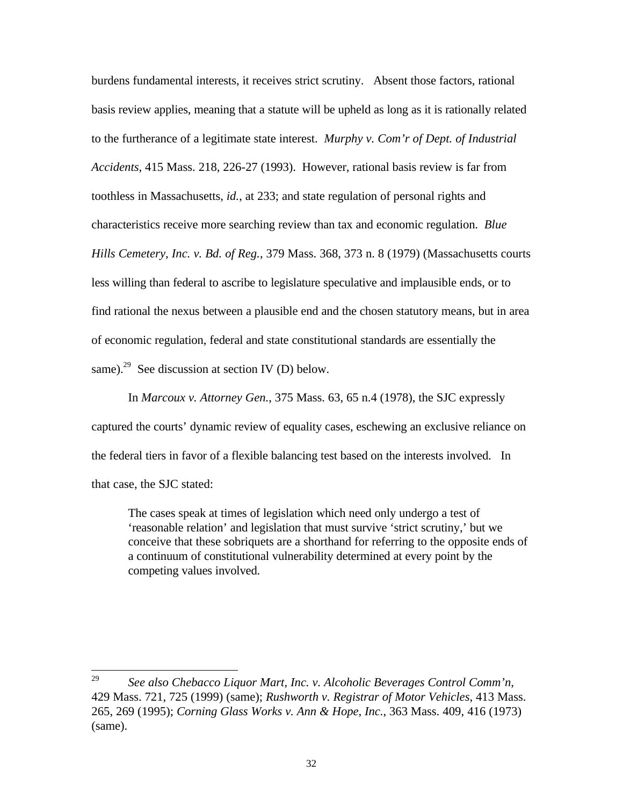burdens fundamental interests, it receives strict scrutiny. Absent those factors, rational basis review applies, meaning that a statute will be upheld as long as it is rationally related to the furtherance of a legitimate state interest. *Murphy v. Com'r of Dept. of Industrial Accidents*, 415 Mass. 218, 226-27 (1993). However, rational basis review is far from toothless in Massachusetts, *id.*, at 233; and state regulation of personal rights and characteristics receive more searching review than tax and economic regulation. *Blue Hills Cemetery, Inc. v. Bd. of Reg.*, 379 Mass. 368, 373 n. 8 (1979) (Massachusetts courts less willing than federal to ascribe to legislature speculative and implausible ends, or to find rational the nexus between a plausible end and the chosen statutory means, but in area of economic regulation, federal and state constitutional standards are essentially the same).<sup>29</sup> See discussion at section IV (D) below.

In *Marcoux v. Attorney Gen.*, 375 Mass. 63, 65 n.4 (1978), the SJC expressly captured the courts' dynamic review of equality cases, eschewing an exclusive reliance on the federal tiers in favor of a flexible balancing test based on the interests involved. In that case, the SJC stated:

The cases speak at times of legislation which need only undergo a test of 'reasonable relation' and legislation that must survive 'strict scrutiny,' but we conceive that these sobriquets are a shorthand for referring to the opposite ends of a continuum of constitutional vulnerability determined at every point by the competing values involved.

 $\overline{a}$ 

<sup>29</sup> *See also Chebacco Liquor Mart, Inc. v. Alcoholic Beverages Control Comm'n*, 429 Mass. 721, 725 (1999) (same); *Rushworth v. Registrar of Motor Vehicles*, 413 Mass. 265, 269 (1995); *Corning Glass Works v. Ann & Hope, Inc.*, 363 Mass. 409, 416 (1973) (same).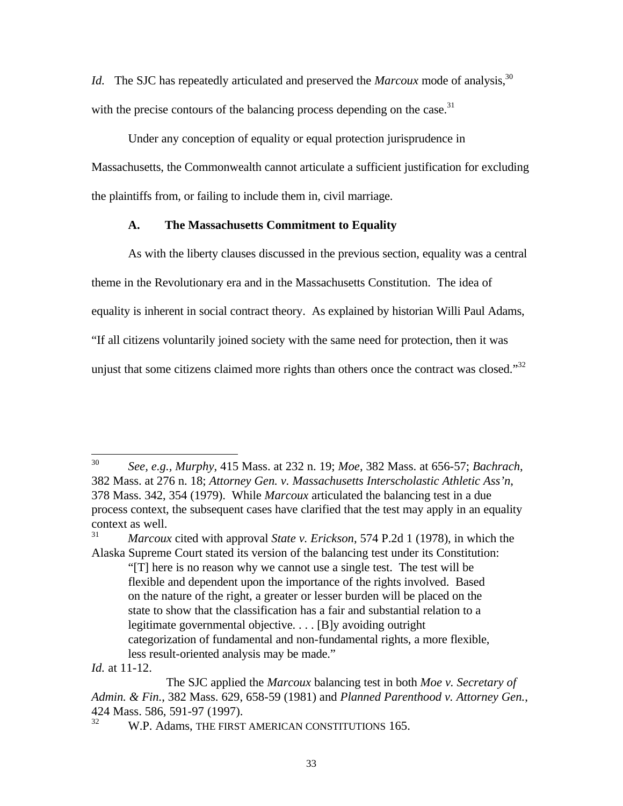*Id.* The SJC has repeatedly articulated and preserved the *Marcoux* mode of analysis,<sup>30</sup> with the precise contours of the balancing process depending on the case. $31$ 

Under any conception of equality or equal protection jurisprudence in Massachusetts, the Commonwealth cannot articulate a sufficient justification for excluding the plaintiffs from, or failing to include them in, civil marriage.

### **A. The Massachusetts Commitment to Equality**

As with the liberty clauses discussed in the previous section, equality was a central theme in the Revolutionary era and in the Massachusetts Constitution. The idea of equality is inherent in social contract theory. As explained by historian Willi Paul Adams, "If all citizens voluntarily joined society with the same need for protection, then it was unjust that some citizens claimed more rights than others once the contract was closed."<sup>32</sup>

-

<sup>30</sup> *See, e.g., Murphy*, 415 Mass. at 232 n. 19; *Moe*, 382 Mass. at 656-57; *Bachrach*, 382 Mass. at 276 n. 18; *Attorney Gen. v. Massachusetts Interscholastic Athletic Ass'n*, 378 Mass. 342, 354 (1979). While *Marcoux* articulated the balancing test in a due process context, the subsequent cases have clarified that the test may apply in an equality context as well.

<sup>31</sup> *Marcoux* cited with approval *State v. Erickson*, 574 P.2d 1 (1978), in which the Alaska Supreme Court stated its version of the balancing test under its Constitution: "[T] here is no reason why we cannot use a single test. The test will be flexible and dependent upon the importance of the rights involved. Based on the nature of the right, a greater or lesser burden will be placed on the state to show that the classification has a fair and substantial relation to a legitimate governmental objective. . . . [B]y avoiding outright categorization of fundamental and non-fundamental rights, a more flexible, less result-oriented analysis may be made."

*Id.* at 11-12.

The SJC applied the *Marcoux* balancing test in both *Moe v. Secretary of Admin. & Fin.*, 382 Mass. 629, 658-59 (1981) and *Planned Parenthood v. Attorney Gen.*, 424 Mass. 586, 591-97 (1997).

W.P. Adams, THE FIRST AMERICAN CONSTITUTIONS 165.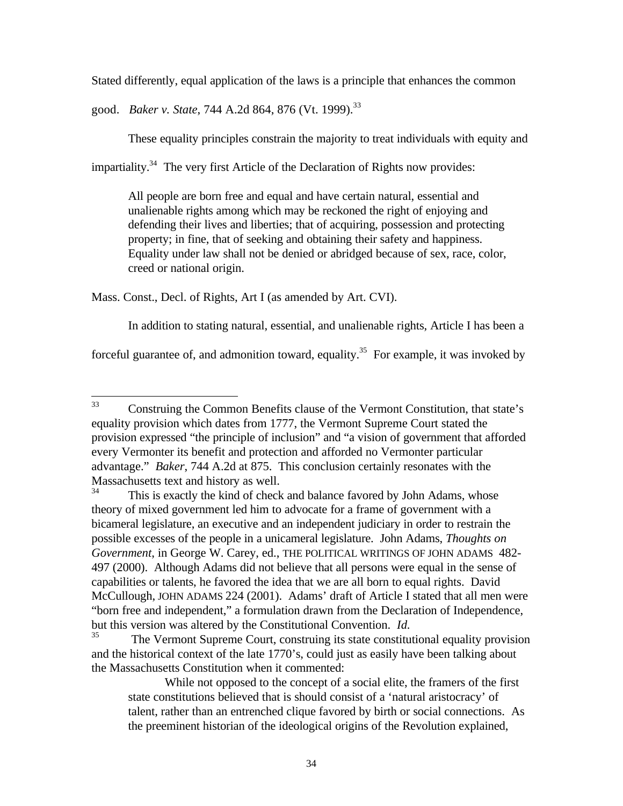Stated differently, equal application of the laws is a principle that enhances the common

good. *Baker v. State*, 744 A.2d 864, 876 (Vt. 1999).<sup>33</sup>

These equality principles constrain the majority to treat individuals with equity and

impartiality.<sup>34</sup> The very first Article of the Declaration of Rights now provides:

All people are born free and equal and have certain natural, essential and unalienable rights among which may be reckoned the right of enjoying and defending their lives and liberties; that of acquiring, possession and protecting property; in fine, that of seeking and obtaining their safety and happiness. Equality under law shall not be denied or abridged because of sex, race, color, creed or national origin.

Mass. Const., Decl. of Rights, Art I (as amended by Art. CVI).

In addition to stating natural, essential, and unalienable rights, Article I has been a

forceful guarantee of, and admonition toward, equality.<sup>35</sup> For example, it was invoked by

The Vermont Supreme Court, construing its state constitutional equality provision and the historical context of the late 1770's, could just as easily have been talking about the Massachusetts Constitution when it commented:

While not opposed to the concept of a social elite, the framers of the first state constitutions believed that is should consist of a 'natural aristocracy' of talent, rather than an entrenched clique favored by birth or social connections. As the preeminent historian of the ideological origins of the Revolution explained,

 $33<sup>°</sup>$ <sup>33</sup> Construing the Common Benefits clause of the Vermont Constitution, that state's equality provision which dates from 1777, the Vermont Supreme Court stated the provision expressed "the principle of inclusion" and "a vision of government that afforded every Vermonter its benefit and protection and afforded no Vermonter particular advantage." *Baker*, 744 A.2d at 875. This conclusion certainly resonates with the Massachusetts text and history as well.<br> $34$ <br>This is exactly the kind of sheal

This is exactly the kind of check and balance favored by John Adams, whose theory of mixed government led him to advocate for a frame of government with a bicameral legislature, an executive and an independent judiciary in order to restrain the possible excesses of the people in a unicameral legislature. John Adams, *Thoughts on Government*, in George W. Carey, ed., THE POLITICAL WRITINGS OF JOHN ADAMS 482- 497 (2000). Although Adams did not believe that all persons were equal in the sense of capabilities or talents, he favored the idea that we are all born to equal rights. David McCullough, JOHN ADAMS 224 (2001). Adams' draft of Article I stated that all men were "born free and independent," a formulation drawn from the Declaration of Independence, but this version was altered by the Constitutional Convention. *Id.*<br><sup>35</sup> The Vermont Suprame Court, construing its state constitu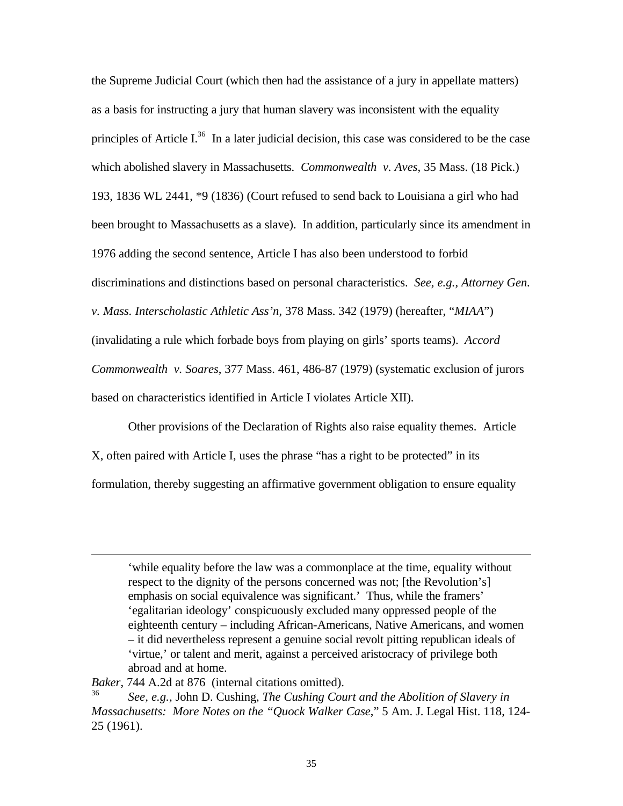the Supreme Judicial Court (which then had the assistance of a jury in appellate matters) as a basis for instructing a jury that human slavery was inconsistent with the equality principles of Article I. $36$  In a later judicial decision, this case was considered to be the case which abolished slavery in Massachusetts. *Commonwealth v. Aves*, 35 Mass. (18 Pick.) 193, 1836 WL 2441, \*9 (1836) (Court refused to send back to Louisiana a girl who had been brought to Massachusetts as a slave). In addition, particularly since its amendment in 1976 adding the second sentence, Article I has also been understood to forbid discriminations and distinctions based on personal characteristics. *See, e.g., Attorney Gen. v. Mass. Interscholastic Athletic Ass'n*, 378 Mass. 342 (1979) (hereafter, "*MIAA*") (invalidating a rule which forbade boys from playing on girls' sports teams). *Accord Commonwealth v. Soares*, 377 Mass. 461, 486-87 (1979) (systematic exclusion of jurors based on characteristics identified in Article I violates Article XII).

Other provisions of the Declaration of Rights also raise equality themes. Article X, often paired with Article I, uses the phrase "has a right to be protected" in its formulation, thereby suggesting an affirmative government obligation to ensure equality

'while equality before the law was a commonplace at the time, equality without respect to the dignity of the persons concerned was not; [the Revolution's] emphasis on social equivalence was significant.' Thus, while the framers' 'egalitarian ideology' conspicuously excluded many oppressed people of the eighteenth century – including African-Americans, Native Americans, and women – it did nevertheless represent a genuine social revolt pitting republican ideals of 'virtue,' or talent and merit, against a perceived aristocracy of privilege both abroad and at home.

*Baker*, 744 A.2d at 876 (internal citations omitted).

 $\overline{a}$ 

<sup>36</sup> *See, e.g.,* John D. Cushing, *The Cushing Court and the Abolition of Slavery in Massachusetts: More Notes on the "Quock Walker Case*," 5 Am. J. Legal Hist. 118, 124- 25 (1961).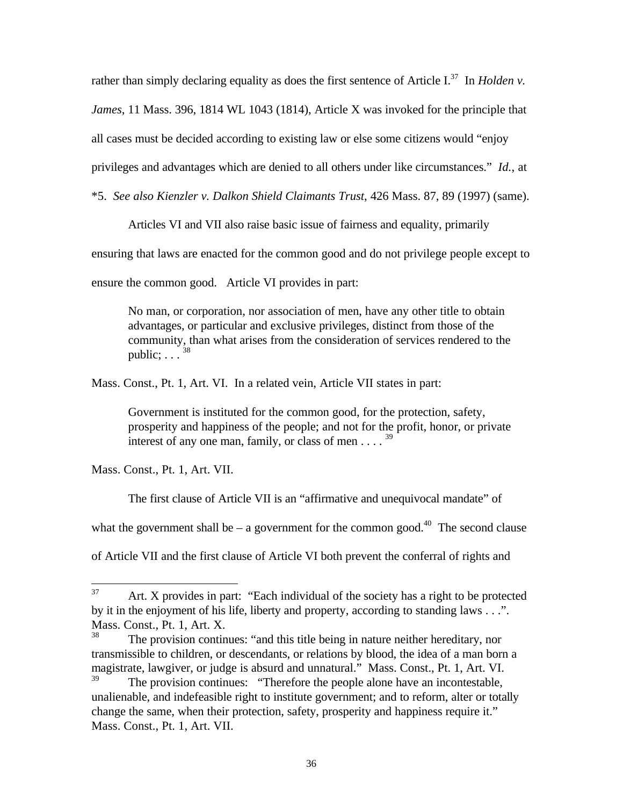rather than simply declaring equality as does the first sentence of Article I.<sup>37</sup> In *Holden v. James*, 11 Mass. 396, 1814 WL 1043 (1814), Article X was invoked for the principle that all cases must be decided according to existing law or else some citizens would "enjoy privileges and advantages which are denied to all others under like circumstances." *Id.*, at

\*5. *See also Kienzler v. Dalkon Shield Claimants Trust*, 426 Mass. 87, 89 (1997) (same).

Articles VI and VII also raise basic issue of fairness and equality, primarily

ensuring that laws are enacted for the common good and do not privilege people except to

ensure the common good. Article VI provides in part:

No man, or corporation, nor association of men, have any other title to obtain advantages, or particular and exclusive privileges, distinct from those of the community, than what arises from the consideration of services rendered to the public:  $\frac{38}{38}$ 

Mass. Const., Pt. 1, Art. VI. In a related vein, Article VII states in part:

Government is instituted for the common good, for the protection, safety, prosperity and happiness of the people; and not for the profit, honor, or private interest of any one man, family, or class of men . . . . <sup>39</sup>

Mass. Const., Pt. 1, Art. VII.

The first clause of Article VII is an "affirmative and unequivocal mandate" of

what the government shall be – a government for the common good.<sup>40</sup> The second clause

of Article VII and the first clause of Article VI both prevent the conferral of rights and

<sup>37</sup> <sup>37</sup> Art. X provides in part: "Each individual of the society has a right to be protected by it in the enjoyment of his life, liberty and property, according to standing laws . . .". Mass. Const., Pt. 1, Art. X.<br><sup>38</sup> The provision continu

The provision continues: "and this title being in nature neither hereditary, nor transmissible to children, or descendants, or relations by blood, the idea of a man born a magistrate, lawgiver, or judge is absurd and unnatural." Mass. Const., Pt. 1, Art. VI.<br><sup>39</sup>

The provision continues: "Therefore the people alone have an incontestable, unalienable, and indefeasible right to institute government; and to reform, alter or totally change the same, when their protection, safety, prosperity and happiness require it." Mass. Const., Pt. 1, Art. VII.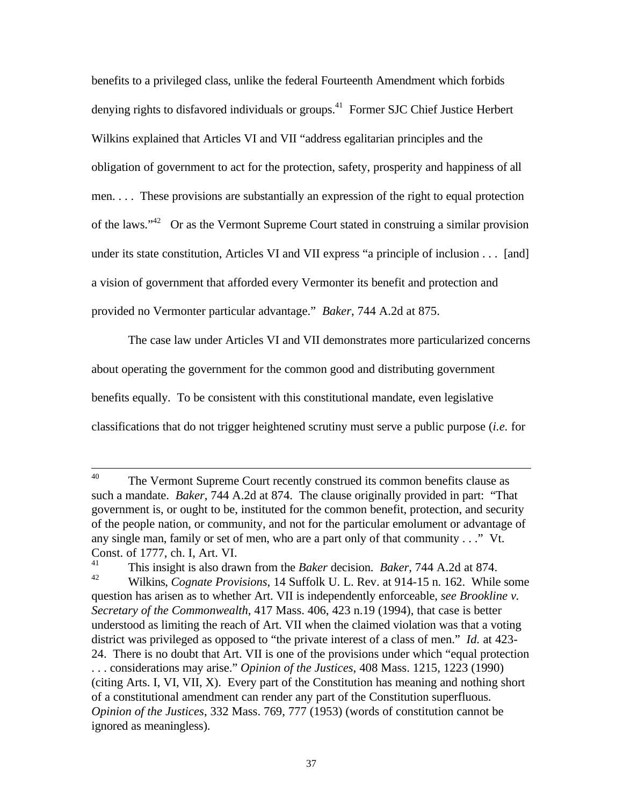benefits to a privileged class, unlike the federal Fourteenth Amendment which forbids denying rights to disfavored individuals or groups.<sup>41</sup> Former SJC Chief Justice Herbert Wilkins explained that Articles VI and VII "address egalitarian principles and the obligation of government to act for the protection, safety, prosperity and happiness of all men. . . . These provisions are substantially an expression of the right to equal protection of the laws."<sup>42</sup> Or as the Vermont Supreme Court stated in construing a similar provision under its state constitution, Articles VI and VII express "a principle of inclusion . . . [and] a vision of government that afforded every Vermonter its benefit and protection and provided no Vermonter particular advantage." *Baker*, 744 A.2d at 875.

The case law under Articles VI and VII demonstrates more particularized concerns about operating the government for the common good and distributing government benefits equally. To be consistent with this constitutional mandate, even legislative classifications that do not trigger heightened scrutiny must serve a public purpose (*i.e.* for

 $40<sup>°</sup>$ The Vermont Supreme Court recently construed its common benefits clause as such a mandate. *Baker*, 744 A.2d at 874. The clause originally provided in part: "That government is, or ought to be, instituted for the common benefit, protection, and security of the people nation, or community, and not for the particular emolument or advantage of any single man, family or set of men, who are a part only of that community . . ." Vt. Const. of 1777, ch. I, Art. VI.

<sup>&</sup>lt;sup>41</sup> This insight is also drawn from the *Baker* decision. *Baker*, 744 A.2d at 874.<br><sup>42</sup> William Cognate Provisions 14 Suffolk U. L. Boy at 014.15 p. 162. While <sup>42</sup> Wilkins, *Cognate Provisions*, 14 Suffolk U. L. Rev. at 914-15 n. 162. While some question has arisen as to whether Art. VII is independently enforceable, *see Brookline v. Secretary of the Commonwealth*, 417 Mass. 406, 423 n.19 (1994), that case is better understood as limiting the reach of Art. VII when the claimed violation was that a voting district was privileged as opposed to "the private interest of a class of men." *Id.* at 423- 24. There is no doubt that Art. VII is one of the provisions under which "equal protection . . . considerations may arise." *Opinion of the Justices*, 408 Mass. 1215, 1223 (1990) (citing Arts. I, VI, VII, X). Every part of the Constitution has meaning and nothing short of a constitutional amendment can render any part of the Constitution superfluous. *Opinion of the Justices*, 332 Mass. 769, 777 (1953) (words of constitution cannot be ignored as meaningless).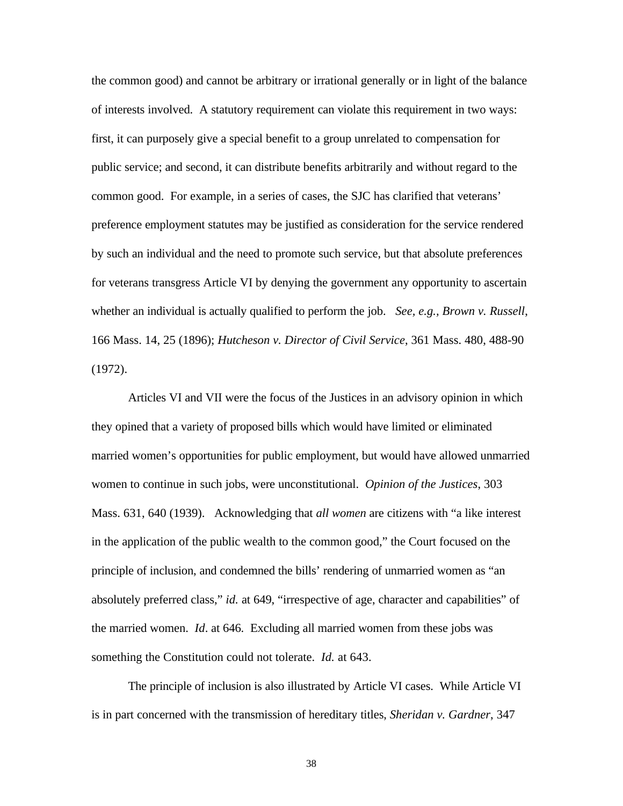the common good) and cannot be arbitrary or irrational generally or in light of the balance of interests involved. A statutory requirement can violate this requirement in two ways: first, it can purposely give a special benefit to a group unrelated to compensation for public service; and second, it can distribute benefits arbitrarily and without regard to the common good. For example, in a series of cases, the SJC has clarified that veterans' preference employment statutes may be justified as consideration for the service rendered by such an individual and the need to promote such service, but that absolute preferences for veterans transgress Article VI by denying the government any opportunity to ascertain whether an individual is actually qualified to perform the job. *See, e.g., Brown v. Russell*, 166 Mass. 14, 25 (1896); *Hutcheson v. Director of Civil Service*, 361 Mass. 480, 488-90 (1972).

Articles VI and VII were the focus of the Justices in an advisory opinion in which they opined that a variety of proposed bills which would have limited or eliminated married women's opportunities for public employment, but would have allowed unmarried women to continue in such jobs, were unconstitutional. *Opinion of the Justices*, 303 Mass. 631, 640 (1939). Acknowledging that *all women* are citizens with "a like interest in the application of the public wealth to the common good," the Court focused on the principle of inclusion, and condemned the bills' rendering of unmarried women as "an absolutely preferred class," *id.* at 649, "irrespective of age, character and capabilities" of the married women. *Id*. at 646. Excluding all married women from these jobs was something the Constitution could not tolerate. *Id.* at 643.

The principle of inclusion is also illustrated by Article VI cases. While Article VI is in part concerned with the transmission of hereditary titles, *Sheridan v. Gardner*, 347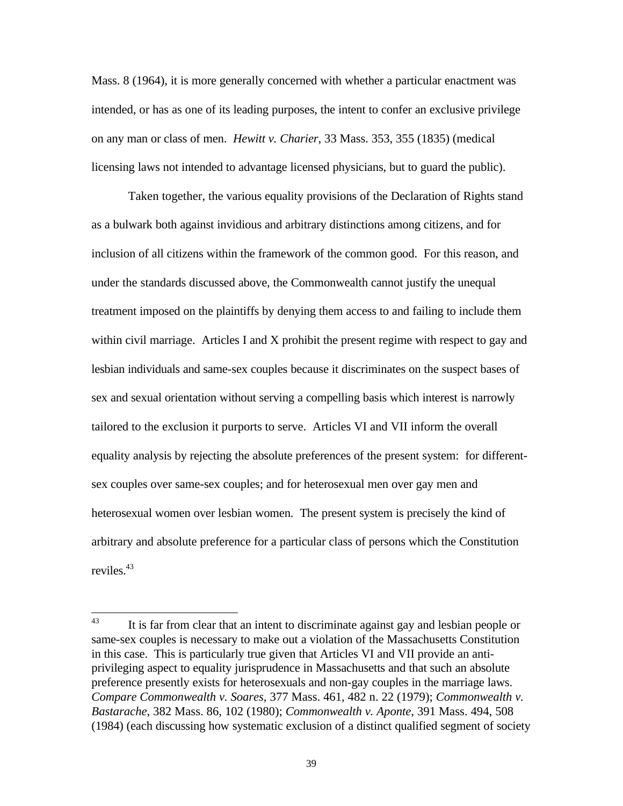Mass. 8 (1964), it is more generally concerned with whether a particular enactment was intended, or has as one of its leading purposes, the intent to confer an exclusive privilege on any man or class of men. *Hewitt v. Charier*, 33 Mass. 353, 355 (1835) (medical licensing laws not intended to advantage licensed physicians, but to guard the public).

Taken together, the various equality provisions of the Declaration of Rights stand as a bulwark both against invidious and arbitrary distinctions among citizens, and for inclusion of all citizens within the framework of the common good. For this reason, and under the standards discussed above, the Commonwealth cannot justify the unequal treatment imposed on the plaintiffs by denying them access to and failing to include them within civil marriage. Articles I and X prohibit the present regime with respect to gay and lesbian individuals and same-sex couples because it discriminates on the suspect bases of sex and sexual orientation without serving a compelling basis which interest is narrowly tailored to the exclusion it purports to serve. Articles VI and VII inform the overall equality analysis by rejecting the absolute preferences of the present system: for differentsex couples over same-sex couples; and for heterosexual men over gay men and heterosexual women over lesbian women. The present system is precisely the kind of arbitrary and absolute preference for a particular class of persons which the Constitution reviles.<sup>43</sup>

<sup>43</sup> It is far from clear that an intent to discriminate against gay and lesbian people or same-sex couples is necessary to make out a violation of the Massachusetts Constitution in this case. This is particularly true given that Articles VI and VII provide an antiprivileging aspect to equality jurisprudence in Massachusetts and that such an absolute preference presently exists for heterosexuals and non-gay couples in the marriage laws. *Compare Commonwealth v. Soares*, 377 Mass. 461, 482 n. 22 (1979); *Commonwealth v. Bastarache*, 382 Mass. 86, 102 (1980); *Commonwealth v. Aponte*, 391 Mass. 494, 508 (1984) (each discussing how systematic exclusion of a distinct qualified segment of society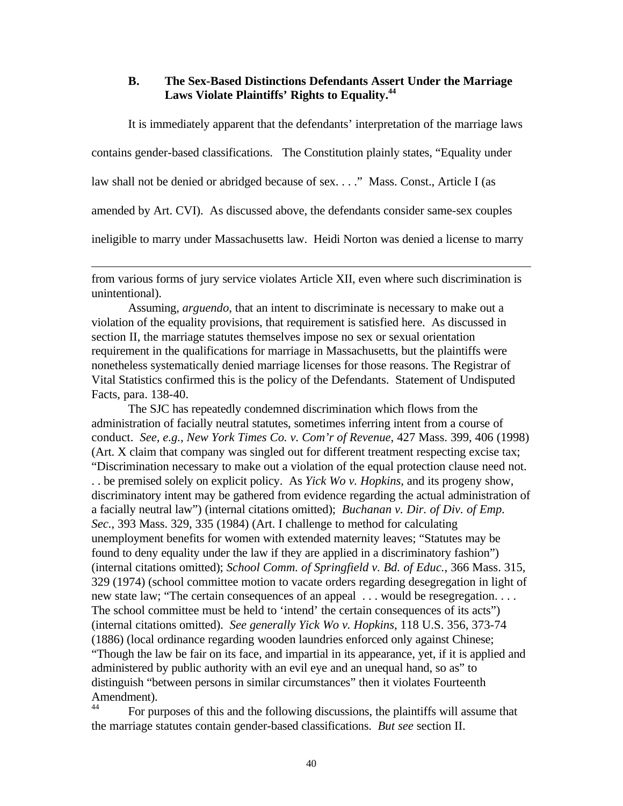### **B. The Sex-Based Distinctions Defendants Assert Under the Marriage Laws Violate Plaintiffs' Rights to Equality.<sup>44</sup>**

It is immediately apparent that the defendants' interpretation of the marriage laws

contains gender-based classifications. The Constitution plainly states, "Equality under

law shall not be denied or abridged because of sex. . . ." Mass. Const., Article I (as

 $\overline{a}$ 

amended by Art. CVI). As discussed above, the defendants consider same-sex couples

ineligible to marry under Massachusetts law. Heidi Norton was denied a license to marry

from various forms of jury service violates Article XII, even where such discrimination is unintentional).

Assuming, *arguendo*, that an intent to discriminate is necessary to make out a violation of the equality provisions, that requirement is satisfied here. As discussed in section II, the marriage statutes themselves impose no sex or sexual orientation requirement in the qualifications for marriage in Massachusetts, but the plaintiffs were nonetheless systematically denied marriage licenses for those reasons. The Registrar of Vital Statistics confirmed this is the policy of the Defendants. Statement of Undisputed Facts, para. 138-40.

The SJC has repeatedly condemned discrimination which flows from the administration of facially neutral statutes, sometimes inferring intent from a course of conduct. *See, e.g., New York Times Co. v. Com'r of Revenue*, 427 Mass. 399, 406 (1998) (Art. X claim that company was singled out for different treatment respecting excise tax; "Discrimination necessary to make out a violation of the equal protection clause need not. . . be premised solely on explicit policy. As *Yick Wo v. Hopkins*, and its progeny show, discriminatory intent may be gathered from evidence regarding the actual administration of a facially neutral law") (internal citations omitted); *Buchanan v. Dir. of Div. of Emp. Sec.*, 393 Mass. 329, 335 (1984) (Art. I challenge to method for calculating unemployment benefits for women with extended maternity leaves; "Statutes may be found to deny equality under the law if they are applied in a discriminatory fashion") (internal citations omitted); *School Comm. of Springfield v. Bd. of Educ.*, 366 Mass. 315, 329 (1974) (school committee motion to vacate orders regarding desegregation in light of new state law; "The certain consequences of an appeal . . . would be resegregation. . . . The school committee must be held to 'intend' the certain consequences of its acts") (internal citations omitted). *See generally Yick Wo v. Hopkins*, 118 U.S. 356, 373-74 (1886) (local ordinance regarding wooden laundries enforced only against Chinese; "Though the law be fair on its face, and impartial in its appearance, yet, if it is applied and administered by public authority with an evil eye and an unequal hand, so as" to distinguish "between persons in similar circumstances" then it violates Fourteenth Amendment).

<sup>44</sup> For purposes of this and the following discussions, the plaintiffs will assume that the marriage statutes contain gender-based classifications. *But see* section II.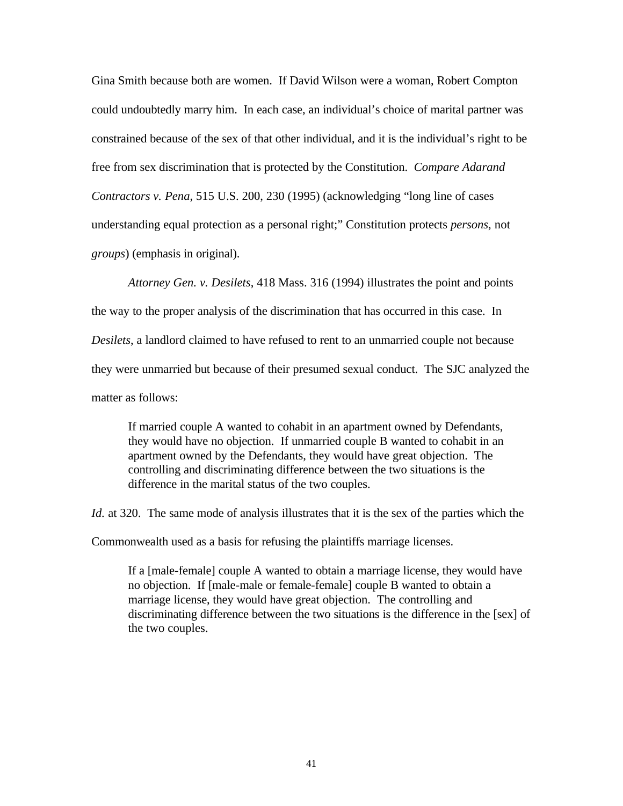Gina Smith because both are women. If David Wilson were a woman, Robert Compton could undoubtedly marry him. In each case, an individual's choice of marital partner was constrained because of the sex of that other individual, and it is the individual's right to be free from sex discrimination that is protected by the Constitution. *Compare Adarand Contractors v. Pena*, 515 U.S. 200, 230 (1995) (acknowledging "long line of cases understanding equal protection as a personal right;" Constitution protects *persons*, not *groups*) (emphasis in original).

*Attorney Gen. v. Desilets*, 418 Mass. 316 (1994) illustrates the point and points

the way to the proper analysis of the discrimination that has occurred in this case. In *Desilets*, a landlord claimed to have refused to rent to an unmarried couple not because they were unmarried but because of their presumed sexual conduct. The SJC analyzed the matter as follows:

If married couple A wanted to cohabit in an apartment owned by Defendants, they would have no objection. If unmarried couple B wanted to cohabit in an apartment owned by the Defendants, they would have great objection. The controlling and discriminating difference between the two situations is the difference in the marital status of the two couples.

*Id.* at 320. The same mode of analysis illustrates that it is the sex of the parties which the

Commonwealth used as a basis for refusing the plaintiffs marriage licenses.

If a [male-female] couple A wanted to obtain a marriage license, they would have no objection. If [male-male or female-female] couple B wanted to obtain a marriage license, they would have great objection. The controlling and discriminating difference between the two situations is the difference in the [sex] of the two couples.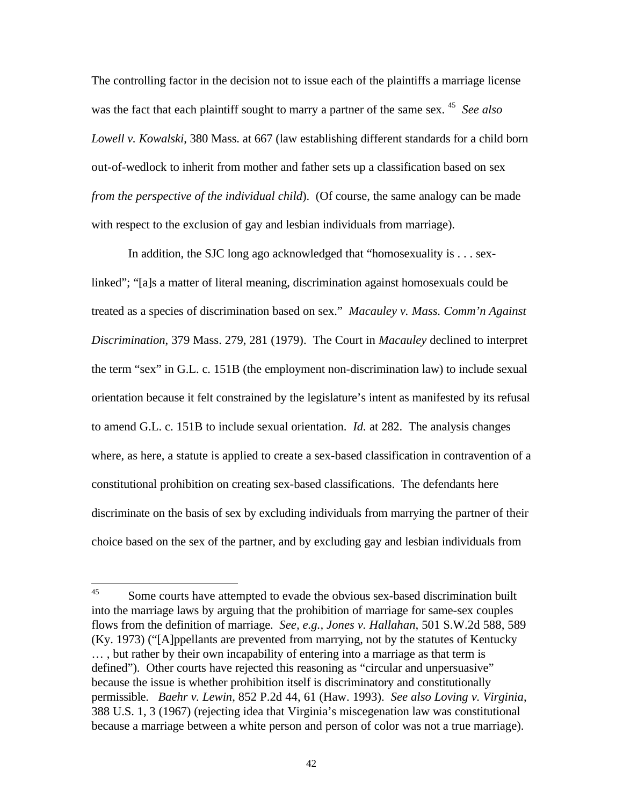The controlling factor in the decision not to issue each of the plaintiffs a marriage license was the fact that each plaintiff sought to marry a partner of the same sex.<sup>45</sup> See also *Lowell v. Kowalski*, 380 Mass. at 667 (law establishing different standards for a child born out-of-wedlock to inherit from mother and father sets up a classification based on sex *from the perspective of the individual child*). (Of course, the same analogy can be made with respect to the exclusion of gay and lesbian individuals from marriage).

In addition, the SJC long ago acknowledged that "homosexuality is . . . sexlinked"; "[a]s a matter of literal meaning, discrimination against homosexuals could be treated as a species of discrimination based on sex." *Macauley v. Mass. Comm'n Against Discrimination*, 379 Mass. 279, 281 (1979). The Court in *Macauley* declined to interpret the term "sex" in G.L. c. 151B (the employment non-discrimination law) to include sexual orientation because it felt constrained by the legislature's intent as manifested by its refusal to amend G.L. c. 151B to include sexual orientation. *Id.* at 282. The analysis changes where, as here, a statute is applied to create a sex-based classification in contravention of a constitutional prohibition on creating sex-based classifications. The defendants here discriminate on the basis of sex by excluding individuals from marrying the partner of their choice based on the sex of the partner, and by excluding gay and lesbian individuals from

<sup>45</sup> Some courts have attempted to evade the obvious sex-based discrimination built into the marriage laws by arguing that the prohibition of marriage for same-sex couples flows from the definition of marriage. *See, e.g., Jones v. Hallahan*, 501 S.W.2d 588, 589 (Ky. 1973) ("[A]ppellants are prevented from marrying, not by the statutes of Kentucky … , but rather by their own incapability of entering into a marriage as that term is defined"). Other courts have rejected this reasoning as "circular and unpersuasive" because the issue is whether prohibition itself is discriminatory and constitutionally permissible. *Baehr v. Lewin*, 852 P.2d 44, 61 (Haw. 1993). *See also Loving v. Virginia*, 388 U.S. 1, 3 (1967) (rejecting idea that Virginia's miscegenation law was constitutional because a marriage between a white person and person of color was not a true marriage).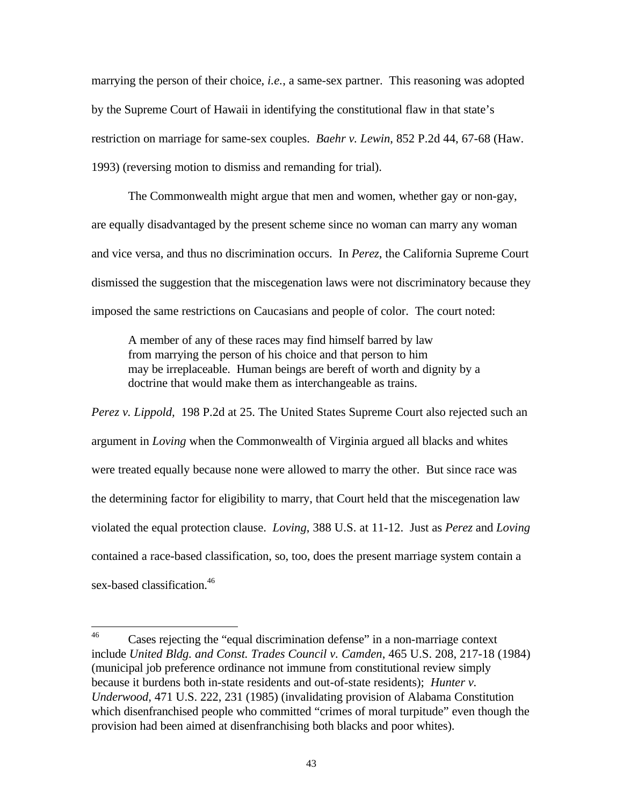marrying the person of their choice, *i.e.*, a same-sex partner. This reasoning was adopted by the Supreme Court of Hawaii in identifying the constitutional flaw in that state's restriction on marriage for same-sex couples. *Baehr v. Lewin*, 852 P.2d 44, 67-68 (Haw. 1993) (reversing motion to dismiss and remanding for trial).

The Commonwealth might argue that men and women, whether gay or non-gay, are equally disadvantaged by the present scheme since no woman can marry any woman and vice versa, and thus no discrimination occurs. In *Perez*, the California Supreme Court dismissed the suggestion that the miscegenation laws were not discriminatory because they imposed the same restrictions on Caucasians and people of color. The court noted:

A member of any of these races may find himself barred by law from marrying the person of his choice and that person to him may be irreplaceable. Human beings are bereft of worth and dignity by a doctrine that would make them as interchangeable as trains.

*Perez v. Lippold,* 198 P.2d at 25. The United States Supreme Court also rejected such an argument in *Loving* when the Commonwealth of Virginia argued all blacks and whites were treated equally because none were allowed to marry the other. But since race was the determining factor for eligibility to marry, that Court held that the miscegenation law violated the equal protection clause. *Loving*, 388 U.S. at 11-12. Just as *Perez* and *Loving* contained a race-based classification, so, too, does the present marriage system contain a sex-based classification.<sup>46</sup>

<sup>46</sup> Cases rejecting the "equal discrimination defense" in a non-marriage context include *United Bldg. and Const. Trades Council v. Camden*, 465 U.S. 208, 217-18 (1984) (municipal job preference ordinance not immune from constitutional review simply because it burdens both in-state residents and out-of-state residents); *Hunter v. Underwood*, 471 U.S. 222, 231 (1985) (invalidating provision of Alabama Constitution which disenfranchised people who committed "crimes of moral turpitude" even though the provision had been aimed at disenfranchising both blacks and poor whites).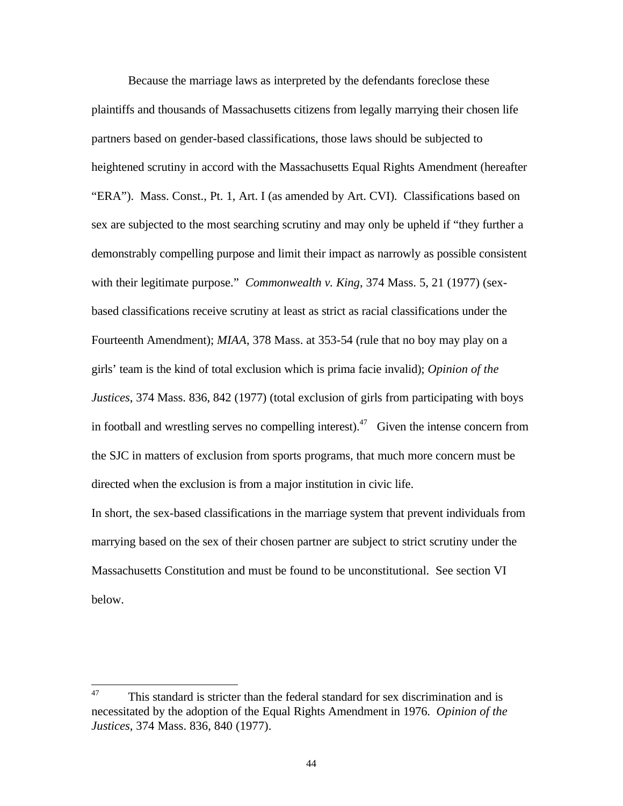Because the marriage laws as interpreted by the defendants foreclose these plaintiffs and thousands of Massachusetts citizens from legally marrying their chosen life partners based on gender-based classifications, those laws should be subjected to heightened scrutiny in accord with the Massachusetts Equal Rights Amendment (hereafter "ERA"). Mass. Const., Pt. 1, Art. I (as amended by Art. CVI). Classifications based on sex are subjected to the most searching scrutiny and may only be upheld if "they further a demonstrably compelling purpose and limit their impact as narrowly as possible consistent with their legitimate purpose." *Commonwealth v. King*, 374 Mass. 5, 21 (1977) (sexbased classifications receive scrutiny at least as strict as racial classifications under the Fourteenth Amendment); *MIAA*, 378 Mass. at 353-54 (rule that no boy may play on a girls' team is the kind of total exclusion which is prima facie invalid); *Opinion of the Justices*, 374 Mass. 836, 842 (1977) (total exclusion of girls from participating with boys in football and wrestling serves no compelling interest).<sup>47</sup> Given the intense concern from the SJC in matters of exclusion from sports programs, that much more concern must be directed when the exclusion is from a major institution in civic life.

In short, the sex-based classifications in the marriage system that prevent individuals from marrying based on the sex of their chosen partner are subject to strict scrutiny under the Massachusetts Constitution and must be found to be unconstitutional. See section VI below.

<sup>47</sup> This standard is stricter than the federal standard for sex discrimination and is necessitated by the adoption of the Equal Rights Amendment in 1976. *Opinion of the Justices*, 374 Mass. 836, 840 (1977).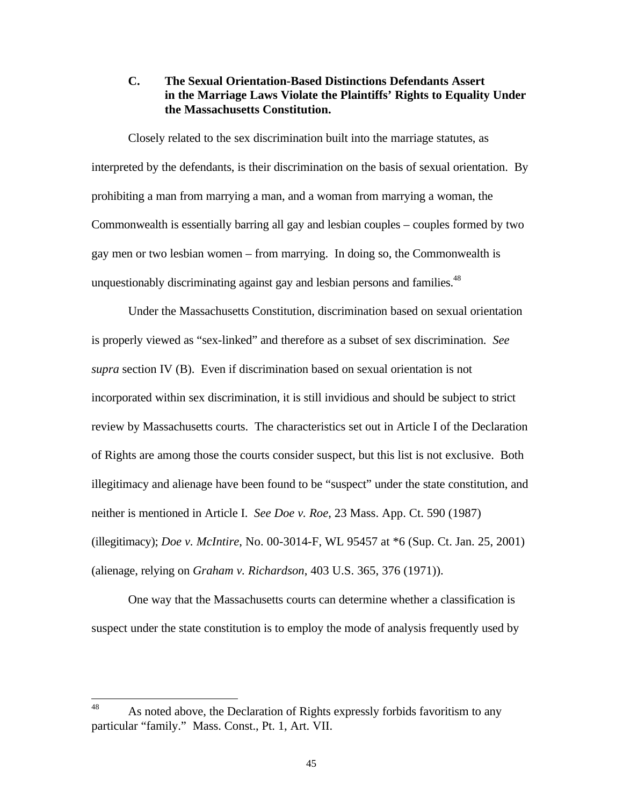### **C. The Sexual Orientation-Based Distinctions Defendants Assert in the Marriage Laws Violate the Plaintiffs' Rights to Equality Under the Massachusetts Constitution.**

Closely related to the sex discrimination built into the marriage statutes, as interpreted by the defendants, is their discrimination on the basis of sexual orientation. By prohibiting a man from marrying a man, and a woman from marrying a woman, the Commonwealth is essentially barring all gay and lesbian couples – couples formed by two gay men or two lesbian women – from marrying. In doing so, the Commonwealth is unquestionably discriminating against gay and lesbian persons and families.<sup>48</sup>

Under the Massachusetts Constitution, discrimination based on sexual orientation is properly viewed as "sex-linked" and therefore as a subset of sex discrimination. *See supra* section IV (B). Even if discrimination based on sexual orientation is not incorporated within sex discrimination, it is still invidious and should be subject to strict review by Massachusetts courts. The characteristics set out in Article I of the Declaration of Rights are among those the courts consider suspect, but this list is not exclusive. Both illegitimacy and alienage have been found to be "suspect" under the state constitution, and neither is mentioned in Article I. *See Doe v. Roe*, 23 Mass. App. Ct. 590 (1987) (illegitimacy); *Doe v. McIntire*, No. 00-3014-F, WL 95457 at \*6 (Sup. Ct. Jan. 25, 2001) (alienage, relying on *Graham v. Richardson*, 403 U.S. 365, 376 (1971)).

One way that the Massachusetts courts can determine whether a classification is suspect under the state constitution is to employ the mode of analysis frequently used by

<sup>48</sup> As noted above, the Declaration of Rights expressly forbids favoritism to any particular "family." Mass. Const., Pt. 1, Art. VII.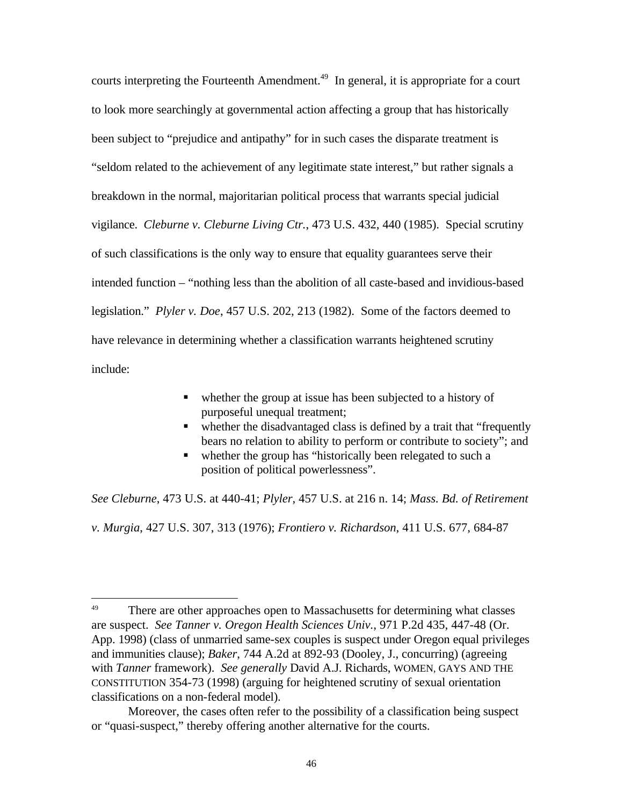courts interpreting the Fourteenth Amendment.<sup>49</sup> In general, it is appropriate for a court to look more searchingly at governmental action affecting a group that has historically been subject to "prejudice and antipathy" for in such cases the disparate treatment is "seldom related to the achievement of any legitimate state interest," but rather signals a breakdown in the normal, majoritarian political process that warrants special judicial vigilance. *Cleburne v. Cleburne Living Ctr.*, 473 U.S. 432, 440 (1985). Special scrutiny of such classifications is the only way to ensure that equality guarantees serve their intended function – "nothing less than the abolition of all caste-based and invidious-based legislation." *Plyler v. Doe*, 457 U.S. 202, 213 (1982). Some of the factors deemed to have relevance in determining whether a classification warrants heightened scrutiny include:

- $\blacksquare$  whether the group at issue has been subjected to a history of purposeful unequal treatment;
- whether the disadvantaged class is defined by a trait that "frequently" bears no relation to ability to perform or contribute to society"; and
- $\blacksquare$  whether the group has "historically been relegated to such a position of political powerlessness".

*See Cleburne*, 473 U.S. at 440-41; *Plyler*, 457 U.S. at 216 n. 14; *Mass. Bd. of Retirement* 

*v. Murgia*, 427 U.S. 307, 313 (1976); *Frontiero v. Richardson*, 411 U.S. 677, 684-87

 $\overline{a}$ 

<sup>&</sup>lt;sup>49</sup> There are other approaches open to Massachusetts for determining what classes are suspect. *See Tanner v. Oregon Health Sciences Univ.*, 971 P.2d 435, 447-48 (Or. App. 1998) (class of unmarried same-sex couples is suspect under Oregon equal privileges and immunities clause); *Baker*, 744 A.2d at 892-93 (Dooley, J., concurring) (agreeing with *Tanner* framework). *See generally* David A.J. Richards, WOMEN, GAYS AND THE CONSTITUTION 354-73 (1998) (arguing for heightened scrutiny of sexual orientation classifications on a non-federal model).

Moreover, the cases often refer to the possibility of a classification being suspect or "quasi-suspect," thereby offering another alternative for the courts.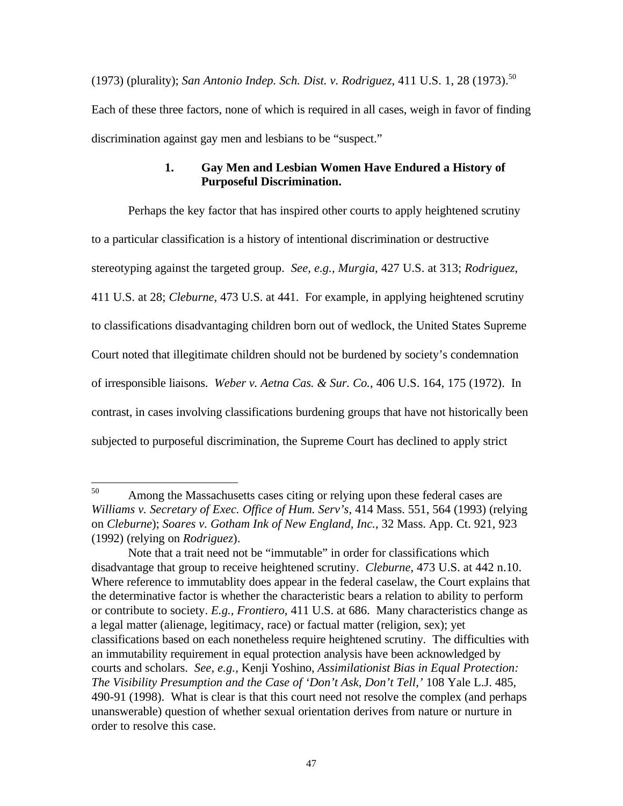(1973) (plurality); *San Antonio Indep. Sch. Dist. v. Rodriguez*, 411 U.S. 1, 28 (1973).<sup>50</sup> Each of these three factors, none of which is required in all cases, weigh in favor of finding discrimination against gay men and lesbians to be "suspect."

## **1. Gay Men and Lesbian Women Have Endured a History of Purposeful Discrimination.**

Perhaps the key factor that has inspired other courts to apply heightened scrutiny to a particular classification is a history of intentional discrimination or destructive stereotyping against the targeted group. *See, e.g., Murgia*, 427 U.S. at 313; *Rodriguez*, 411 U.S. at 28; *Cleburne*, 473 U.S. at 441. For example, in applying heightened scrutiny to classifications disadvantaging children born out of wedlock, the United States Supreme Court noted that illegitimate children should not be burdened by society's condemnation of irresponsible liaisons. *Weber v. Aetna Cas. & Sur. Co.*, 406 U.S. 164, 175 (1972). In contrast, in cases involving classifications burdening groups that have not historically been subjected to purposeful discrimination, the Supreme Court has declined to apply strict

<sup>50</sup> Among the Massachusetts cases citing or relying upon these federal cases are *Williams v. Secretary of Exec. Office of Hum. Serv's*, 414 Mass. 551, 564 (1993) (relying on *Cleburne*); *Soares v. Gotham Ink of New England, Inc.*, 32 Mass. App. Ct. 921, 923 (1992) (relying on *Rodriguez*).

Note that a trait need not be "immutable" in order for classifications which disadvantage that group to receive heightened scrutiny. *Cleburne*, 473 U.S. at 442 n.10. Where reference to immutablity does appear in the federal caselaw, the Court explains that the determinative factor is whether the characteristic bears a relation to ability to perform or contribute to society. *E.g., Frontiero*, 411 U.S. at 686. Many characteristics change as a legal matter (alienage, legitimacy, race) or factual matter (religion, sex); yet classifications based on each nonetheless require heightened scrutiny. The difficulties with an immutability requirement in equal protection analysis have been acknowledged by courts and scholars. *See, e.g.,* Kenji Yoshino, *Assimilationist Bias in Equal Protection: The Visibility Presumption and the Case of 'Don't Ask, Don't Tell,'* 108 Yale L.J. 485, 490-91 (1998). What is clear is that this court need not resolve the complex (and perhaps unanswerable) question of whether sexual orientation derives from nature or nurture in order to resolve this case.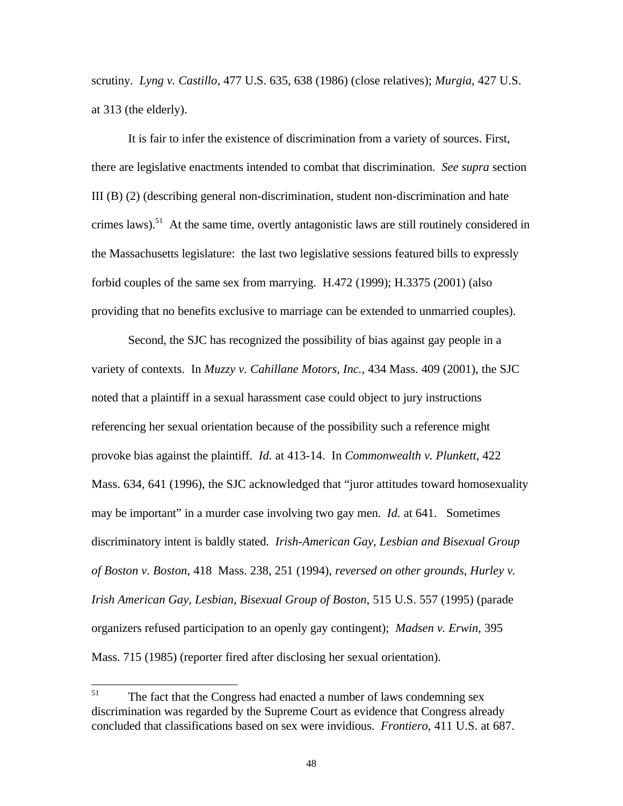scrutiny. *Lyng v. Castillo*, 477 U.S. 635, 638 (1986) (close relatives); *Murgia*, 427 U.S. at 313 (the elderly).

It is fair to infer the existence of discrimination from a variety of sources. First, there are legislative enactments intended to combat that discrimination. *See supra* section III (B) (2) (describing general non-discrimination, student non-discrimination and hate crimes laws).<sup>51</sup> At the same time, overtly antagonistic laws are still routinely considered in the Massachusetts legislature: the last two legislative sessions featured bills to expressly forbid couples of the same sex from marrying. H.472 (1999); H.3375 (2001) (also providing that no benefits exclusive to marriage can be extended to unmarried couples).

Second, the SJC has recognized the possibility of bias against gay people in a variety of contexts. In *Muzzy v. Cahillane Motors, Inc.*, 434 Mass. 409 (2001), the SJC noted that a plaintiff in a sexual harassment case could object to jury instructions referencing her sexual orientation because of the possibility such a reference might provoke bias against the plaintiff. *Id.* at 413-14. In *Commonwealth v. Plunkett*, 422 Mass. 634, 641 (1996), the SJC acknowledged that "juror attitudes toward homosexuality may be important" in a murder case involving two gay men. *Id.* at 641. Sometimes discriminatory intent is baldly stated. *Irish-American Gay, Lesbian and Bisexual Group of Boston v. Boston*, 418 Mass. 238, 251 (1994), *reversed on other grounds, Hurley v. Irish American Gay, Lesbian, Bisexual Group of Boston*, 515 U.S. 557 (1995) (parade organizers refused participation to an openly gay contingent); *Madsen v. Erwin*, 395 Mass. 715 (1985) (reporter fired after disclosing her sexual orientation).

<sup>51</sup> The fact that the Congress had enacted a number of laws condemning sex discrimination was regarded by the Supreme Court as evidence that Congress already concluded that classifications based on sex were invidious. *Frontiero*, 411 U.S. at 687.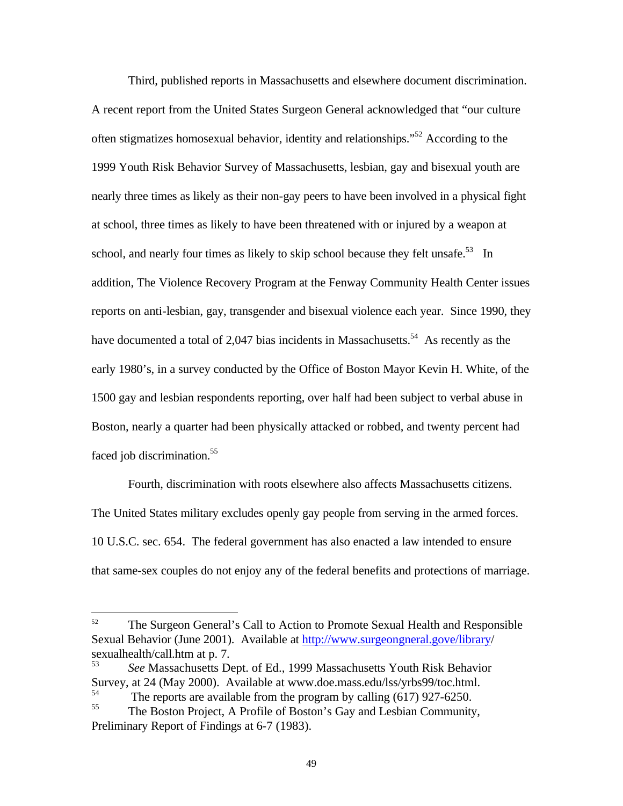Third, published reports in Massachusetts and elsewhere document discrimination. A recent report from the United States Surgeon General acknowledged that "our culture often stigmatizes homosexual behavior, identity and relationships."<sup>52</sup> According to the 1999 Youth Risk Behavior Survey of Massachusetts, lesbian, gay and bisexual youth are nearly three times as likely as their non-gay peers to have been involved in a physical fight at school, three times as likely to have been threatened with or injured by a weapon at school, and nearly four times as likely to skip school because they felt unsafe.<sup>53</sup> In addition, The Violence Recovery Program at the Fenway Community Health Center issues reports on anti-lesbian, gay, transgender and bisexual violence each year. Since 1990, they have documented a total of 2,047 bias incidents in Massachusetts.<sup>54</sup> As recently as the early 1980's, in a survey conducted by the Office of Boston Mayor Kevin H. White, of the 1500 gay and lesbian respondents reporting, over half had been subject to verbal abuse in Boston, nearly a quarter had been physically attacked or robbed, and twenty percent had faced job discrimination.<sup>55</sup>

Fourth, discrimination with roots elsewhere also affects Massachusetts citizens. The United States military excludes openly gay people from serving in the armed forces. 10 U.S.C. sec. 654. The federal government has also enacted a law intended to ensure that same-sex couples do not enjoy any of the federal benefits and protections of marriage.

 $\overline{a}$ 

<sup>&</sup>lt;sup>52</sup> The Surgeon General's Call to Action to Promote Sexual Health and Responsible Sexual Behavior (June 2001). Available at http://www.surgeongneral.gove/library/ sexualhealth/call.htm at p. 7.<br> $53\frac{S_{22}}{2}$ 

<sup>53</sup> *See* Massachusetts Dept. of Ed., 1999 Massachusetts Youth Risk Behavior Survey, at 24 (May 2000). Available at www.doe.mass.edu/lss/yrbs99/toc.html.<br>
The generate are excitable from the greeners by calling (617) 027 6250.

<sup>&</sup>lt;sup>54</sup> The reports are available from the program by calling  $(617)$  927-6250.

The Boston Project, A Profile of Boston's Gay and Lesbian Community, Preliminary Report of Findings at 6-7 (1983).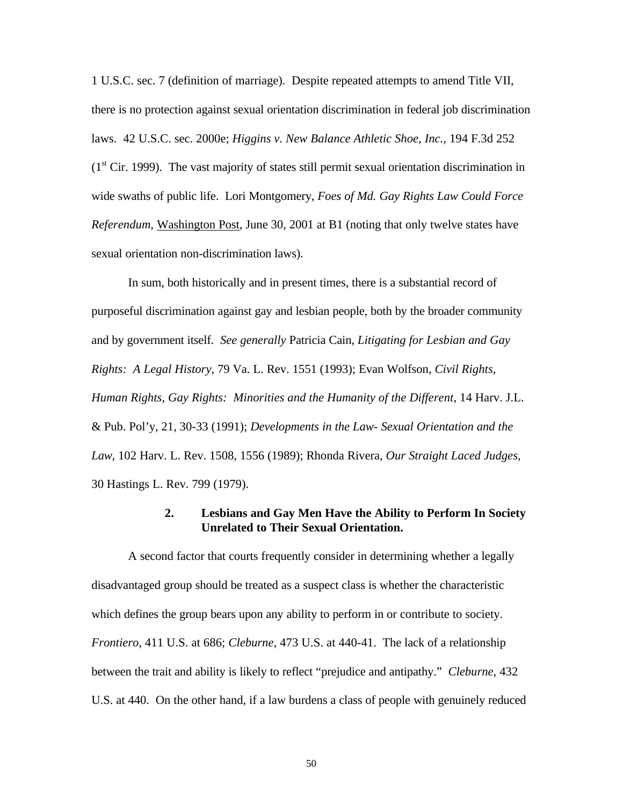1 U.S.C. sec. 7 (definition of marriage). Despite repeated attempts to amend Title VII, there is no protection against sexual orientation discrimination in federal job discrimination laws. 42 U.S.C. sec. 2000e; *Higgins v. New Balance Athletic Shoe, Inc.*, 194 F.3d 252  $(1<sup>st</sup> Cir. 1999)$ . The vast majority of states still permit sexual orientation discrimination in wide swaths of public life. Lori Montgomery, *Foes of Md. Gay Rights Law Could Force Referendum*, Washington Post, June 30, 2001 at B1 (noting that only twelve states have sexual orientation non-discrimination laws).

In sum, both historically and in present times, there is a substantial record of purposeful discrimination against gay and lesbian people, both by the broader community and by government itself. *See generally* Patricia Cain, *Litigating for Lesbian and Gay Rights: A Legal History*, 79 Va. L. Rev. 1551 (1993); Evan Wolfson, *Civil Rights, Human Rights, Gay Rights: Minorities and the Humanity of the Different*, 14 Harv. J.L. & Pub. Pol'y, 21, 30-33 (1991); *Developments in the Law- Sexual Orientation and the Law*, 102 Harv. L. Rev. 1508, 1556 (1989); Rhonda Rivera, *Our Straight Laced Judges*, 30 Hastings L. Rev. 799 (1979).

#### **2. Lesbians and Gay Men Have the Ability to Perform In Society Unrelated to Their Sexual Orientation.**

A second factor that courts frequently consider in determining whether a legally disadvantaged group should be treated as a suspect class is whether the characteristic which defines the group bears upon any ability to perform in or contribute to society. *Frontiero,* 411 U.S. at 686; *Cleburne*, 473 U.S. at 440-41. The lack of a relationship between the trait and ability is likely to reflect "prejudice and antipathy." *Cleburne*, 432 U.S. at 440. On the other hand, if a law burdens a class of people with genuinely reduced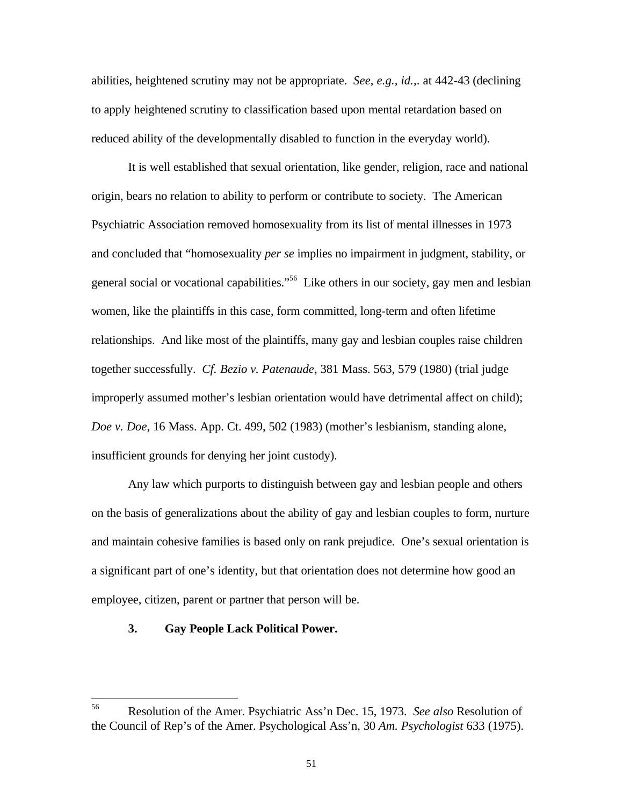abilities, heightened scrutiny may not be appropriate. *See, e.g., id.,*. at 442-43 (declining to apply heightened scrutiny to classification based upon mental retardation based on reduced ability of the developmentally disabled to function in the everyday world).

It is well established that sexual orientation, like gender, religion, race and national origin, bears no relation to ability to perform or contribute to society. The American Psychiatric Association removed homosexuality from its list of mental illnesses in 1973 and concluded that "homosexuality *per se* implies no impairment in judgment, stability, or general social or vocational capabilities."<sup>56</sup> Like others in our society, gay men and lesbian women, like the plaintiffs in this case, form committed, long-term and often lifetime relationships. And like most of the plaintiffs, many gay and lesbian couples raise children together successfully. *Cf. Bezio v. Patenaude*, 381 Mass. 563, 579 (1980) (trial judge improperly assumed mother's lesbian orientation would have detrimental affect on child); *Doe v. Doe*, 16 Mass. App. Ct. 499, 502 (1983) (mother's lesbianism, standing alone, insufficient grounds for denying her joint custody).

Any law which purports to distinguish between gay and lesbian people and others on the basis of generalizations about the ability of gay and lesbian couples to form, nurture and maintain cohesive families is based only on rank prejudice. One's sexual orientation is a significant part of one's identity, but that orientation does not determine how good an employee, citizen, parent or partner that person will be.

#### **3. Gay People Lack Political Power.**

 $\frac{1}{56}$  Resolution of the Amer. Psychiatric Ass'n Dec. 15, 1973. *See also* Resolution of the Council of Rep's of the Amer. Psychological Ass'n, 30 *Am. Psychologist* 633 (1975).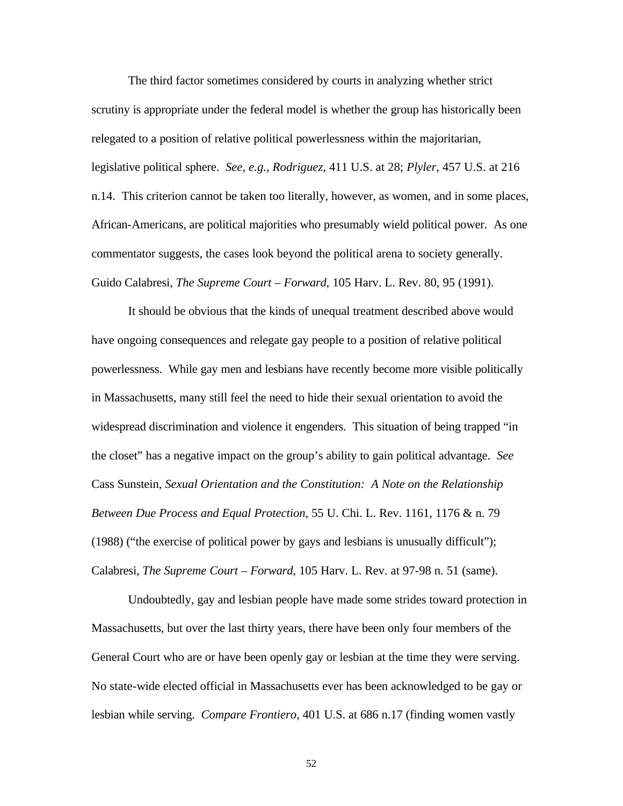The third factor sometimes considered by courts in analyzing whether strict scrutiny is appropriate under the federal model is whether the group has historically been relegated to a position of relative political powerlessness within the majoritarian, legislative political sphere. *See, e.g., Rodriguez*, 411 U.S. at 28; *Plyler*, 457 U.S. at 216 n.14. This criterion cannot be taken too literally, however, as women, and in some places, African-Americans, are political majorities who presumably wield political power. As one commentator suggests, the cases look beyond the political arena to society generally. Guido Calabresi, *The Supreme Court – Forward*, 105 Harv. L. Rev. 80, 95 (1991).

It should be obvious that the kinds of unequal treatment described above would have ongoing consequences and relegate gay people to a position of relative political powerlessness. While gay men and lesbians have recently become more visible politically in Massachusetts, many still feel the need to hide their sexual orientation to avoid the widespread discrimination and violence it engenders. This situation of being trapped "in the closet" has a negative impact on the group's ability to gain political advantage. *See* Cass Sunstein, *Sexual Orientation and the Constitution: A Note on the Relationship Between Due Process and Equal Protection*, 55 U. Chi. L. Rev. 1161, 1176 & n. 79 (1988) ("the exercise of political power by gays and lesbians is unusually difficult"); Calabresi, *The Supreme Court – Forward*, 105 Harv. L. Rev. at 97-98 n. 51 (same).

Undoubtedly, gay and lesbian people have made some strides toward protection in Massachusetts, but over the last thirty years, there have been only four members of the General Court who are or have been openly gay or lesbian at the time they were serving. No state-wide elected official in Massachusetts ever has been acknowledged to be gay or lesbian while serving. *Compare Frontiero*, 401 U.S. at 686 n.17 (finding women vastly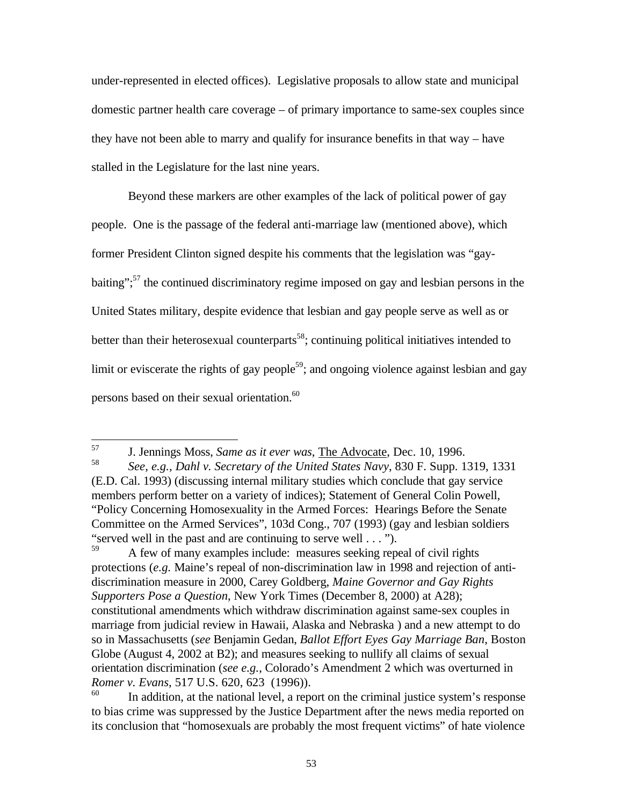under-represented in elected offices). Legislative proposals to allow state and municipal domestic partner health care coverage – of primary importance to same-sex couples since they have not been able to marry and qualify for insurance benefits in that way – have stalled in the Legislature for the last nine years.

Beyond these markers are other examples of the lack of political power of gay people. One is the passage of the federal anti-marriage law (mentioned above), which former President Clinton signed despite his comments that the legislation was "gaybaiting": $57$  the continued discriminatory regime imposed on gay and lesbian persons in the United States military, despite evidence that lesbian and gay people serve as well as or better than their heterosexual counterparts<sup>58</sup>; continuing political initiatives intended to limit or eviscerate the rights of gay people<sup>59</sup>; and ongoing violence against lesbian and gay persons based on their sexual orientation.<sup>60</sup>

57 <sup>57</sup> J. Jennings Moss, *Same as it ever was*, The Advocate, Dec. 10, 1996.

<sup>58</sup> *See, e.g., Dahl v. Secretary of the United States Navy*, 830 F. Supp. 1319, 1331 (E.D. Cal. 1993) (discussing internal military studies which conclude that gay service members perform better on a variety of indices); Statement of General Colin Powell, "Policy Concerning Homosexuality in the Armed Forces: Hearings Before the Senate Committee on the Armed Services", 103d Cong., 707 (1993) (gay and lesbian soldiers "served well in the past and are continuing to serve well  $\dots$ ").

<sup>59</sup> A few of many examples include: measures seeking repeal of civil rights protections (*e.g.* Maine's repeal of non-discrimination law in 1998 and rejection of antidiscrimination measure in 2000, Carey Goldberg, *Maine Governor and Gay Rights Supporters Pose a Question*, New York Times (December 8, 2000) at A28); constitutional amendments which withdraw discrimination against same-sex couples in marriage from judicial review in Hawaii, Alaska and Nebraska ) and a new attempt to do so in Massachusetts (*see* Benjamin Gedan, *Ballot Effort Eyes Gay Marriage Ban*, Boston Globe (August 4, 2002 at B2); and measures seeking to nullify all claims of sexual orientation discrimination (*see e.g.*, Colorado's Amendment 2 which was overturned in *Romer v. Evans*, 517 U.S. 620, 623 (1996)).

In addition, at the national level, a report on the criminal justice system's response to bias crime was suppressed by the Justice Department after the news media reported on its conclusion that "homosexuals are probably the most frequent victims" of hate violence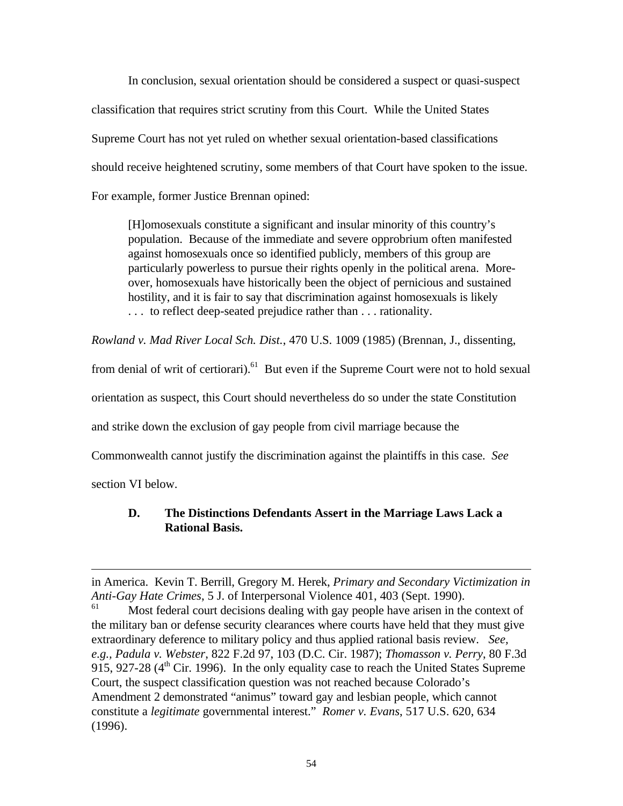In conclusion, sexual orientation should be considered a suspect or quasi-suspect classification that requires strict scrutiny from this Court. While the United States Supreme Court has not yet ruled on whether sexual orientation-based classifications should receive heightened scrutiny, some members of that Court have spoken to the issue. For example, former Justice Brennan opined:

[H]omosexuals constitute a significant and insular minority of this country's population. Because of the immediate and severe opprobrium often manifested against homosexuals once so identified publicly, members of this group are particularly powerless to pursue their rights openly in the political arena. Moreover, homosexuals have historically been the object of pernicious and sustained hostility, and it is fair to say that discrimination against homosexuals is likely . . . to reflect deep-seated prejudice rather than . . . rationality.

*Rowland v. Mad River Local Sch. Dist.*, 470 U.S. 1009 (1985) (Brennan, J., dissenting,

from denial of writ of certiorari).<sup>61</sup> But even if the Supreme Court were not to hold sexual

orientation as suspect, this Court should nevertheless do so under the state Constitution

and strike down the exclusion of gay people from civil marriage because the

Commonwealth cannot justify the discrimination against the plaintiffs in this case. *See*

section VI below.

 $\overline{a}$ 

## **D. The Distinctions Defendants Assert in the Marriage Laws Lack a Rational Basis.**

in America. Kevin T. Berrill, Gregory M. Herek, *Primary and Secondary Victimization in Anti-Gay Hate Crimes*, 5 J. of Interpersonal Violence 401, 403 (Sept. 1990).

Most federal court decisions dealing with gay people have arisen in the context of the military ban or defense security clearances where courts have held that they must give extraordinary deference to military policy and thus applied rational basis review. *See, e.g., Padula v. Webster*, 822 F.2d 97, 103 (D.C. Cir. 1987); *Thomasson v. Perry*, 80 F.3d 915, 927-28 ( $4<sup>th</sup>$  Cir. 1996). In the only equality case to reach the United States Supreme Court, the suspect classification question was not reached because Colorado's Amendment 2 demonstrated "animus" toward gay and lesbian people, which cannot constitute a *legitimate* governmental interest." *Romer v. Evans*, 517 U.S. 620, 634 (1996).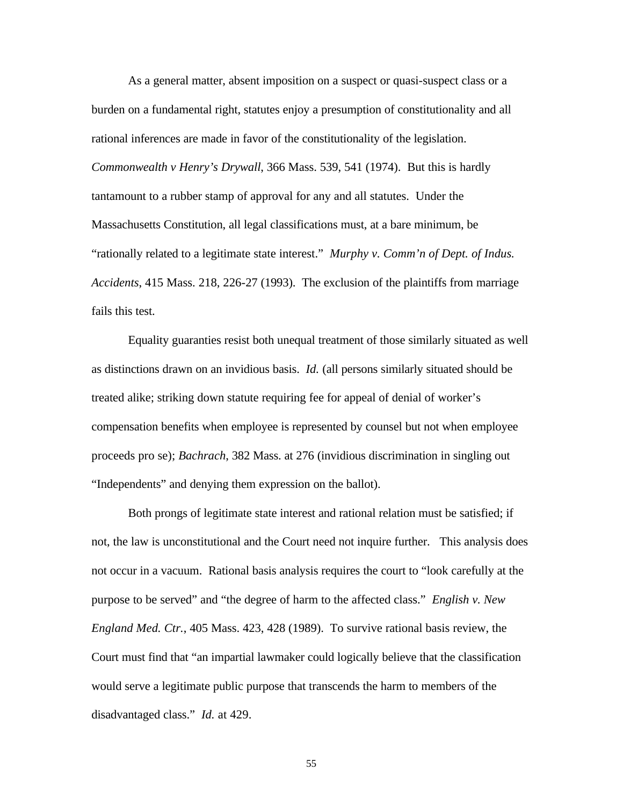As a general matter, absent imposition on a suspect or quasi-suspect class or a burden on a fundamental right, statutes enjoy a presumption of constitutionality and all rational inferences are made in favor of the constitutionality of the legislation. *Commonwealth v Henry's Drywall*, 366 Mass. 539, 541 (1974). But this is hardly tantamount to a rubber stamp of approval for any and all statutes. Under the Massachusetts Constitution, all legal classifications must, at a bare minimum, be "rationally related to a legitimate state interest." *Murphy v. Comm'n of Dept. of Indus. Accidents*, 415 Mass. 218, 226-27 (1993). The exclusion of the plaintiffs from marriage fails this test.

Equality guaranties resist both unequal treatment of those similarly situated as well as distinctions drawn on an invidious basis. *Id.* (all persons similarly situated should be treated alike; striking down statute requiring fee for appeal of denial of worker's compensation benefits when employee is represented by counsel but not when employee proceeds pro se); *Bachrach*, 382 Mass. at 276 (invidious discrimination in singling out "Independents" and denying them expression on the ballot).

Both prongs of legitimate state interest and rational relation must be satisfied; if not, the law is unconstitutional and the Court need not inquire further. This analysis does not occur in a vacuum. Rational basis analysis requires the court to "look carefully at the purpose to be served" and "the degree of harm to the affected class." *English v. New England Med. Ctr.*, 405 Mass. 423, 428 (1989). To survive rational basis review, the Court must find that "an impartial lawmaker could logically believe that the classification would serve a legitimate public purpose that transcends the harm to members of the disadvantaged class." *Id.* at 429.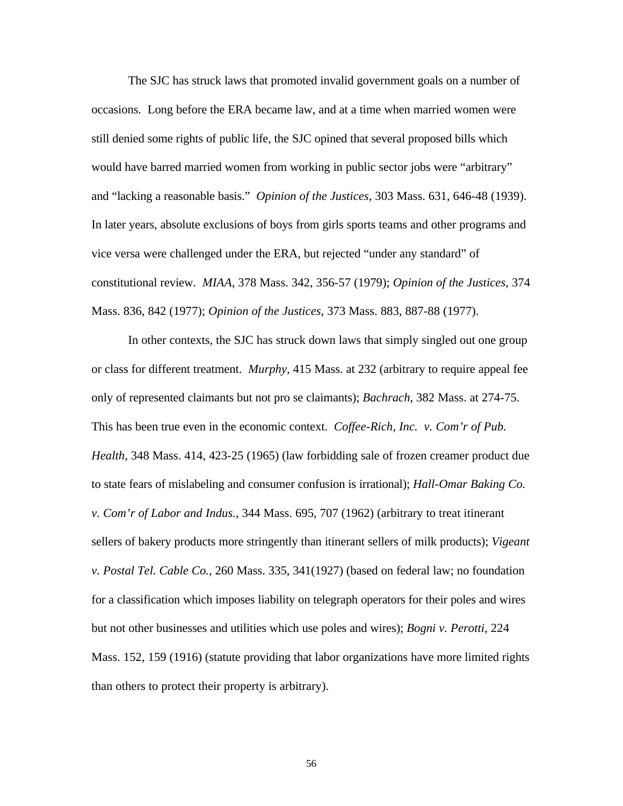The SJC has struck laws that promoted invalid government goals on a number of occasions. Long before the ERA became law, and at a time when married women were still denied some rights of public life, the SJC opined that several proposed bills which would have barred married women from working in public sector jobs were "arbitrary" and "lacking a reasonable basis." *Opinion of the Justices*, 303 Mass. 631, 646-48 (1939). In later years, absolute exclusions of boys from girls sports teams and other programs and vice versa were challenged under the ERA, but rejected "under any standard" of constitutional review. *MIAA*, 378 Mass. 342, 356-57 (1979); *Opinion of the Justices*, 374 Mass. 836, 842 (1977); *Opinion of the Justices*, 373 Mass. 883, 887-88 (1977).

In other contexts, the SJC has struck down laws that simply singled out one group or class for different treatment. *Murphy*, 415 Mass. at 232 (arbitrary to require appeal fee only of represented claimants but not pro se claimants); *Bachrach*, 382 Mass. at 274-75. This has been true even in the economic context. *Coffee-Rich, Inc. v. Com'r of Pub. Health*, 348 Mass. 414, 423-25 (1965) (law forbidding sale of frozen creamer product due to state fears of mislabeling and consumer confusion is irrational); *Hall-Omar Baking Co. v. Com'r of Labor and Indus.*, 344 Mass. 695, 707 (1962) (arbitrary to treat itinerant sellers of bakery products more stringently than itinerant sellers of milk products); *Vigeant v. Postal Tel. Cable Co.*, 260 Mass. 335, 341(1927) (based on federal law; no foundation for a classification which imposes liability on telegraph operators for their poles and wires but not other businesses and utilities which use poles and wires); *Bogni v. Perotti*, 224 Mass. 152, 159 (1916) (statute providing that labor organizations have more limited rights than others to protect their property is arbitrary).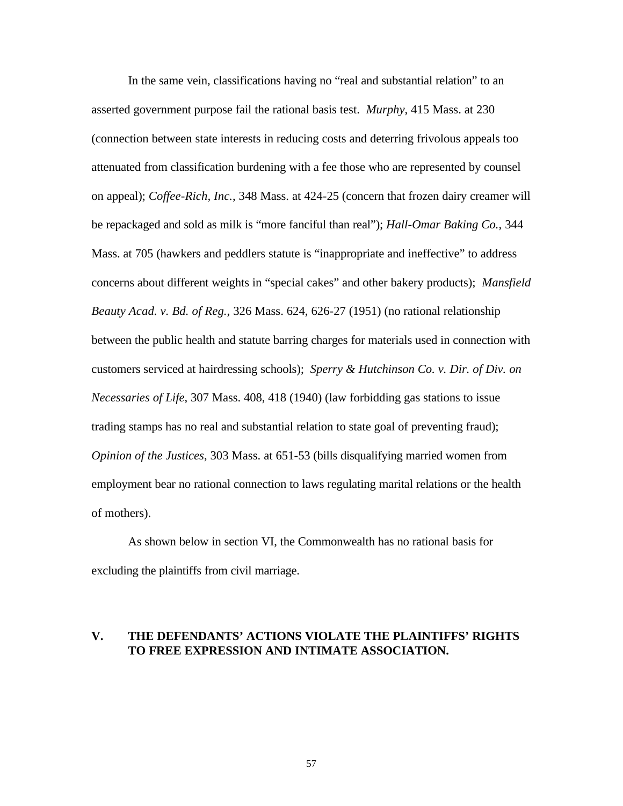In the same vein, classifications having no "real and substantial relation" to an asserted government purpose fail the rational basis test. *Murphy*, 415 Mass. at 230 (connection between state interests in reducing costs and deterring frivolous appeals too attenuated from classification burdening with a fee those who are represented by counsel on appeal); *Coffee-Rich, Inc.*, 348 Mass. at 424-25 (concern that frozen dairy creamer will be repackaged and sold as milk is "more fanciful than real"); *Hall-Omar Baking Co.*, 344 Mass. at 705 (hawkers and peddlers statute is "inappropriate and ineffective" to address concerns about different weights in "special cakes" and other bakery products); *Mansfield Beauty Acad. v. Bd. of Reg.*, 326 Mass. 624, 626-27 (1951) (no rational relationship between the public health and statute barring charges for materials used in connection with customers serviced at hairdressing schools); *Sperry & Hutchinson Co. v. Dir. of Div. on Necessaries of Life*, 307 Mass. 408, 418 (1940) (law forbidding gas stations to issue trading stamps has no real and substantial relation to state goal of preventing fraud); *Opinion of the Justices*, 303 Mass. at 651-53 (bills disqualifying married women from employment bear no rational connection to laws regulating marital relations or the health of mothers).

As shown below in section VI, the Commonwealth has no rational basis for excluding the plaintiffs from civil marriage.

#### **V. THE DEFENDANTS' ACTIONS VIOLATE THE PLAINTIFFS' RIGHTS TO FREE EXPRESSION AND INTIMATE ASSOCIATION.**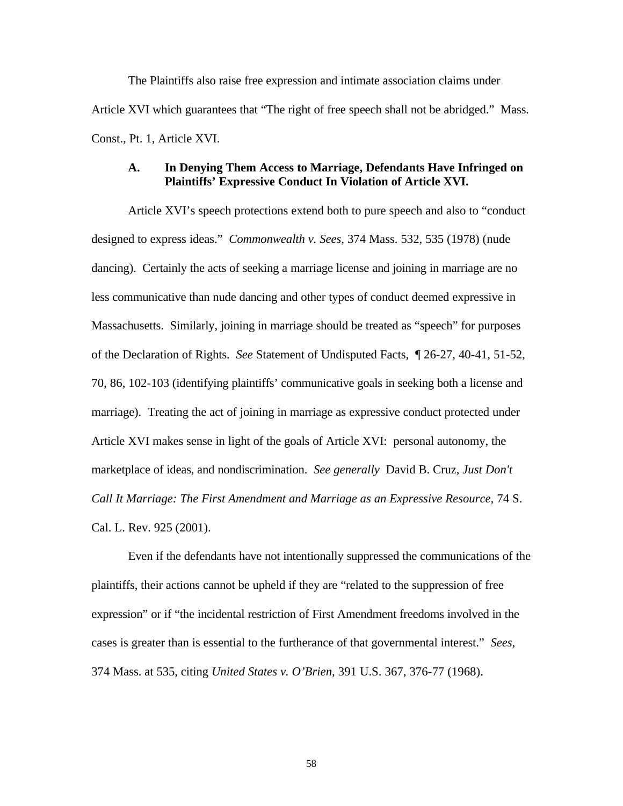The Plaintiffs also raise free expression and intimate association claims under Article XVI which guarantees that "The right of free speech shall not be abridged." Mass. Const., Pt. 1, Article XVI.

### **A. In Denying Them Access to Marriage, Defendants Have Infringed on Plaintiffs' Expressive Conduct In Violation of Article XVI.**

Article XVI's speech protections extend both to pure speech and also to "conduct designed to express ideas." *Commonwealth v. Sees*, 374 Mass. 532, 535 (1978) (nude dancing). Certainly the acts of seeking a marriage license and joining in marriage are no less communicative than nude dancing and other types of conduct deemed expressive in Massachusetts. Similarly, joining in marriage should be treated as "speech" for purposes of the Declaration of Rights. *See* Statement of Undisputed Facts, ¶ 26-27, 40-41, 51-52, 70, 86, 102-103 (identifying plaintiffs' communicative goals in seeking both a license and marriage). Treating the act of joining in marriage as expressive conduct protected under Article XVI makes sense in light of the goals of Article XVI: personal autonomy, the marketplace of ideas, and nondiscrimination. *See generally* David B. Cruz, *Just Don't Call It Marriage: The First Amendment and Marriage as an Expressive Resource*, 74 S. Cal. L. Rev. 925 (2001).

Even if the defendants have not intentionally suppressed the communications of the plaintiffs, their actions cannot be upheld if they are "related to the suppression of free expression" or if "the incidental restriction of First Amendment freedoms involved in the cases is greater than is essential to the furtherance of that governmental interest." *Sees*, 374 Mass. at 535, citing *United States v. O'Brien*, 391 U.S. 367, 376-77 (1968).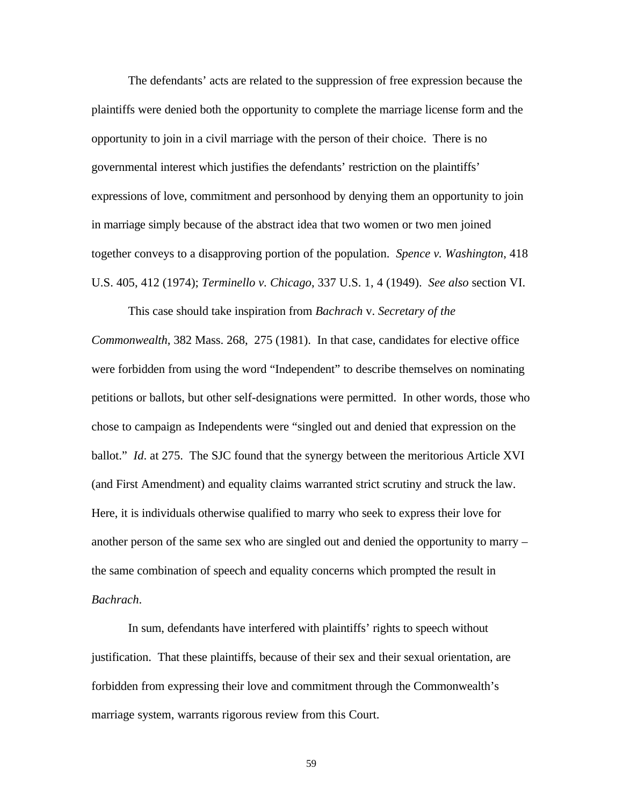The defendants' acts are related to the suppression of free expression because the plaintiffs were denied both the opportunity to complete the marriage license form and the opportunity to join in a civil marriage with the person of their choice. There is no governmental interest which justifies the defendants' restriction on the plaintiffs' expressions of love, commitment and personhood by denying them an opportunity to join in marriage simply because of the abstract idea that two women or two men joined together conveys to a disapproving portion of the population. *Spence v. Washington*, 418 U.S. 405, 412 (1974); *Terminello v. Chicago*, 337 U.S. 1, 4 (1949). *See also* section VI.

This case should take inspiration from *Bachrach* v. *Secretary of the Commonwealth*, 382 Mass. 268, 275 (1981). In that case, candidates for elective office were forbidden from using the word "Independent" to describe themselves on nominating petitions or ballots, but other self-designations were permitted. In other words, those who chose to campaign as Independents were "singled out and denied that expression on the ballot." *Id*. at 275. The SJC found that the synergy between the meritorious Article XVI (and First Amendment) and equality claims warranted strict scrutiny and struck the law. Here, it is individuals otherwise qualified to marry who seek to express their love for another person of the same sex who are singled out and denied the opportunity to marry – the same combination of speech and equality concerns which prompted the result in *Bachrach*.

In sum, defendants have interfered with plaintiffs' rights to speech without justification. That these plaintiffs, because of their sex and their sexual orientation, are forbidden from expressing their love and commitment through the Commonwealth's marriage system, warrants rigorous review from this Court.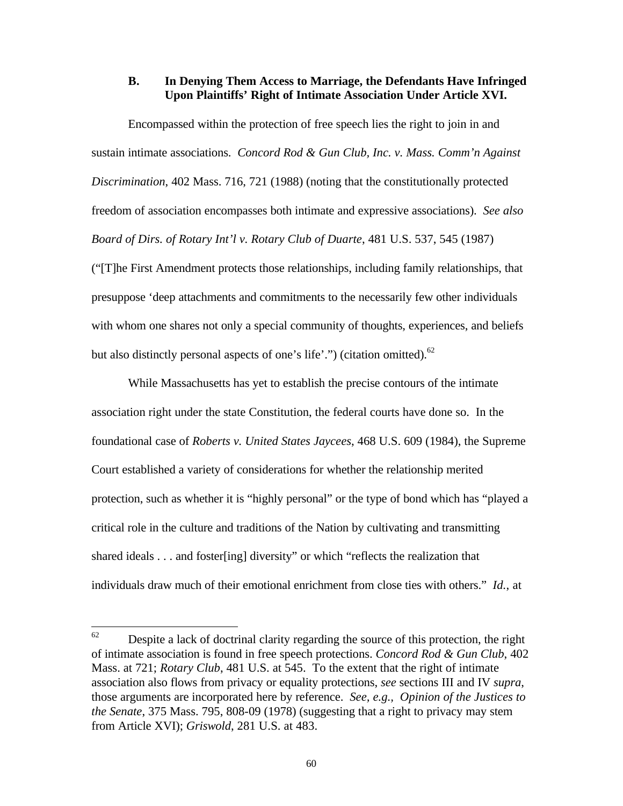#### **B. In Denying Them Access to Marriage, the Defendants Have Infringed Upon Plaintiffs' Right of Intimate Association Under Article XVI.**

Encompassed within the protection of free speech lies the right to join in and sustain intimate associations. *Concord Rod & Gun Club, Inc. v. Mass. Comm'n Against Discrimination*, 402 Mass. 716, 721 (1988) (noting that the constitutionally protected freedom of association encompasses both intimate and expressive associations). *See also Board of Dirs. of Rotary Int'l v. Rotary Club of Duarte*, 481 U.S. 537, 545 (1987) ("[T]he First Amendment protects those relationships, including family relationships, that presuppose 'deep attachments and commitments to the necessarily few other individuals with whom one shares not only a special community of thoughts, experiences, and beliefs but also distinctly personal aspects of one's life'.") (citation omitted). $^{62}$ 

While Massachusetts has yet to establish the precise contours of the intimate association right under the state Constitution, the federal courts have done so. In the foundational case of *Roberts v. United States Jaycees*, 468 U.S. 609 (1984), the Supreme Court established a variety of considerations for whether the relationship merited protection, such as whether it is "highly personal" or the type of bond which has "played a critical role in the culture and traditions of the Nation by cultivating and transmitting shared ideals . . . and foster[ing] diversity" or which "reflects the realization that individuals draw much of their emotional enrichment from close ties with others." *Id.*, at

<sup>62</sup> Despite a lack of doctrinal clarity regarding the source of this protection, the right of intimate association is found in free speech protections. *Concord Rod & Gun Club*, 402 Mass. at 721; *Rotary Club*, 481 U.S. at 545. To the extent that the right of intimate association also flows from privacy or equality protections, *see* sections III and IV *supra*, those arguments are incorporated here by reference. *See, e.g., Opinion of the Justices to the Senate*, 375 Mass. 795, 808-09 (1978) (suggesting that a right to privacy may stem from Article XVI); *Griswold*, 281 U.S. at 483.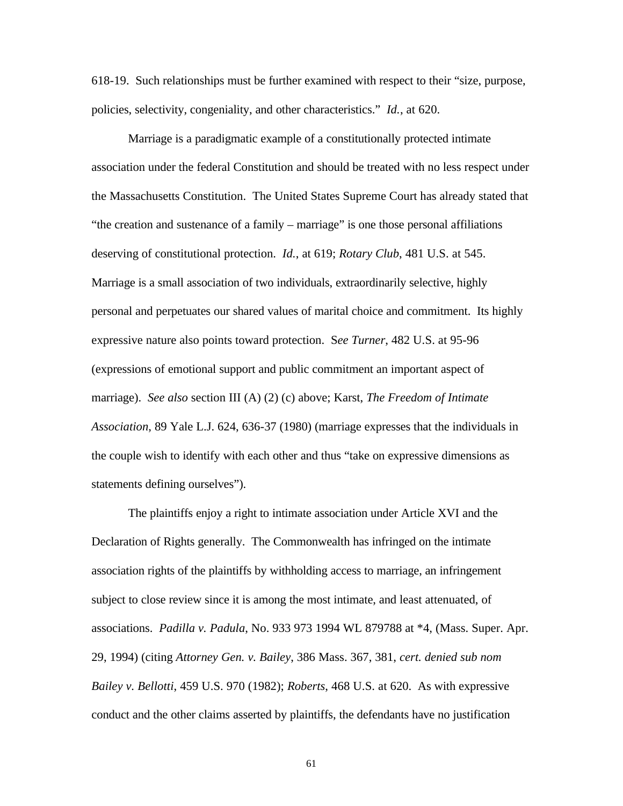618-19. Such relationships must be further examined with respect to their "size, purpose, policies, selectivity, congeniality, and other characteristics." *Id.*, at 620.

Marriage is a paradigmatic example of a constitutionally protected intimate association under the federal Constitution and should be treated with no less respect under the Massachusetts Constitution. The United States Supreme Court has already stated that "the creation and sustenance of a family – marriage" is one those personal affiliations deserving of constitutional protection. *Id.*, at 619; *Rotary Club*, 481 U.S. at 545. Marriage is a small association of two individuals, extraordinarily selective, highly personal and perpetuates our shared values of marital choice and commitment. Its highly expressive nature also points toward protection. S*ee Turner*, 482 U.S. at 95-96 (expressions of emotional support and public commitment an important aspect of marriage). *See also* section III (A) (2) (c) above; Karst, *The Freedom of Intimate Association*, 89 Yale L.J. 624, 636-37 (1980) (marriage expresses that the individuals in the couple wish to identify with each other and thus "take on expressive dimensions as statements defining ourselves").

The plaintiffs enjoy a right to intimate association under Article XVI and the Declaration of Rights generally. The Commonwealth has infringed on the intimate association rights of the plaintiffs by withholding access to marriage, an infringement subject to close review since it is among the most intimate, and least attenuated, of associations. *Padilla v. Padula*, No. 933 973 1994 WL 879788 at \*4, (Mass. Super. Apr. 29, 1994) (citing *Attorney Gen. v. Bailey*, 386 Mass. 367, 381, *cert. denied sub nom Bailey v. Bellotti*, 459 U.S. 970 (1982); *Roberts*, 468 U.S. at 620. As with expressive conduct and the other claims asserted by plaintiffs, the defendants have no justification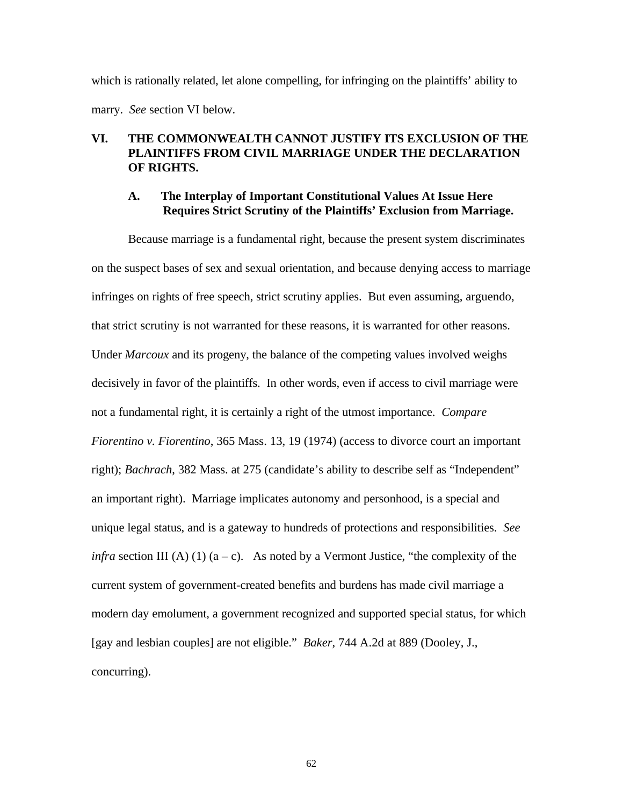which is rationally related, let alone compelling, for infringing on the plaintiffs' ability to marry. *See* section VI below.

### **VI. THE COMMONWEALTH CANNOT JUSTIFY ITS EXCLUSION OF THE PLAINTIFFS FROM CIVIL MARRIAGE UNDER THE DECLARATION OF RIGHTS.**

#### **A. The Interplay of Important Constitutional Values At Issue Here Requires Strict Scrutiny of the Plaintiffs' Exclusion from Marriage.**

Because marriage is a fundamental right, because the present system discriminates on the suspect bases of sex and sexual orientation, and because denying access to marriage infringes on rights of free speech, strict scrutiny applies. But even assuming, arguendo, that strict scrutiny is not warranted for these reasons, it is warranted for other reasons. Under *Marcoux* and its progeny, the balance of the competing values involved weighs decisively in favor of the plaintiffs. In other words, even if access to civil marriage were not a fundamental right, it is certainly a right of the utmost importance. *Compare Fiorentino v. Fiorentino*, 365 Mass. 13, 19 (1974) (access to divorce court an important right); *Bachrach*, 382 Mass. at 275 (candidate's ability to describe self as "Independent" an important right). Marriage implicates autonomy and personhood, is a special and unique legal status, and is a gateway to hundreds of protections and responsibilities. *See infra* section III (A) (1)  $(a - c)$ . As noted by a Vermont Justice, "the complexity of the current system of government-created benefits and burdens has made civil marriage a modern day emolument, a government recognized and supported special status, for which [gay and lesbian couples] are not eligible." *Baker*, 744 A.2d at 889 (Dooley, J., concurring).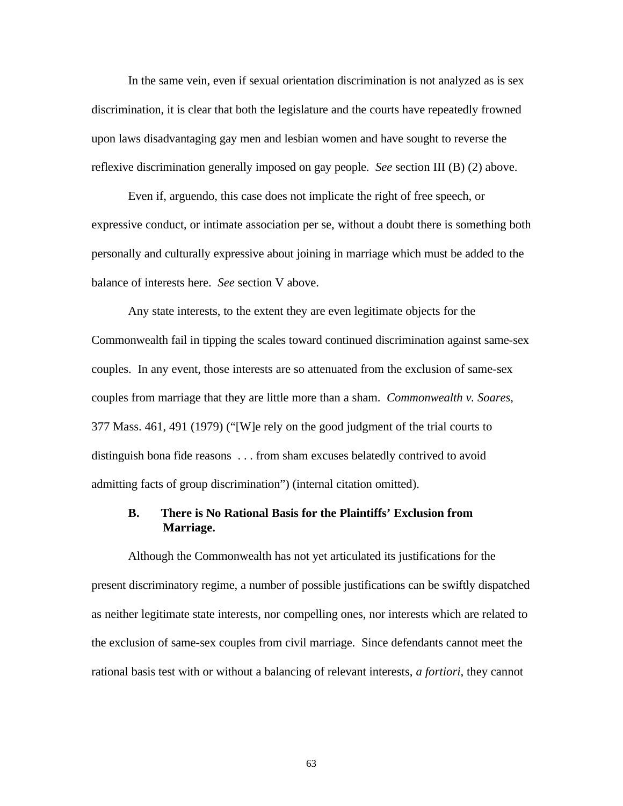In the same vein, even if sexual orientation discrimination is not analyzed as is sex discrimination, it is clear that both the legislature and the courts have repeatedly frowned upon laws disadvantaging gay men and lesbian women and have sought to reverse the reflexive discrimination generally imposed on gay people. *See* section III (B) (2) above.

Even if, arguendo, this case does not implicate the right of free speech, or expressive conduct, or intimate association per se, without a doubt there is something both personally and culturally expressive about joining in marriage which must be added to the balance of interests here. *See* section V above.

Any state interests, to the extent they are even legitimate objects for the Commonwealth fail in tipping the scales toward continued discrimination against same-sex couples. In any event, those interests are so attenuated from the exclusion of same-sex couples from marriage that they are little more than a sham. *Commonwealth v. Soares*, 377 Mass. 461, 491 (1979) ("[W]e rely on the good judgment of the trial courts to distinguish bona fide reasons . . . from sham excuses belatedly contrived to avoid admitting facts of group discrimination") (internal citation omitted).

#### **B. There is No Rational Basis for the Plaintiffs' Exclusion from Marriage.**

Although the Commonwealth has not yet articulated its justifications for the present discriminatory regime, a number of possible justifications can be swiftly dispatched as neither legitimate state interests, nor compelling ones, nor interests which are related to the exclusion of same-sex couples from civil marriage. Since defendants cannot meet the rational basis test with or without a balancing of relevant interests, *a fortiori*, they cannot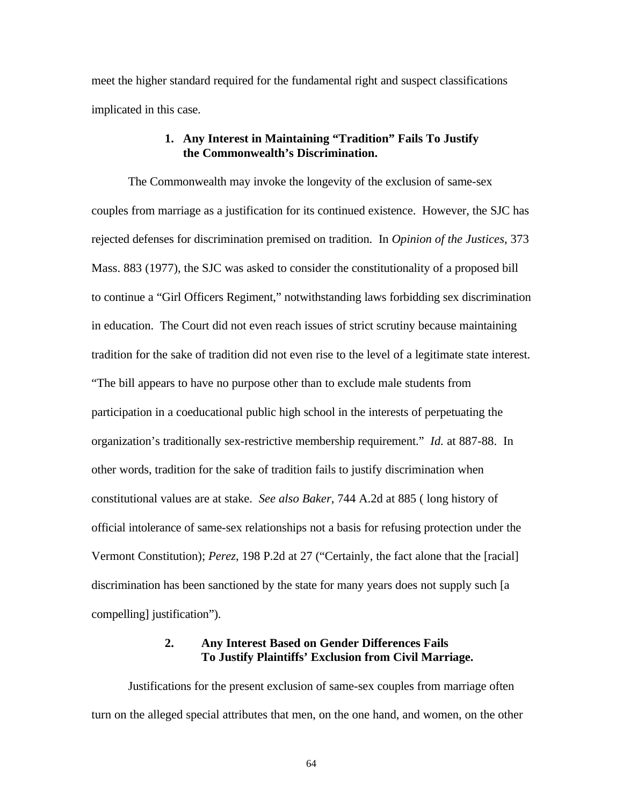meet the higher standard required for the fundamental right and suspect classifications implicated in this case.

#### **1. Any Interest in Maintaining "Tradition" Fails To Justify the Commonwealth's Discrimination.**

The Commonwealth may invoke the longevity of the exclusion of same-sex couples from marriage as a justification for its continued existence. However, the SJC has rejected defenses for discrimination premised on tradition. In *Opinion of the Justices*, 373 Mass. 883 (1977), the SJC was asked to consider the constitutionality of a proposed bill to continue a "Girl Officers Regiment," notwithstanding laws forbidding sex discrimination in education. The Court did not even reach issues of strict scrutiny because maintaining tradition for the sake of tradition did not even rise to the level of a legitimate state interest. "The bill appears to have no purpose other than to exclude male students from participation in a coeducational public high school in the interests of perpetuating the organization's traditionally sex-restrictive membership requirement." *Id.* at 887-88. In other words, tradition for the sake of tradition fails to justify discrimination when constitutional values are at stake. *See also Baker*, 744 A.2d at 885 ( long history of official intolerance of same-sex relationships not a basis for refusing protection under the Vermont Constitution); *Perez*, 198 P.2d at 27 ("Certainly, the fact alone that the [racial] discrimination has been sanctioned by the state for many years does not supply such [a compelling] justification").

### **2. Any Interest Based on Gender Differences Fails To Justify Plaintiffs' Exclusion from Civil Marriage.**

Justifications for the present exclusion of same-sex couples from marriage often turn on the alleged special attributes that men, on the one hand, and women, on the other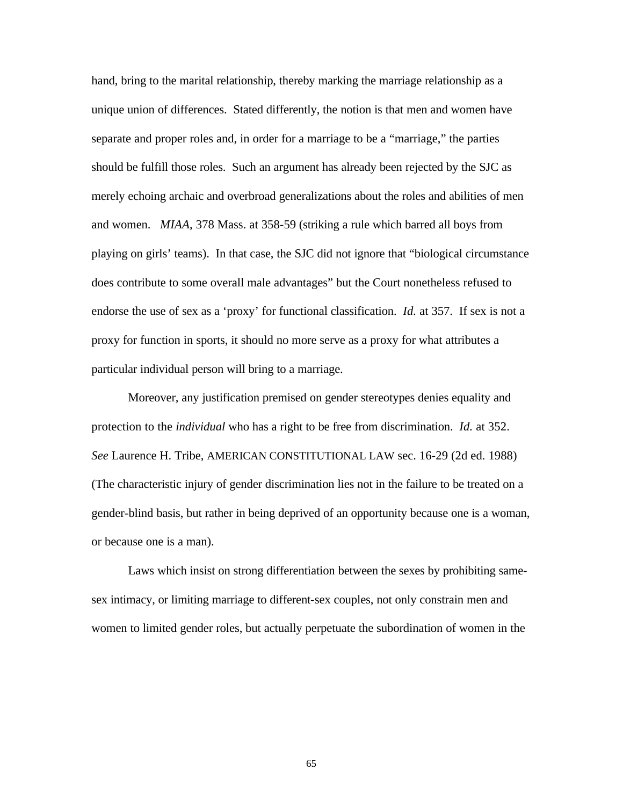hand, bring to the marital relationship, thereby marking the marriage relationship as a unique union of differences. Stated differently, the notion is that men and women have separate and proper roles and, in order for a marriage to be a "marriage," the parties should be fulfill those roles. Such an argument has already been rejected by the SJC as merely echoing archaic and overbroad generalizations about the roles and abilities of men and women. *MIAA*, 378 Mass. at 358-59 (striking a rule which barred all boys from playing on girls' teams). In that case, the SJC did not ignore that "biological circumstance does contribute to some overall male advantages" but the Court nonetheless refused to endorse the use of sex as a 'proxy' for functional classification. *Id.* at 357. If sex is not a proxy for function in sports, it should no more serve as a proxy for what attributes a particular individual person will bring to a marriage.

Moreover, any justification premised on gender stereotypes denies equality and protection to the *individual* who has a right to be free from discrimination. *Id.* at 352. *See* Laurence H. Tribe, AMERICAN CONSTITUTIONAL LAW sec. 16-29 (2d ed. 1988) (The characteristic injury of gender discrimination lies not in the failure to be treated on a gender-blind basis, but rather in being deprived of an opportunity because one is a woman, or because one is a man).

Laws which insist on strong differentiation between the sexes by prohibiting samesex intimacy, or limiting marriage to different-sex couples, not only constrain men and women to limited gender roles, but actually perpetuate the subordination of women in the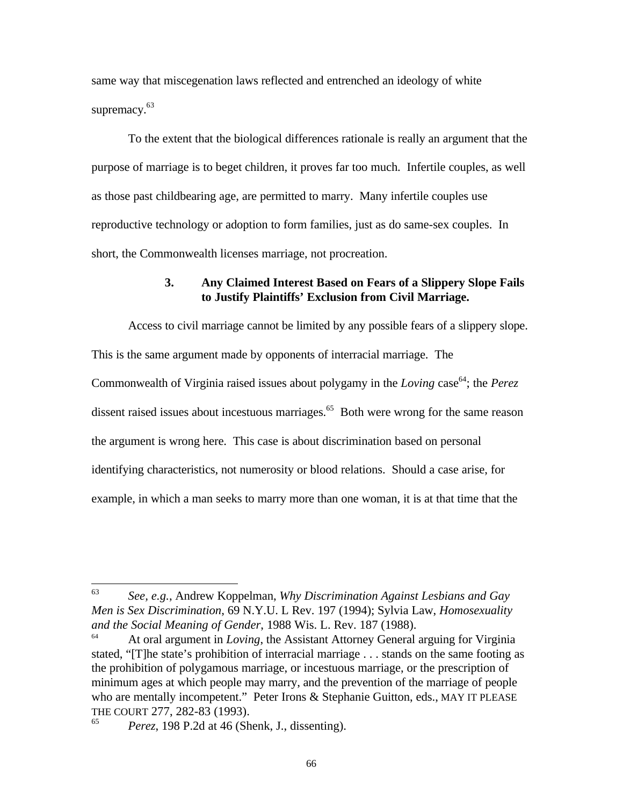same way that miscegenation laws reflected and entrenched an ideology of white supremacy.<sup>63</sup>

To the extent that the biological differences rationale is really an argument that the purpose of marriage is to beget children, it proves far too much. Infertile couples, as well as those past childbearing age, are permitted to marry. Many infertile couples use reproductive technology or adoption to form families, just as do same-sex couples. In short, the Commonwealth licenses marriage, not procreation.

#### **3. Any Claimed Interest Based on Fears of a Slippery Slope Fails to Justify Plaintiffs' Exclusion from Civil Marriage.**

Access to civil marriage cannot be limited by any possible fears of a slippery slope. This is the same argument made by opponents of interracial marriage. The Commonwealth of Virginia raised issues about polygamy in the *Loving* case<sup>64</sup>; the *Perez* dissent raised issues about incestuous marriages.<sup>65</sup> Both were wrong for the same reason the argument is wrong here. This case is about discrimination based on personal identifying characteristics, not numerosity or blood relations. Should a case arise, for example, in which a man seeks to marry more than one woman, it is at that time that the

<sup>63</sup> <sup>63</sup> *See, e.g.*, Andrew Koppelman, *Why Discrimination Against Lesbians and Gay Men is Sex Discrimination*, 69 N.Y.U. L Rev. 197 (1994); Sylvia Law, *Homosexuality and the Social Meaning of Gender*, 1988 Wis. L. Rev. 187 (1988).

<sup>64</sup> At oral argument in *Loving*, the Assistant Attorney General arguing for Virginia stated, "[T]he state's prohibition of interracial marriage . . . stands on the same footing as the prohibition of polygamous marriage, or incestuous marriage, or the prescription of minimum ages at which people may marry, and the prevention of the marriage of people who are mentally incompetent." Peter Irons & Stephanie Guitton, eds., MAY IT PLEASE THE COURT 277, 282-83 (1993).

*Perez*, 198 P.2d at 46 (Shenk, J., dissenting).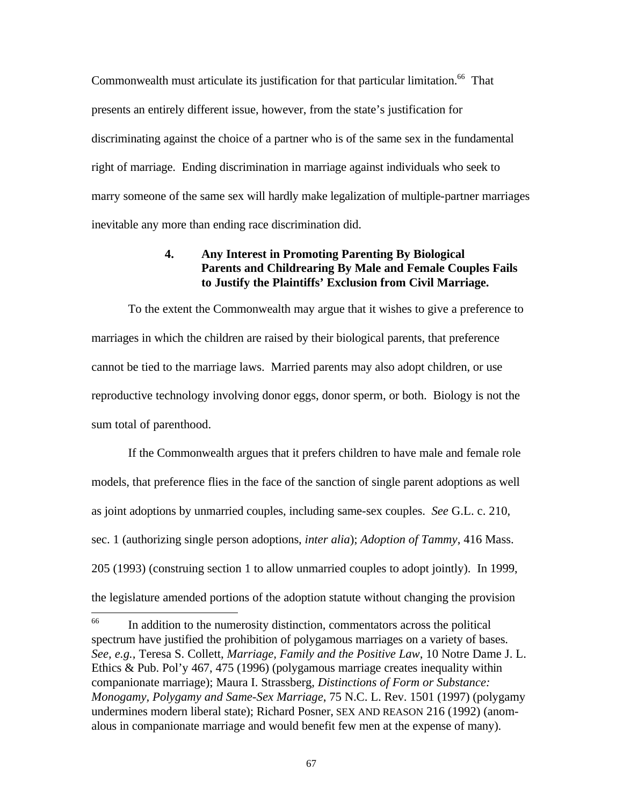Commonwealth must articulate its justification for that particular limitation.<sup>66</sup> That presents an entirely different issue, however, from the state's justification for discriminating against the choice of a partner who is of the same sex in the fundamental right of marriage. Ending discrimination in marriage against individuals who seek to marry someone of the same sex will hardly make legalization of multiple-partner marriages inevitable any more than ending race discrimination did.

### **4. Any Interest in Promoting Parenting By Biological Parents and Childrearing By Male and Female Couples Fails to Justify the Plaintiffs' Exclusion from Civil Marriage.**

To the extent the Commonwealth may argue that it wishes to give a preference to marriages in which the children are raised by their biological parents, that preference cannot be tied to the marriage laws. Married parents may also adopt children, or use reproductive technology involving donor eggs, donor sperm, or both. Biology is not the sum total of parenthood.

If the Commonwealth argues that it prefers children to have male and female role models, that preference flies in the face of the sanction of single parent adoptions as well as joint adoptions by unmarried couples, including same-sex couples. *See* G.L. c. 210, sec. 1 (authorizing single person adoptions, *inter alia*); *Adoption of Tammy*, 416 Mass. 205 (1993) (construing section 1 to allow unmarried couples to adopt jointly). In 1999, the legislature amended portions of the adoption statute without changing the provision

<sup>66</sup> In addition to the numerosity distinction, commentators across the political spectrum have justified the prohibition of polygamous marriages on a variety of bases. *See, e.g.,* Teresa S. Collett, *Marriage, Family and the Positive Law*, 10 Notre Dame J. L. Ethics & Pub. Pol'y 467, 475 (1996) (polygamous marriage creates inequality within companionate marriage); Maura I. Strassberg, *Distinctions of Form or Substance: Monogamy, Polygamy and Same-Sex Marriage*, 75 N.C. L. Rev. 1501 (1997) (polygamy undermines modern liberal state); Richard Posner, SEX AND REASON 216 (1992) (anomalous in companionate marriage and would benefit few men at the expense of many).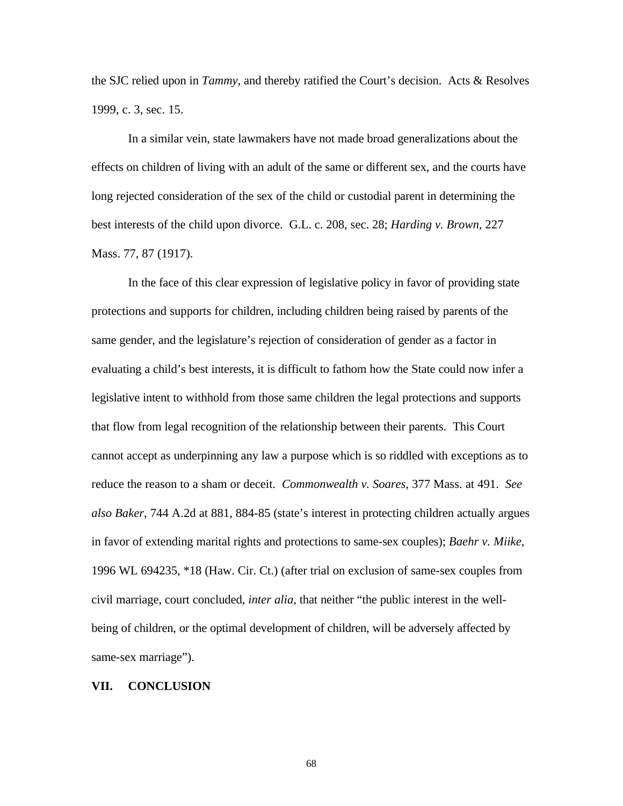the SJC relied upon in *Tammy*, and thereby ratified the Court's decision. Acts & Resolves 1999, c. 3, sec. 15.

In a similar vein, state lawmakers have not made broad generalizations about the effects on children of living with an adult of the same or different sex, and the courts have long rejected consideration of the sex of the child or custodial parent in determining the best interests of the child upon divorce. G.L. c. 208, sec. 28; *Harding v. Brown*, 227 Mass. 77, 87 (1917).

In the face of this clear expression of legislative policy in favor of providing state protections and supports for children, including children being raised by parents of the same gender, and the legislature's rejection of consideration of gender as a factor in evaluating a child's best interests, it is difficult to fathom how the State could now infer a legislative intent to withhold from those same children the legal protections and supports that flow from legal recognition of the relationship between their parents. This Court cannot accept as underpinning any law a purpose which is so riddled with exceptions as to reduce the reason to a sham or deceit. *Commonwealth v. Soares*, 377 Mass. at 491. *See also Baker*, 744 A.2d at 881, 884-85 (state's interest in protecting children actually argues in favor of extending marital rights and protections to same-sex couples); *Baehr v. Miike*, 1996 WL 694235, \*18 (Haw. Cir. Ct.) (after trial on exclusion of same-sex couples from civil marriage, court concluded, *inter alia*, that neither "the public interest in the wellbeing of children, or the optimal development of children, will be adversely affected by same-sex marriage").

#### **VII. CONCLUSION**